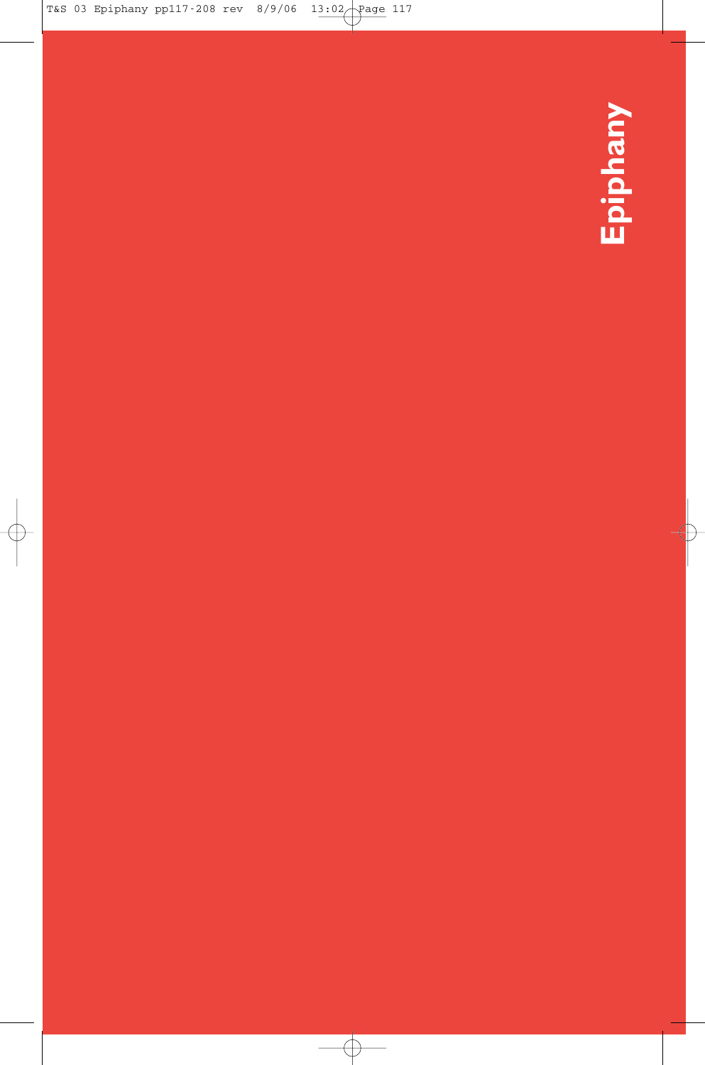**Epiphany**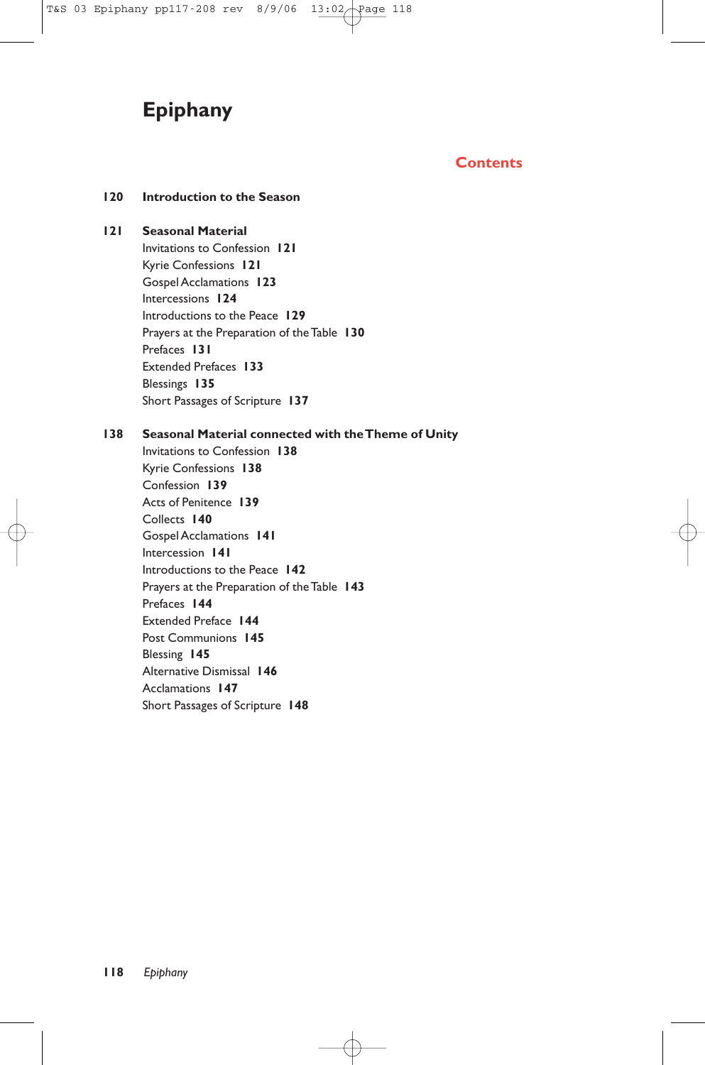# **Epiphany**

# **Contents**

# **120 Introduction to the Season**

#### **121 Seasonal Material**

Invitations to Confession **121** Kyrie Confessions **121** Gospel Acclamations **123** Intercessions **124** Introductions to the Peace **129** Prayers at the Preparation of the Table **130** Prefaces **131** Extended Prefaces **133** Blessings **135** Short Passages of Scripture **137**

#### **138 Seasonal Material connected with the Theme of Unity**

Invitations to Confession **138** Kyrie Confessions **138** Confession **139** Acts of Penitence **139** Collects **140** Gospel Acclamations **141** Intercession **141** Introductions to the Peace **142** Prayers at the Preparation of the Table **143** Prefaces **144** Extended Preface **144** Post Communions **145** Blessing **145** Alternative Dismissal **146** Acclamations **147** Short Passages of Scripture **148**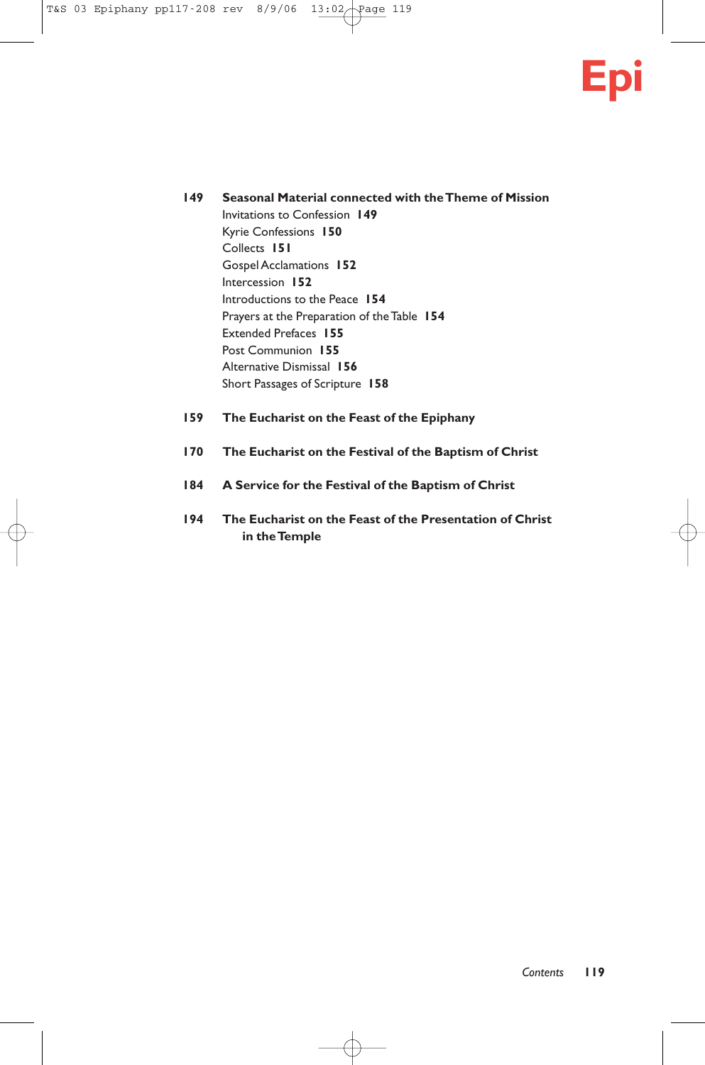

- **149 Seasonal Material connected with the Theme of Mission** Invitations to Confession **149** Kyrie Confessions **150** Collects **151** Gospel Acclamations **152** Intercession **152** Introductions to the Peace **154** Prayers at the Preparation of the Table **154** Extended Prefaces **155** Post Communion **155** Alternative Dismissal **156** Short Passages of Scripture **158**
- **159 The Eucharist on the Feast of the Epiphany**
- **170 The Eucharist on the Festival of the Baptism of Christ**
- **184 A Service for the Festival of the Baptism of Christ**
- **194 The Eucharist on the Feast of the Presentation of Christ in the Temple**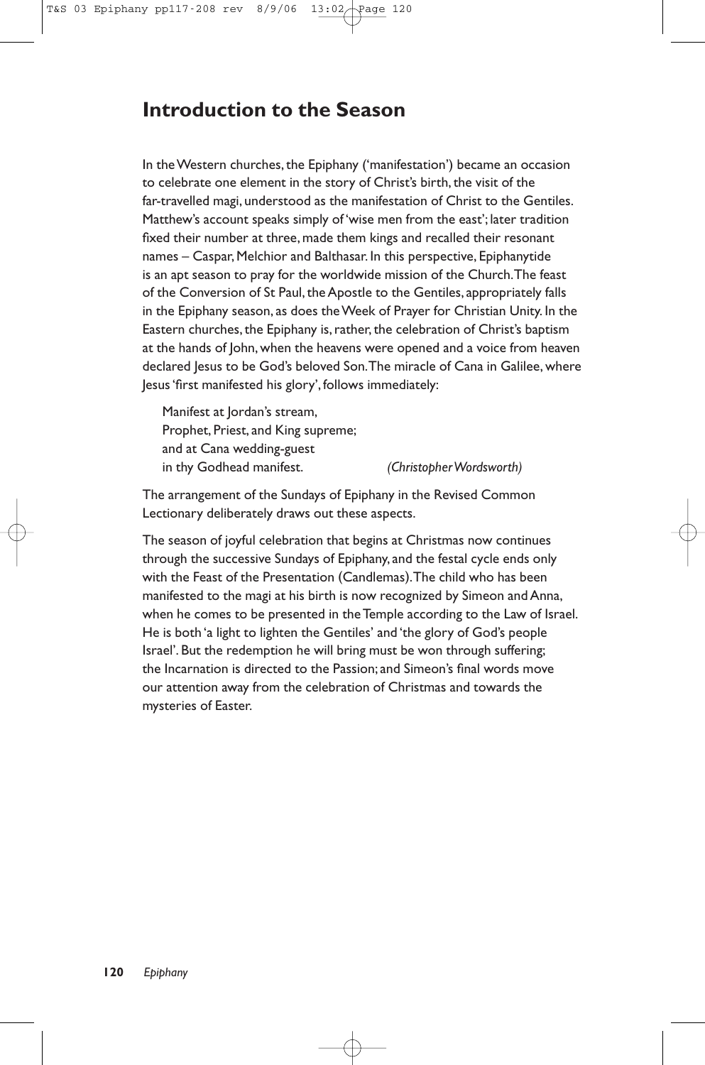# **Introduction to the Season**

In the Western churches, the Epiphany ('manifestation') became an occasion to celebrate one element in the story of Christ's birth, the visit of the far-travelled magi, understood as the manifestation of Christ to the Gentiles. Matthew's account speaks simply of 'wise men from the east'; later tradition fixed their number at three, made them kings and recalled their resonant names – Caspar, Melchior and Balthasar. In this perspective, Epiphanytide is an apt season to pray for the worldwide mission of the Church.The feast of the Conversion of St Paul, the Apostle to the Gentiles, appropriately falls in the Epiphany season, as does the Week of Prayer for Christian Unity. In the Eastern churches, the Epiphany is, rather, the celebration of Christ's baptism at the hands of John, when the heavens were opened and a voice from heaven declared Jesus to be God's beloved Son.The miracle of Cana in Galilee, where Jesus 'first manifested his glory', follows immediately:

Manifest at Jordan's stream, Prophet, Priest, and King supreme; and at Cana wedding-guest in thy Godhead manifest. *(Christopher Wordsworth)*

The arrangement of the Sundays of Epiphany in the Revised Common Lectionary deliberately draws out these aspects.

The season of joyful celebration that begins at Christmas now continues through the successive Sundays of Epiphany, and the festal cycle ends only with the Feast of the Presentation (Candlemas).The child who has been manifested to the magi at his birth is now recognized by Simeon and Anna, when he comes to be presented in the Temple according to the Law of Israel. He is both 'a light to lighten the Gentiles' and 'the glory of God's people Israel'. But the redemption he will bring must be won through suffering; the Incarnation is directed to the Passion; and Simeon's final words move our attention away from the celebration of Christmas and towards the mysteries of Easter.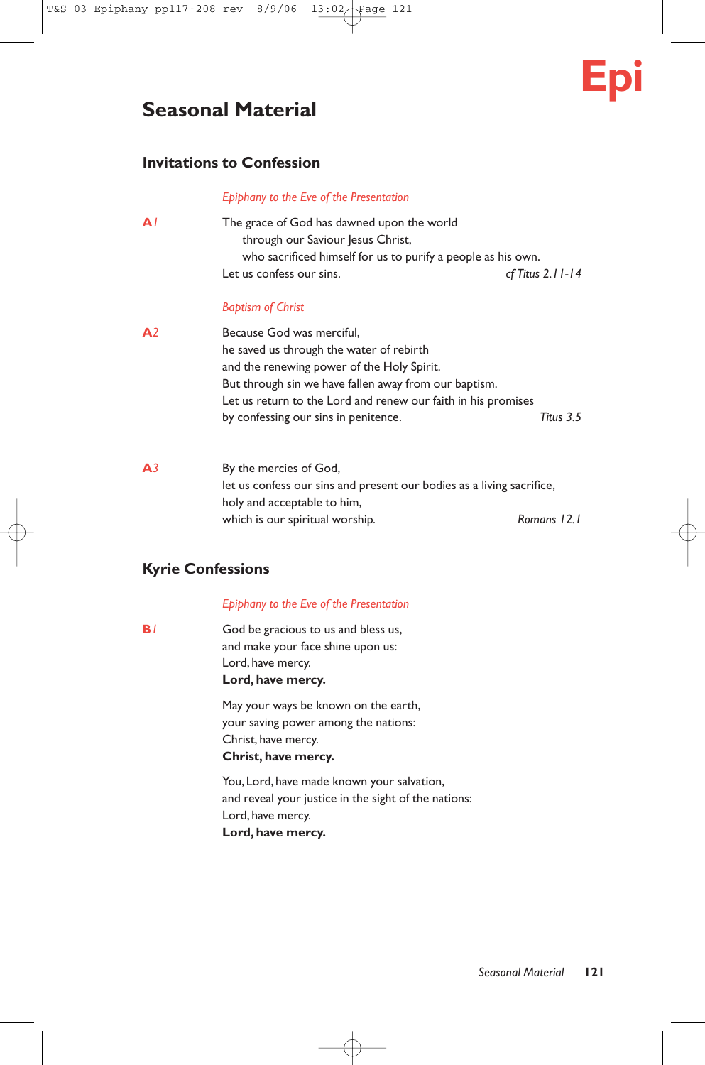# **Seasonal Material**

# **Invitations to Confession**

#### *Epiphany to the Eve of the Presentation*

| AΙ | The grace of God has dawned upon the world                   |                    |
|----|--------------------------------------------------------------|--------------------|
|    | through our Saviour Jesus Christ,                            |                    |
|    | who sacrificed himself for us to purify a people as his own. |                    |
|    | Let us confess our sins.                                     | $cf$ Titus 2.11-14 |

#### *Baptism of Christ*

- **A***2* Because God was merciful, he saved us through the water of rebirth and the renewing power of the Holy Spirit. But through sin we have fallen away from our baptism. Let us return to the Lord and renew our faith in his promises by confessing our sins in penitence. *Titus 3.5*
- **A***3* By the mercies of God, let us confess our sins and present our bodies as a living sacrifice, holy and acceptable to him, which is our spiritual worship. *Romans 12.1*

# **Kyrie Confessions**

#### *Epiphany to the Eve of the Presentation*

**B**<sup>1</sup> God be gracious to us and bless us, and make your face shine upon us: Lord, have mercy. **Lord, have mercy.**

> May your ways be known on the earth, your saving power among the nations: Christ, have mercy. **Christ, have mercy.**

You, Lord, have made known your salvation, and reveal your justice in the sight of the nations: Lord, have mercy. **Lord, have mercy.**

**Epi**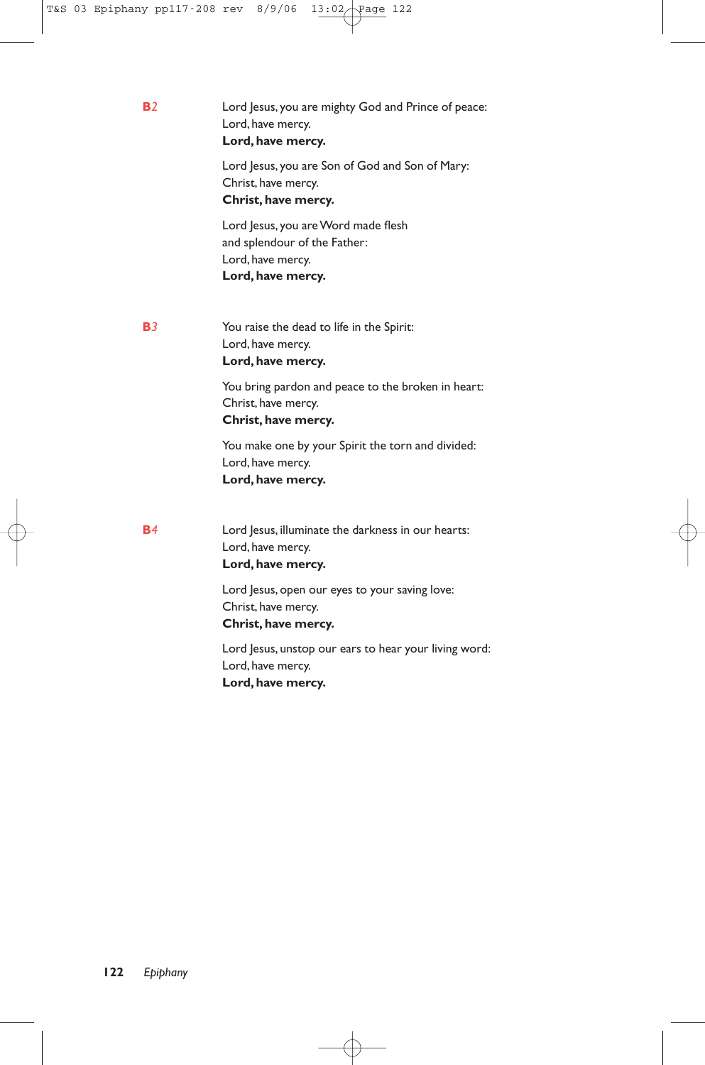**B***2* Lord Jesus, you are mighty God and Prince of peace: Lord, have mercy. **Lord, have mercy.** Lord Jesus, you are Son of God and Son of Mary: Christ, have mercy. **Christ, have mercy.** Lord Jesus, you are Word made flesh and splendour of the Father: Lord, have mercy. **Lord, have mercy. B***3* You raise the dead to life in the Spirit: Lord, have mercy. **Lord, have mercy.** You bring pardon and peace to the broken in heart: Christ, have mercy. **Christ, have mercy.** You make one by your Spirit the torn and divided: Lord, have mercy. **Lord, have mercy. B***4* Lord Jesus, illuminate the darkness in our hearts: Lord, have mercy. **Lord, have mercy.** Lord Jesus, open our eyes to your saving love: Christ, have mercy. **Christ, have mercy.** Lord Jesus, unstop our ears to hear your living word:

Lord, have mercy. **Lord, have mercy.**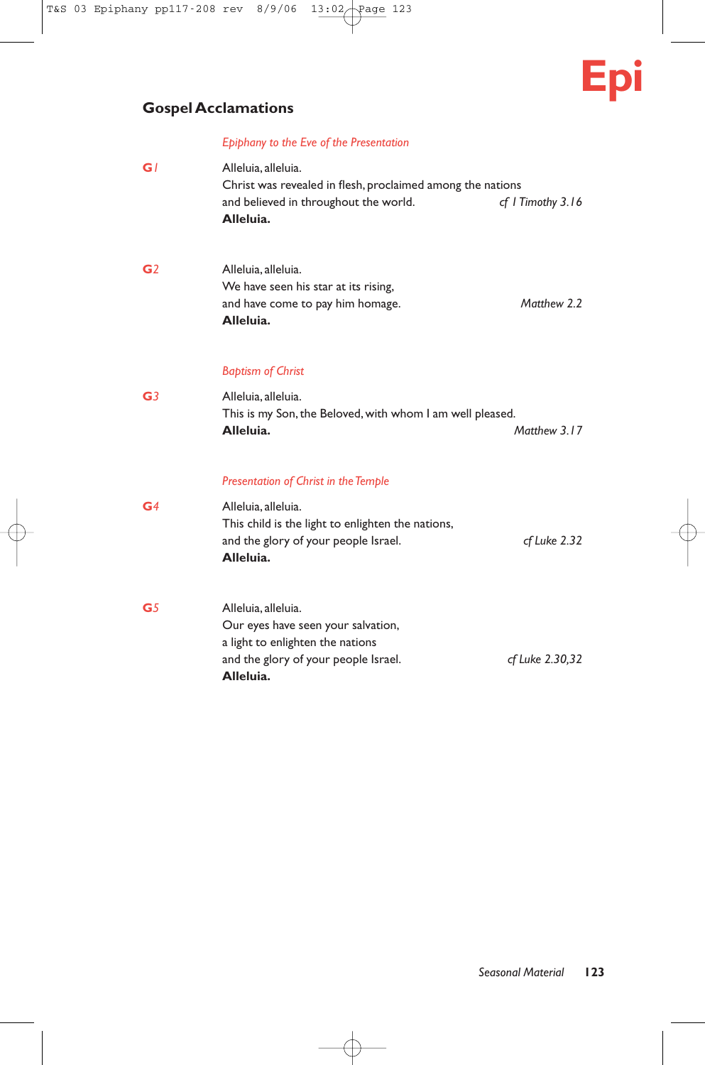

# **Gospel Acclamations**

# *Epiphany to the Eve of the Presentation*

| GI             | Alleluia, alleluia.<br>Christ was revealed in flesh, proclaimed among the nations<br>and believed in throughout the world.<br>Alleluia.            | cf I Timothy 3.16 |
|----------------|----------------------------------------------------------------------------------------------------------------------------------------------------|-------------------|
| G <sub>2</sub> | Alleluia, alleluia.<br>We have seen his star at its rising,<br>and have come to pay him homage.<br>Alleluia.                                       | Matthew 2.2       |
|                | <b>Baptism of Christ</b>                                                                                                                           |                   |
| G <sub>3</sub> | Alleluia, alleluia.<br>This is my Son, the Beloved, with whom I am well pleased.<br>Alleluia.                                                      | Matthew 3.17      |
|                | <b>Presentation of Christ in the Temple</b>                                                                                                        |                   |
| G <sub>4</sub> | Alleluia, alleluia.<br>This child is the light to enlighten the nations,<br>and the glory of your people Israel.<br>Alleluia.                      | cf Luke 2.32      |
| G <sub>5</sub> | Alleluia, alleluia.<br>Our eyes have seen your salvation,<br>a light to enlighten the nations<br>and the glory of your people Israel.<br>Alleluia. | cf Luke 2.30,32   |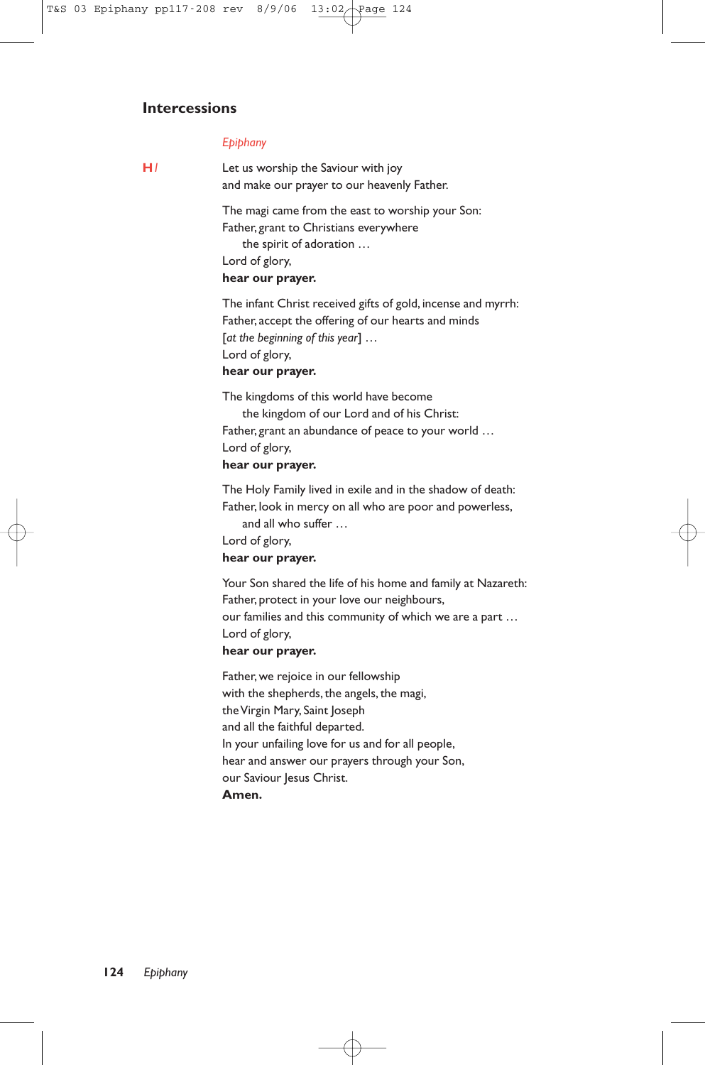# **Intercessions**

#### *Epiphany*

**H***1* Let us worship the Saviour with joy and make our prayer to our heavenly Father.

> The magi came from the east to worship your Son: Father, grant to Christians everywhere the spirit of adoration … Lord of glory,

### **hear our prayer.**

The infant Christ received gifts of gold, incense and myrrh: Father, accept the offering of our hearts and minds [*at the beginning of this year*] … Lord of glory, **hear our prayer.**

The kingdoms of this world have become the kingdom of our Lord and of his Christ: Father, grant an abundance of peace to your world … Lord of glory, **hear our prayer.**

The Holy Family lived in exile and in the shadow of death: Father, look in mercy on all who are poor and powerless,

and all who suffer …

Lord of glory,

#### **hear our prayer.**

Your Son shared the life of his home and family at Nazareth: Father, protect in your love our neighbours, our families and this community of which we are a part … Lord of glory, **hear our prayer.**

Father, we rejoice in our fellowship with the shepherds, the angels, the magi, the Virgin Mary, Saint Joseph and all the faithful departed. In your unfailing love for us and for all people, hear and answer our prayers through your Son, our Saviour Jesus Christ. **Amen.**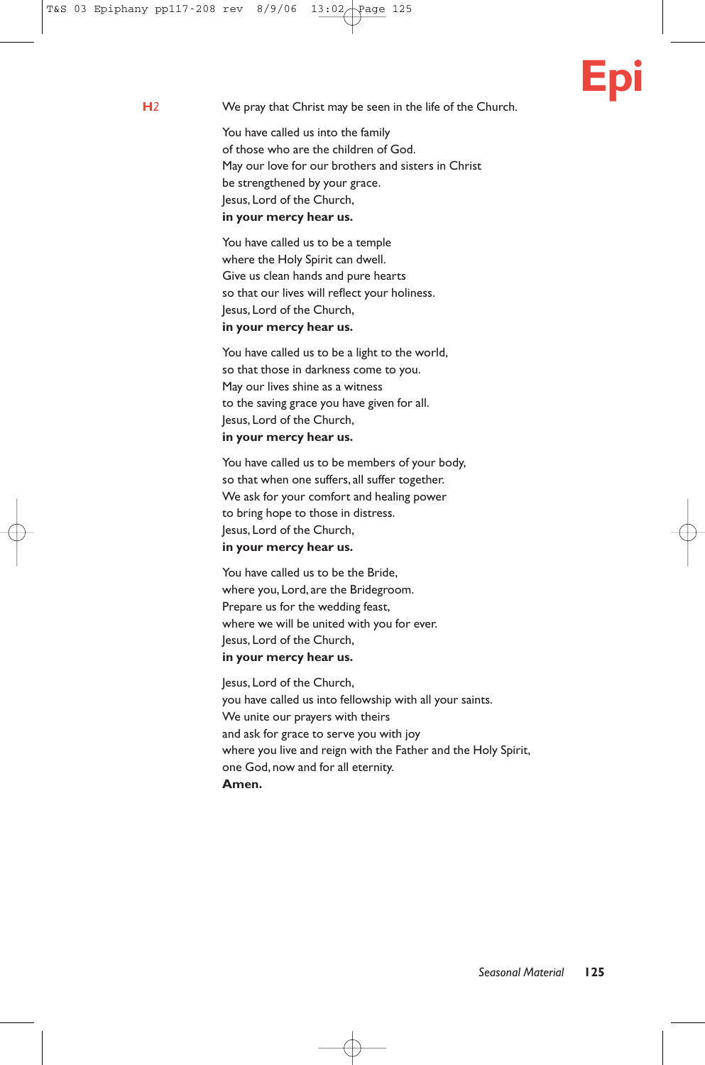# **Epi**

**H***2* We pray that Christ may be seen in the life of the Church.

You have called us into the family of those who are the children of God. May our love for our brothers and sisters in Christ be strengthened by your grace. Jesus, Lord of the Church, **in your mercy hear us.**

You have called us to be a temple where the Holy Spirit can dwell. Give us clean hands and pure hearts so that our lives will reflect your holiness. Jesus, Lord of the Church, **in your mercy hear us.**

You have called us to be a light to the world, so that those in darkness come to you. May our lives shine as a witness to the saving grace you have given for all. Jesus, Lord of the Church, **in your mercy hear us.**

You have called us to be members of your body, so that when one suffers, all suffer together. We ask for your comfort and healing power to bring hope to those in distress. Jesus, Lord of the Church, **in your mercy hear us.**

You have called us to be the Bride, where you, Lord, are the Bridegroom. Prepare us for the wedding feast, where we will be united with you for ever. Jesus, Lord of the Church, **in your mercy hear us.**

Jesus, Lord of the Church, you have called us into fellowship with all your saints. We unite our prayers with theirs and ask for grace to serve you with joy where you live and reign with the Father and the Holy Spirit, one God, now and for all eternity. **Amen.**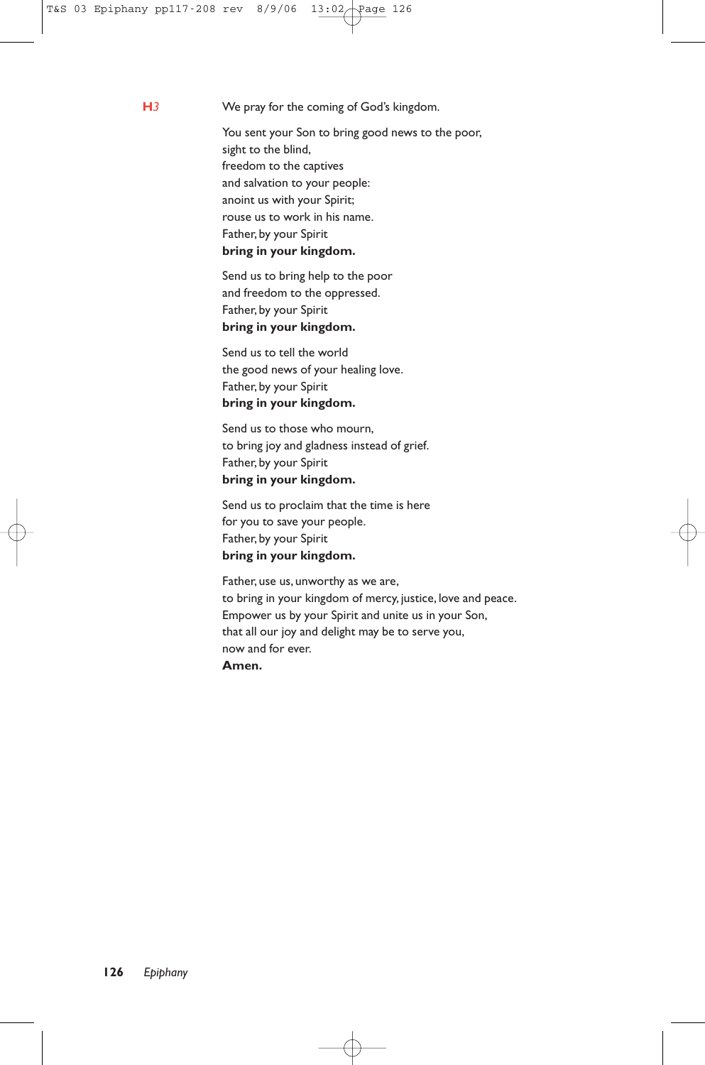**H***3* We pray for the coming of God's kingdom.

You sent your Son to bring good news to the poor, sight to the blind, freedom to the captives and salvation to your people: anoint us with your Spirit; rouse us to work in his name. Father, by your Spirit **bring in your kingdom.**

Send us to bring help to the poor and freedom to the oppressed. Father, by your Spirit **bring in your kingdom.**

Send us to tell the world the good news of your healing love. Father, by your Spirit **bring in your kingdom.**

Send us to those who mourn, to bring joy and gladness instead of grief. Father, by your Spirit **bring in your kingdom.**

Send us to proclaim that the time is here for you to save your people. Father, by your Spirit **bring in your kingdom.**

Father, use us, unworthy as we are, to bring in your kingdom of mercy, justice, love and peace. Empower us by your Spirit and unite us in your Son, that all our joy and delight may be to serve you, now and for ever. **Amen.**

**126** *Epiphany*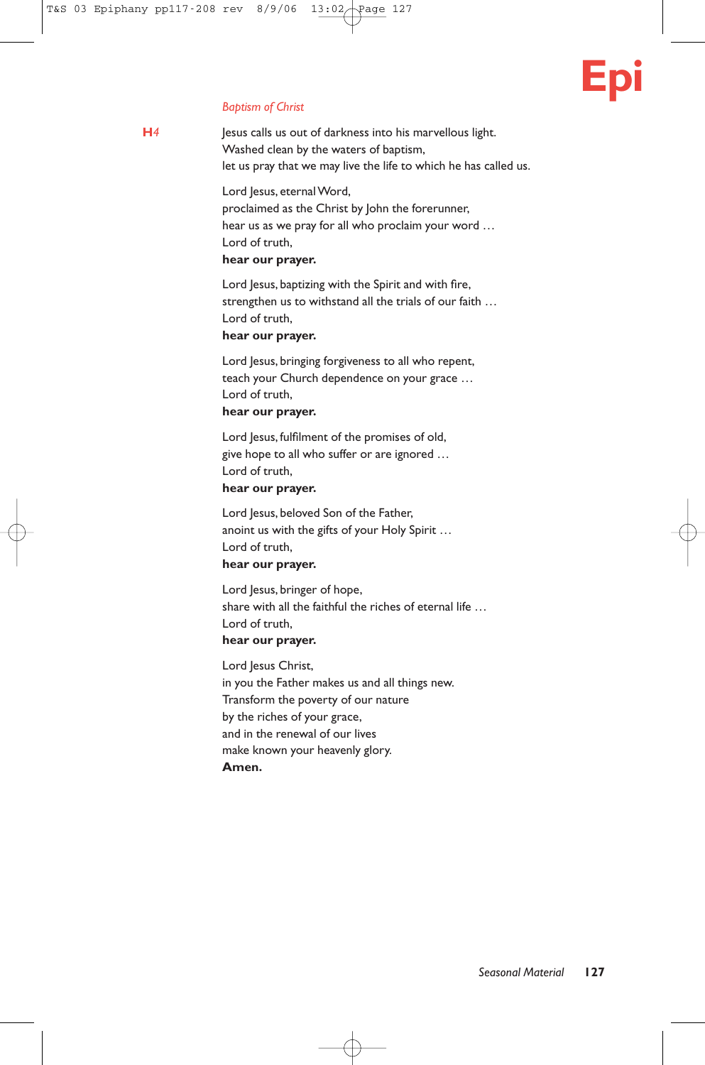# **Epi**

#### *Baptism of Christ*

**H***4* Jesus calls us out of darkness into his marvellous light. Washed clean by the waters of baptism, let us pray that we may live the life to which he has called us.

> Lord Jesus, eternal Word, proclaimed as the Christ by John the forerunner, hear us as we pray for all who proclaim your word … Lord of truth,

### **hear our prayer.**

Lord Jesus, baptizing with the Spirit and with fire, strengthen us to withstand all the trials of our faith … Lord of truth,

#### **hear our prayer.**

Lord Jesus, bringing forgiveness to all who repent, teach your Church dependence on your grace … Lord of truth,

### **hear our prayer.**

Lord Jesus, fulfilment of the promises of old, give hope to all who suffer or are ignored … Lord of truth,

#### **hear our prayer.**

Lord Jesus, beloved Son of the Father, anoint us with the gifts of your Holy Spirit … Lord of truth,

# **hear our prayer.**

Lord Jesus, bringer of hope, share with all the faithful the riches of eternal life … Lord of truth,

# **hear our prayer.**

Lord Jesus Christ, in you the Father makes us and all things new. Transform the poverty of our nature by the riches of your grace, and in the renewal of our lives make known your heavenly glory. **Amen.**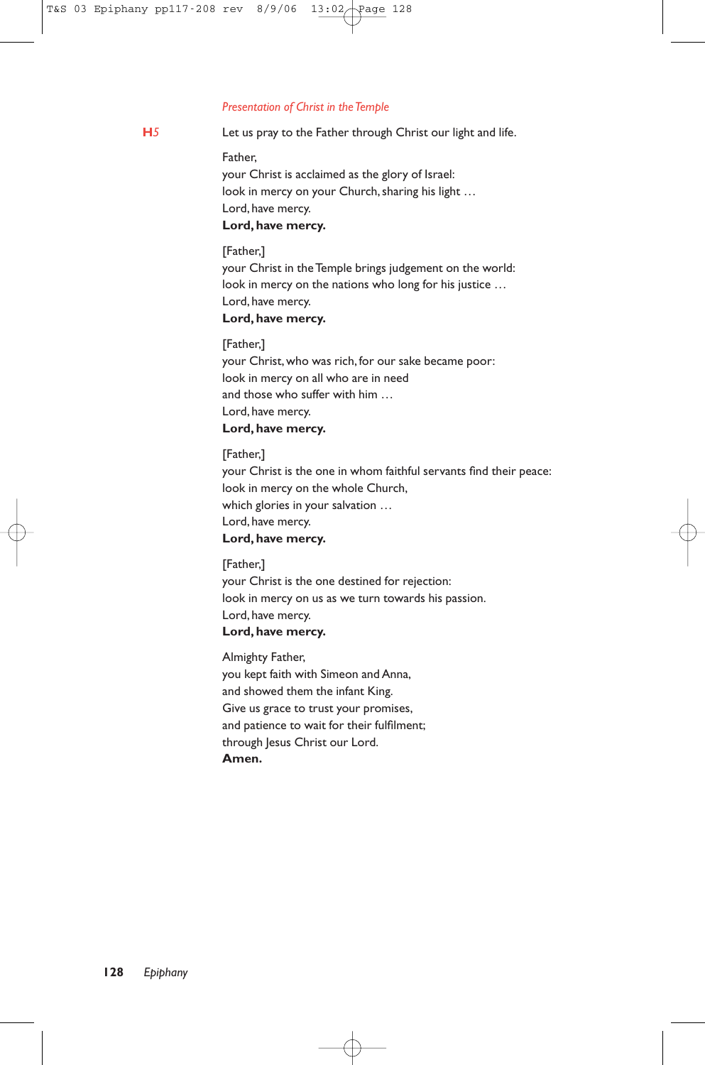#### *Presentation of Christ in the Temple*

**H***5* Let us pray to the Father through Christ our light and life.

Father,

your Christ is acclaimed as the glory of Israel: look in mercy on your Church, sharing his light … Lord, have mercy. **Lord, have mercy.**

[Father,] your Christ in the Temple brings judgement on the world: look in mercy on the nations who long for his justice … Lord, have mercy.

### **Lord, have mercy.**

[Father,] your Christ, who was rich, for our sake became poor: look in mercy on all who are in need and those who suffer with him … Lord, have mercy. **Lord, have mercy.**

[Father,] your Christ is the one in whom faithful servants find their peace: look in mercy on the whole Church, which glories in your salvation … Lord, have mercy.

### **Lord, have mercy.**

[Father,] your Christ is the one destined for rejection: look in mercy on us as we turn towards his passion. Lord, have mercy. **Lord, have mercy.**

Almighty Father, you kept faith with Simeon and Anna, and showed them the infant King. Give us grace to trust your promises, and patience to wait for their fulfilment; through Jesus Christ our Lord. **Amen.**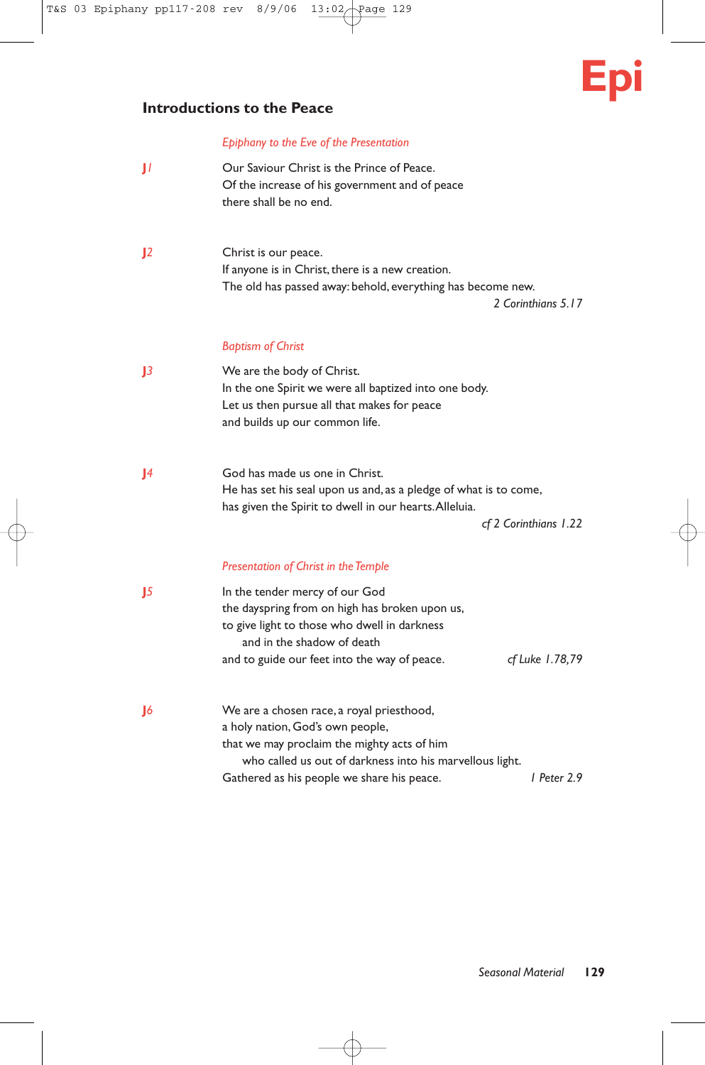# **Introductions to the Peace**

#### *Epiphany to the Eve of the Presentation*

- **J**<sup>*1*</sup> Our Saviour Christ is the Prince of Peace. Of the increase of his government and of peace there shall be no end.
- **J***2* Christ is our peace. If anyone is in Christ, there is a new creation. The old has passed away: behold, everything has become new.

*2 Corinthians 5.17*

**Epi**

#### *Baptism of Christ*

- **J***3* We are the body of Christ. In the one Spirit we were all baptized into one body. Let us then pursue all that makes for peace and builds up our common life.
- **J***4* God has made us one in Christ. He has set his seal upon us and, as a pledge of what is to come, has given the Spirit to dwell in our hearts.Alleluia.

*cf 2 Corinthians 1.22*

#### *Presentation of Christ in the Temple*

| $\mathbf{J}$ | In the tender mercy of our God<br>the dayspring from on high has broken upon us,<br>to give light to those who dwell in darkness<br>and in the shadow of death                           |                 |  |
|--------------|------------------------------------------------------------------------------------------------------------------------------------------------------------------------------------------|-----------------|--|
|              | and to guide our feet into the way of peace.                                                                                                                                             | cf Luke 1.78,79 |  |
| $\mathbf{J}$ | We are a chosen race, a royal priesthood,<br>a holy nation, God's own people,<br>that we may proclaim the mighty acts of him<br>who called us out of darkness into his marvellous light. |                 |  |
|              |                                                                                                                                                                                          |                 |  |
|              | Gathered as his people we share his peace.                                                                                                                                               | l Peter 2.9     |  |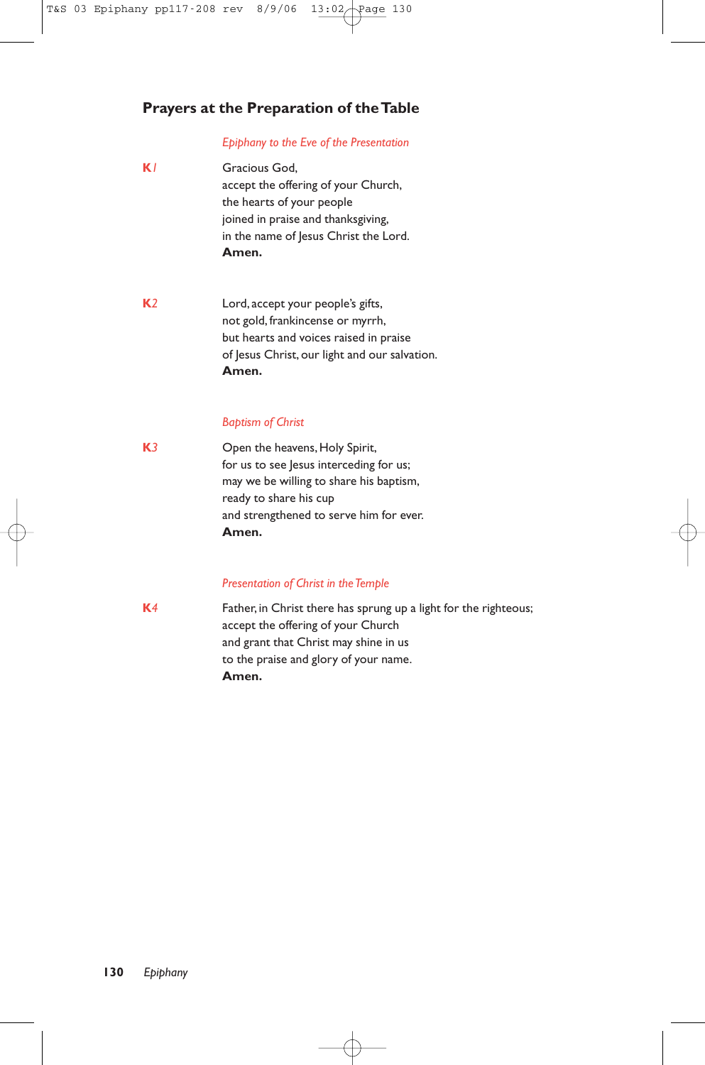# **Prayers at the Preparation of the Table**

#### *Epiphany to the Eve of the Presentation*

- **K***1* Gracious God, accept the offering of your Church, the hearts of your people joined in praise and thanksgiving, in the name of Jesus Christ the Lord. **Amen.**
- **K***2* Lord, accept your people's gifts, not gold, frankincense or myrrh, but hearts and voices raised in praise of Jesus Christ, our light and our salvation. **Amen.**

#### *Baptism of Christ*

**K***3* Open the heavens, Holy Spirit, for us to see Jesus interceding for us; may we be willing to share his baptism, ready to share his cup and strengthened to serve him for ever. **Amen.**

#### *Presentation of Christ in the Temple*

**K***4* Father, in Christ there has sprung up a light for the righteous; accept the offering of your Church and grant that Christ may shine in us to the praise and glory of your name. **Amen.**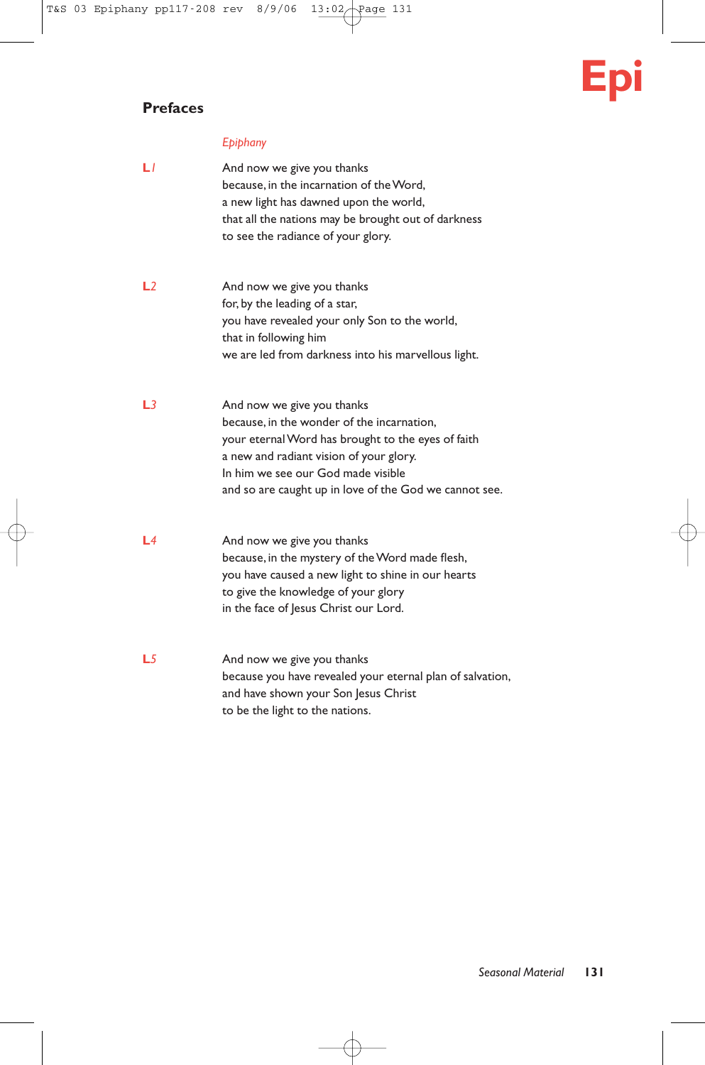# **Prefaces**

# **Epi**

# *Epiphany*

| LΙ  | And now we give you thanks<br>because, in the incarnation of the Word,<br>a new light has dawned upon the world,<br>that all the nations may be brought out of darkness<br>to see the radiance of your glory.                                                             |
|-----|---------------------------------------------------------------------------------------------------------------------------------------------------------------------------------------------------------------------------------------------------------------------------|
| L2  | And now we give you thanks<br>for, by the leading of a star,<br>you have revealed your only Son to the world,<br>that in following him<br>we are led from darkness into his marvellous light.                                                                             |
| L3  | And now we give you thanks<br>because, in the wonder of the incarnation.<br>your eternal Word has brought to the eyes of faith<br>a new and radiant vision of your glory.<br>In him we see our God made visible<br>and so are caught up in love of the God we cannot see. |
| l 4 | And now we give you thanks<br>because, in the mystery of the Word made flesh,<br>you have caused a new light to shine in our hearts<br>to give the knowledge of your glory<br>in the face of Jesus Christ our Lord.                                                       |
| L5  | And now we give you thanks<br>because you have revealed your eternal plan of salvation,<br>and have shown your Son Jesus Christ<br>to be the light to the nations.                                                                                                        |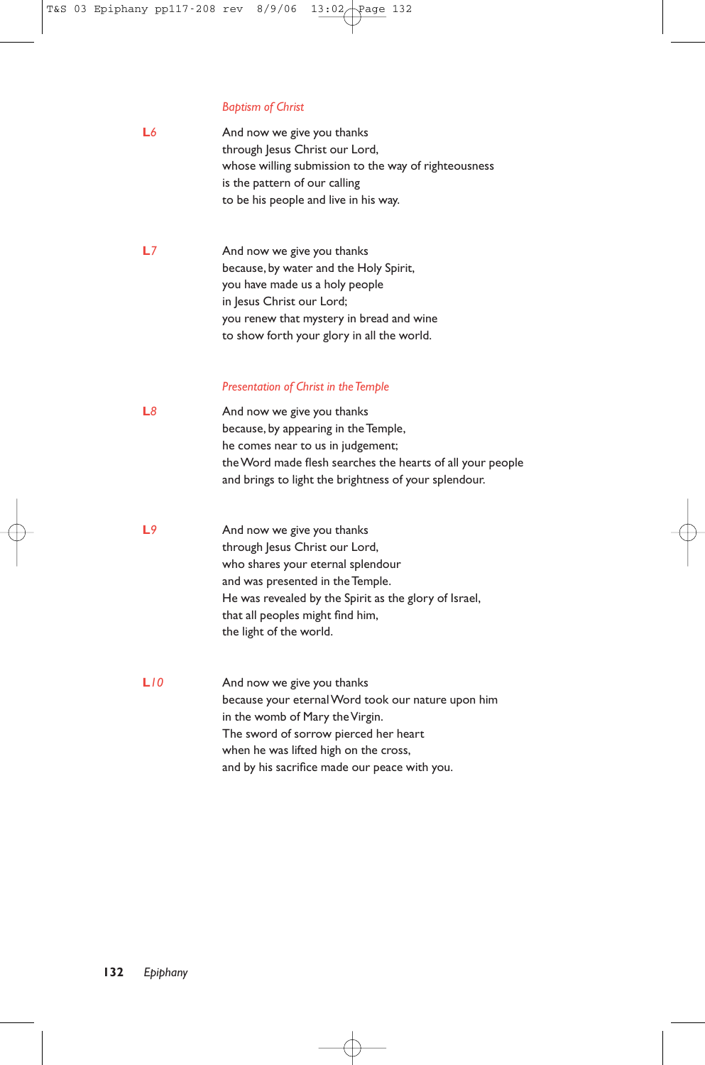#### *Baptism of Christ*

| L6 | And now we give you thanks                           |
|----|------------------------------------------------------|
|    | through Jesus Christ our Lord,                       |
|    | whose willing submission to the way of righteousness |
|    | is the pattern of our calling                        |
|    | to be his people and live in his way.                |

**L***7* And now we give you thanks because, by water and the Holy Spirit, you have made us a holy people in Jesus Christ our Lord; you renew that mystery in bread and wine to show forth your glory in all the world.

#### *Presentation of Christ in the Temple*

- **L**<sup>8</sup> And now we give you thanks because, by appearing in the Temple, he comes near to us in judgement; the Word made flesh searches the hearts of all your people and brings to light the brightness of your splendour.
- **L**<sup>9</sup> And now we give you thanks through Jesus Christ our Lord, who shares your eternal splendour and was presented in the Temple. He was revealed by the Spirit as the glory of Israel, that all peoples might find him, the light of the world.
- **L***10* And now we give you thanks because your eternal Word took our nature upon him in the womb of Mary the Virgin. The sword of sorrow pierced her heart when he was lifted high on the cross, and by his sacrifice made our peace with you.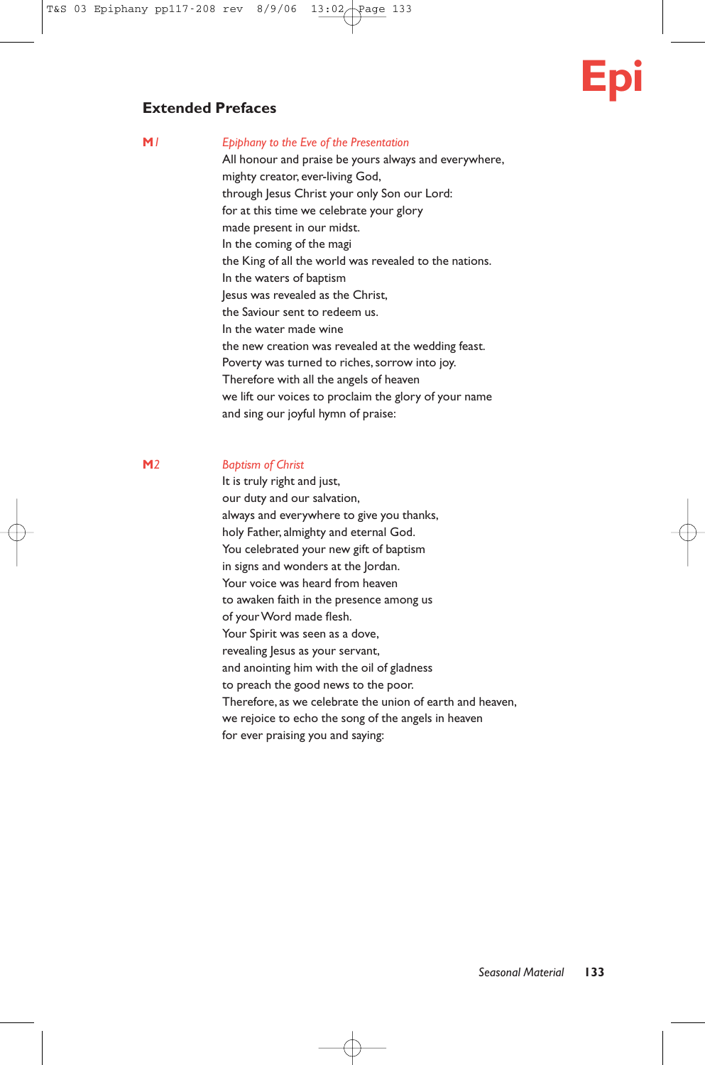

# **Extended Prefaces**

#### **M***1 Epiphany to the Eve of the Presentation*

All honour and praise be yours always and everywhere, mighty creator, ever-living God, through Jesus Christ your only Son our Lord: for at this time we celebrate your glory made present in our midst. In the coming of the magi the King of all the world was revealed to the nations. In the waters of baptism Jesus was revealed as the Christ, the Saviour sent to redeem us. In the water made wine the new creation was revealed at the wedding feast. Poverty was turned to riches, sorrow into joy. Therefore with all the angels of heaven we lift our voices to proclaim the glory of your name and sing our joyful hymn of praise:

#### **M***2 Baptism of Christ*

It is truly right and just, our duty and our salvation, always and everywhere to give you thanks, holy Father, almighty and eternal God. You celebrated your new gift of baptism in signs and wonders at the Jordan. Your voice was heard from heaven to awaken faith in the presence among us of your Word made flesh. Your Spirit was seen as a dove, revealing Jesus as your servant, and anointing him with the oil of gladness to preach the good news to the poor. Therefore, as we celebrate the union of earth and heaven, we rejoice to echo the song of the angels in heaven for ever praising you and saying: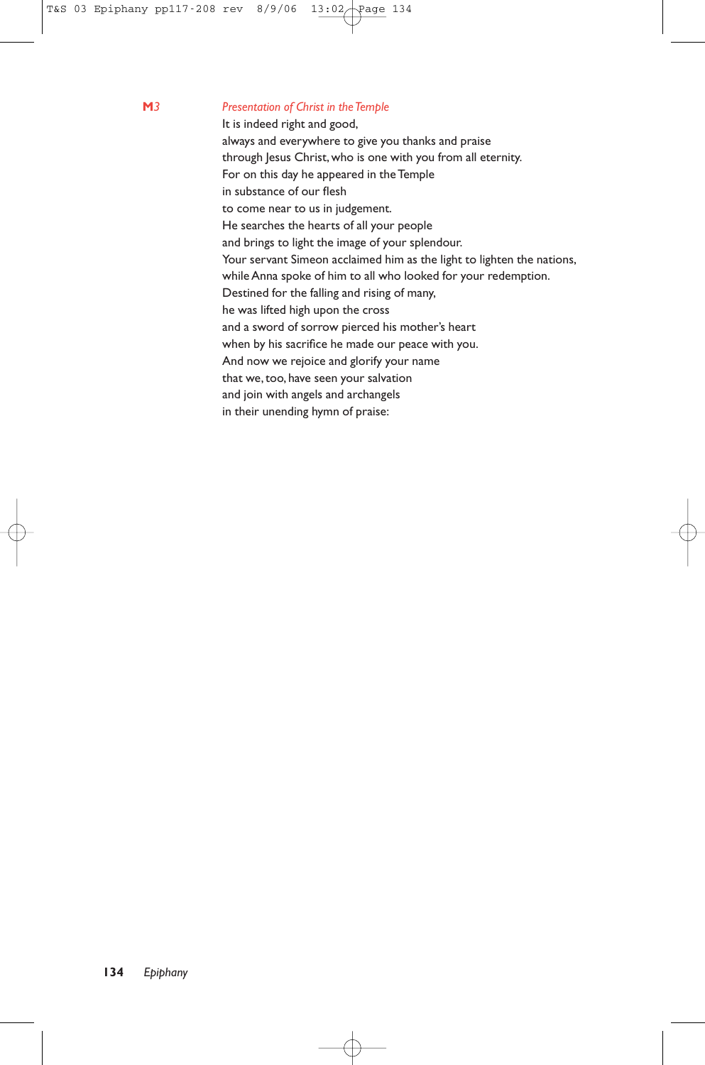#### **M***3 Presentation of Christ in the Temple*

It is indeed right and good, always and everywhere to give you thanks and praise through Jesus Christ, who is one with you from all eternity. For on this day he appeared in the Temple in substance of our flesh to come near to us in judgement. He searches the hearts of all your people and brings to light the image of your splendour. Your servant Simeon acclaimed him as the light to lighten the nations, while Anna spoke of him to all who looked for your redemption. Destined for the falling and rising of many, he was lifted high upon the cross and a sword of sorrow pierced his mother's heart when by his sacrifice he made our peace with you. And now we rejoice and glorify your name that we,too, have seen your salvation and join with angels and archangels in their unending hymn of praise: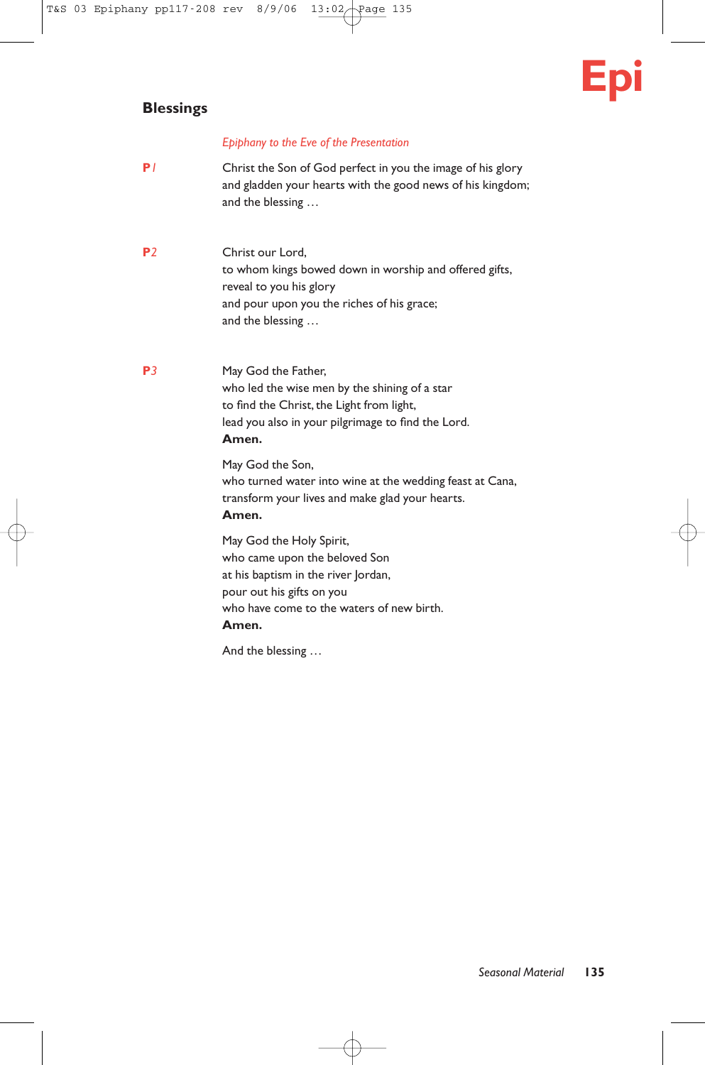# **Blessings**

# **Epi**

### *Epiphany to the Eve of the Presentation*

- **P***1* Christ the Son of God perfect in you the image of his glory and gladden your hearts with the good news of his kingdom; and the blessing …
- **P***2* Christ our Lord, to whom kings bowed down in worship and offered gifts, reveal to you his glory and pour upon you the riches of his grace; and the blessing …
- **P**<sup>3</sup> May God the Father, who led the wise men by the shining of a star to find the Christ, the Light from light, lead you also in your pilgrimage to find the Lord. **Amen.**

May God the Son, who turned water into wine at the wedding feast at Cana, transform your lives and make glad your hearts. **Amen.**

May God the Holy Spirit, who came upon the beloved Son at his baptism in the river Jordan, pour out his gifts on you who have come to the waters of new birth. **Amen.**

And the blessing …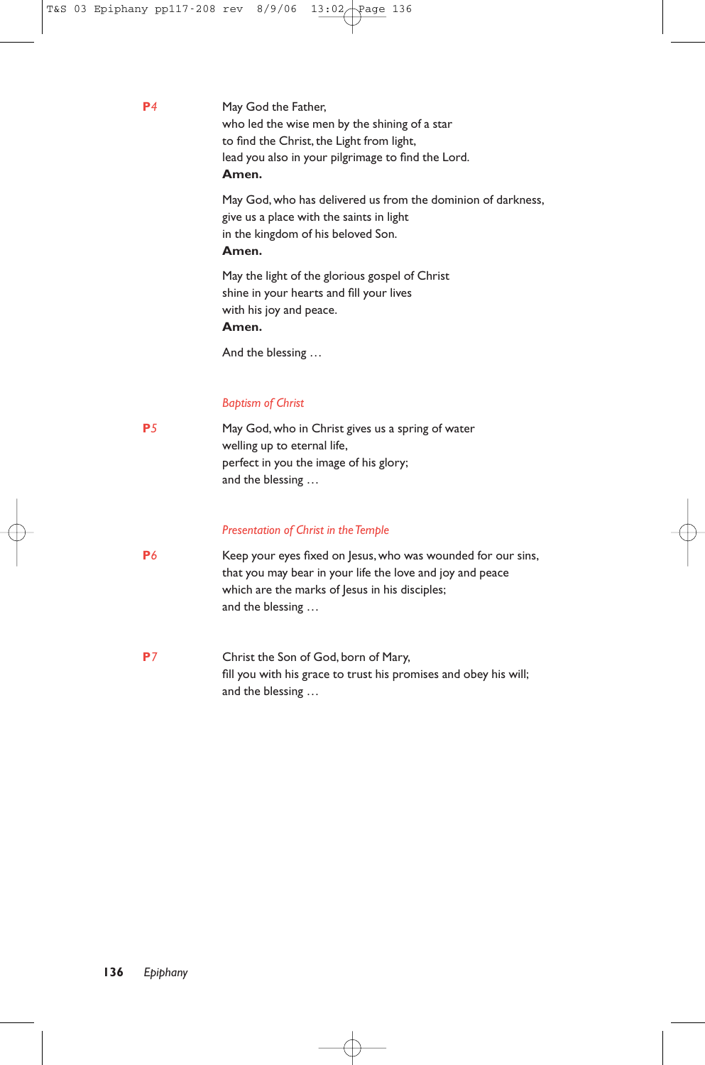**P**<sup>4</sup> May God the Father, who led the wise men by the shining of a star to find the Christ, the Light from light, lead you also in your pilgrimage to find the Lord. **Amen.**

> May God, who has delivered us from the dominion of darkness, give us a place with the saints in light in the kingdom of his beloved Son. **Amen.**

May the light of the glorious gospel of Christ shine in your hearts and fill your lives with his joy and peace. **Amen.**

And the blessing …

### *Baptism of Christ*

**P**<sup>5</sup> May God, who in Christ gives us a spring of water welling up to eternal life, perfect in you the image of his glory; and the blessing …

#### *Presentation of Christ in the Temple*

- **P***6* Keep your eyes fixed on Jesus, who was wounded for our sins, that you may bear in your life the love and joy and peace which are the marks of Jesus in his disciples; and the blessing …
- **P***7* Christ the Son of God, born of Mary, fill you with his grace to trust his promises and obey his will; and the blessing …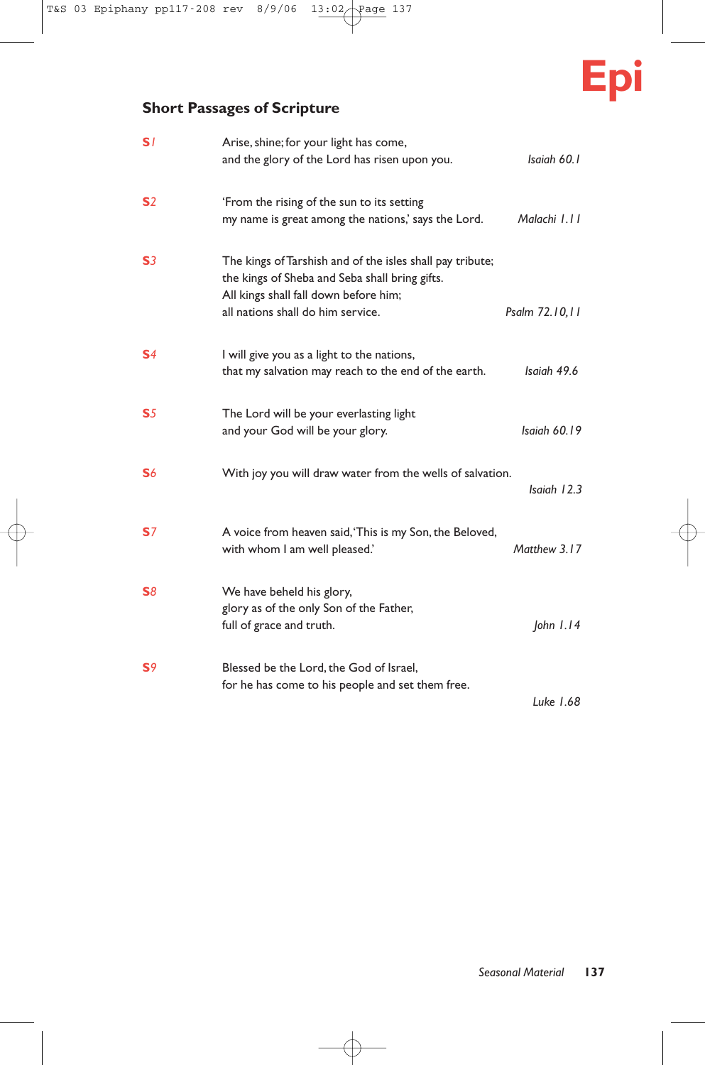

# **Short Passages of Scripture**

| S <sub>1</sub> | Arise, shine; for your light has come,<br>and the glory of the Lord has risen upon you.                                                                                                   | Isaiah 60.1    |
|----------------|-------------------------------------------------------------------------------------------------------------------------------------------------------------------------------------------|----------------|
| S <sub>2</sub> | 'From the rising of the sun to its setting<br>my name is great among the nations,' says the Lord.                                                                                         | Malachi 1.11   |
| S <sub>3</sub> | The kings of Tarshish and of the isles shall pay tribute;<br>the kings of Sheba and Seba shall bring gifts.<br>All kings shall fall down before him;<br>all nations shall do him service. | Psalm 72.10,11 |
| S <sub>4</sub> | I will give you as a light to the nations,<br>that my salvation may reach to the end of the earth.                                                                                        | Isaiah 49.6    |
| S <sub>5</sub> | The Lord will be your everlasting light<br>and your God will be your glory.                                                                                                               | Isaiah 60.19   |
| S <sub>6</sub> | With joy you will draw water from the wells of salvation.                                                                                                                                 | Isaiah 12.3    |
| S <sub>7</sub> | A voice from heaven said, 'This is my Son, the Beloved,<br>with whom I am well pleased.'                                                                                                  | Matthew 3.17   |
| <b>S</b> 8     | We have beheld his glory,<br>glory as of the only Son of the Father,<br>full of grace and truth.                                                                                          | John $1.14$    |
| S <sub>9</sub> | Blessed be the Lord, the God of Israel,<br>for he has come to his people and set them free.                                                                                               | Luke 1.68      |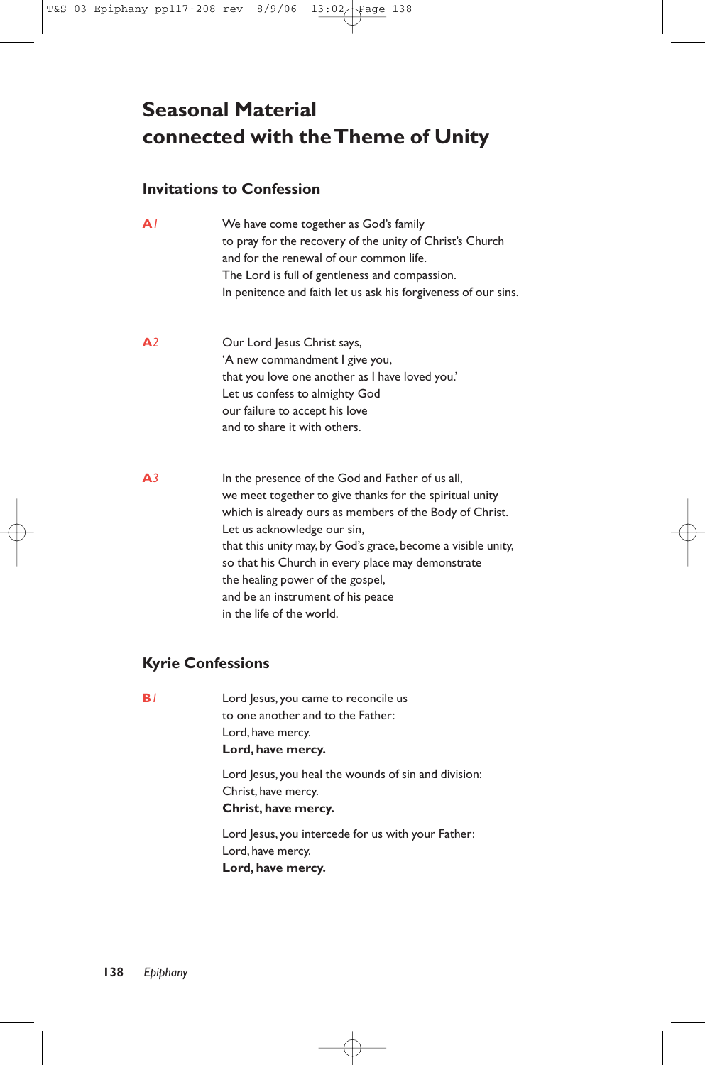# **Seasonal Material connected with the Theme of Unity**

# **Invitations to Confession**

| $\mathbf{A}$   | We have come together as God's family<br>to pray for the recovery of the unity of Christ's Church<br>and for the renewal of our common life.<br>The Lord is full of gentleness and compassion.<br>In penitence and faith let us ask his forgiveness of our sins.                                                                                                                                                                 |
|----------------|----------------------------------------------------------------------------------------------------------------------------------------------------------------------------------------------------------------------------------------------------------------------------------------------------------------------------------------------------------------------------------------------------------------------------------|
| A <sup>2</sup> | Our Lord Jesus Christ says,<br>'A new commandment I give you,<br>that you love one another as I have loved you.'<br>Let us confess to almighty God<br>our failure to accept his love<br>and to share it with others.                                                                                                                                                                                                             |
| A <sub>3</sub> | In the presence of the God and Father of us all,<br>we meet together to give thanks for the spiritual unity<br>which is already ours as members of the Body of Christ.<br>Let us acknowledge our sin,<br>that this unity may, by God's grace, become a visible unity,<br>so that his Church in every place may demonstrate<br>the healing power of the gospel,<br>and be an instrument of his peace<br>in the life of the world. |

# **Kyrie Confessions**

| B۱ | Lord Jesus, you came to reconcile us<br>to one another and to the Father:<br>Lord, have mercy. |
|----|------------------------------------------------------------------------------------------------|
|    | Lord, have mercy.                                                                              |
|    | Lord Jesus, you heal the wounds of sin and division:                                           |
|    | Christ, have mercy.                                                                            |
|    | Christ, have mercy.                                                                            |
|    | Lord Jesus, you intercede for us with your Father:                                             |
|    | Lord, have mercy.                                                                              |
|    | Lord, have mercy.                                                                              |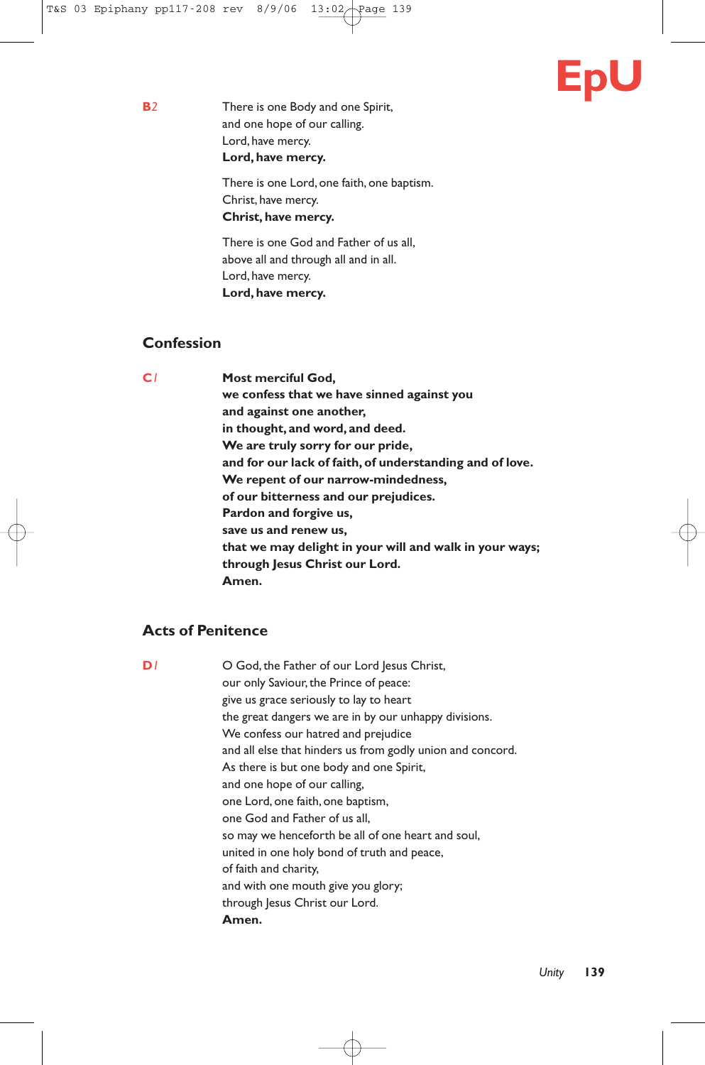

**B***2* There is one Body and one Spirit, and one hope of our calling. Lord, have mercy. **Lord, have mercy.**

> There is one Lord, one faith, one baptism. Christ, have mercy. **Christ, have mercy.**

There is one God and Father of us all, above all and through all and in all. Lord, have mercy. **Lord, have mercy.**

# **Confession**

**C***1* **Most merciful God, we confess that we have sinned against you and against one another, in thought, and word, and deed. We are truly sorry for our pride, and for our lack of faith, of understanding and of love. We repent of our narrow-mindedness, of our bitterness and our prejudices. Pardon and forgive us, save us and renew us, that we may delight in your will and walk in your ways; through Jesus Christ our Lord. Amen.**

# **Acts of Penitence**

**D**<sup>1</sup> O God, the Father of our Lord Jesus Christ, our only Saviour, the Prince of peace: give us grace seriously to lay to heart the great dangers we are in by our unhappy divisions. We confess our hatred and prejudice and all else that hinders us from godly union and concord. As there is but one body and one Spirit, and one hope of our calling, one Lord, one faith, one baptism, one God and Father of us all, so may we henceforth be all of one heart and soul, united in one holy bond of truth and peace, of faith and charity, and with one mouth give you glory; through Jesus Christ our Lord. **Amen.**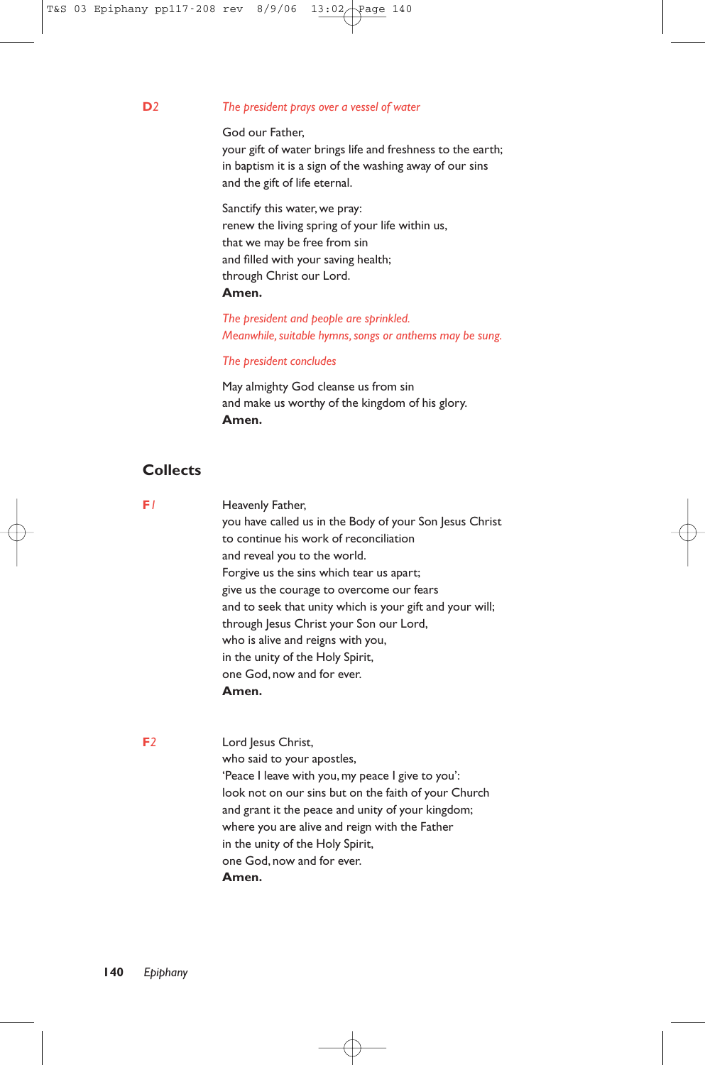#### **D***2 The president prays over a vessel of water*

God our Father,

your gift of water brings life and freshness to the earth; in baptism it is a sign of the washing away of our sins and the gift of life eternal.

Sanctify this water, we pray: renew the living spring of your life within us, that we may be free from sin and filled with your saving health; through Christ our Lord. **Amen.**

*The president and people are sprinkled. Meanwhile, suitable hymns, songs or anthems may be sung.*

#### *The president concludes*

May almighty God cleanse us from sin and make us worthy of the kingdom of his glory. **Amen.**

# **Collects**

**F***1* Heavenly Father, you have called us in the Body of your Son Jesus Christ to continue his work of reconciliation and reveal you to the world. Forgive us the sins which tear us apart; give us the courage to overcome our fears and to seek that unity which is your gift and your will; through Jesus Christ your Son our Lord, who is alive and reigns with you, in the unity of the Holy Spirit, one God, now and for ever. **Amen.**

**F***2* Lord Jesus Christ, who said to your apostles, 'Peace I leave with you, my peace I give to you': look not on our sins but on the faith of your Church and grant it the peace and unity of your kingdom; where you are alive and reign with the Father in the unity of the Holy Spirit, one God, now and for ever. **Amen.**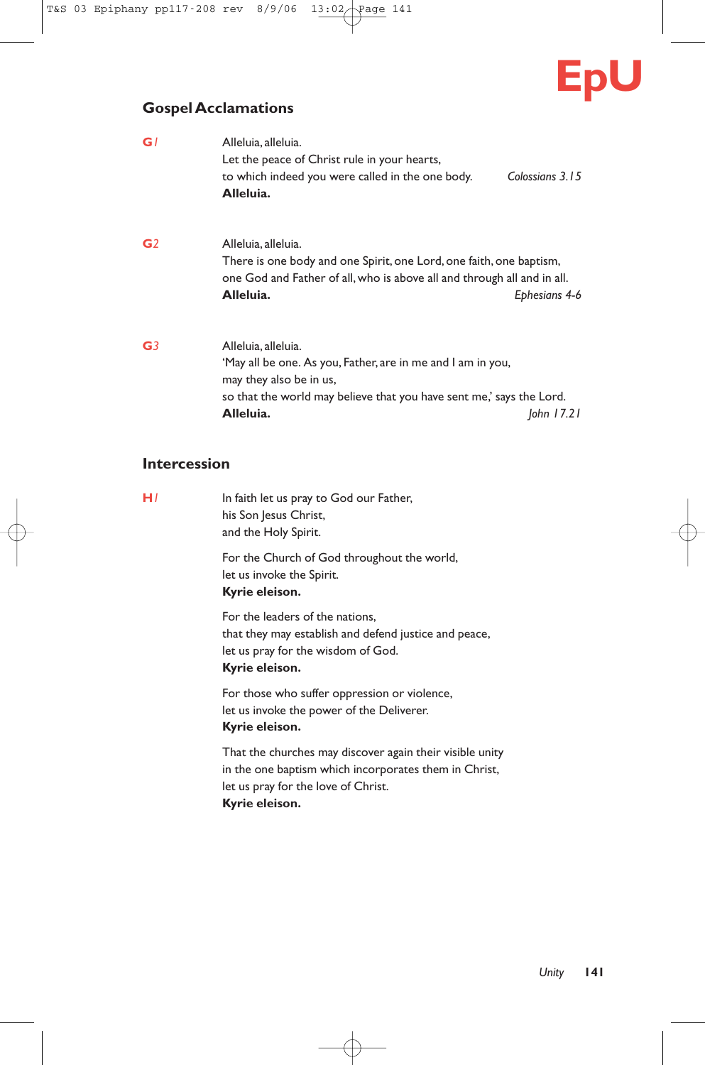

# **Gospel Acclamations**

| G۱ | Alleluia, alleluia.<br>Let the peace of Christ rule in your hearts,                                                                                                                                |                 |  |
|----|----------------------------------------------------------------------------------------------------------------------------------------------------------------------------------------------------|-----------------|--|
|    | to which indeed you were called in the one body.<br>Alleluia.                                                                                                                                      | Colossians 3.15 |  |
| G2 | Alleluia, alleluia.<br>There is one body and one Spirit, one Lord, one faith, one baptism,<br>one God and Father of all, who is above all and through all and in all.<br>Alleluia.                 | Ephesians 4-6   |  |
| G3 | Alleluia, alleluia.<br>'May all be one. As you, Father, are in me and I am in you,<br>may they also be in us,<br>so that the world may believe that you have sent me,' says the Lord.<br>Alleluia. | John $17.21$    |  |

# **Intercession**

| In faith let us pray to God our Father,<br>his Son Jesus Christ,<br>and the Holy Spirit.                                                                                   |
|----------------------------------------------------------------------------------------------------------------------------------------------------------------------------|
| For the Church of God throughout the world,<br>let us invoke the Spirit.<br>Kyrie eleison.                                                                                 |
| For the leaders of the nations.<br>that they may establish and defend justice and peace,<br>let us pray for the wisdom of God.<br>Kyrie eleison.                           |
| For those who suffer oppression or violence,<br>let us invoke the power of the Deliverer.<br>Kyrie eleison.                                                                |
| That the churches may discover again their visible unity<br>in the one baptism which incorporates them in Christ,<br>let us pray for the love of Christ.<br>Kyrie eleison. |
|                                                                                                                                                                            |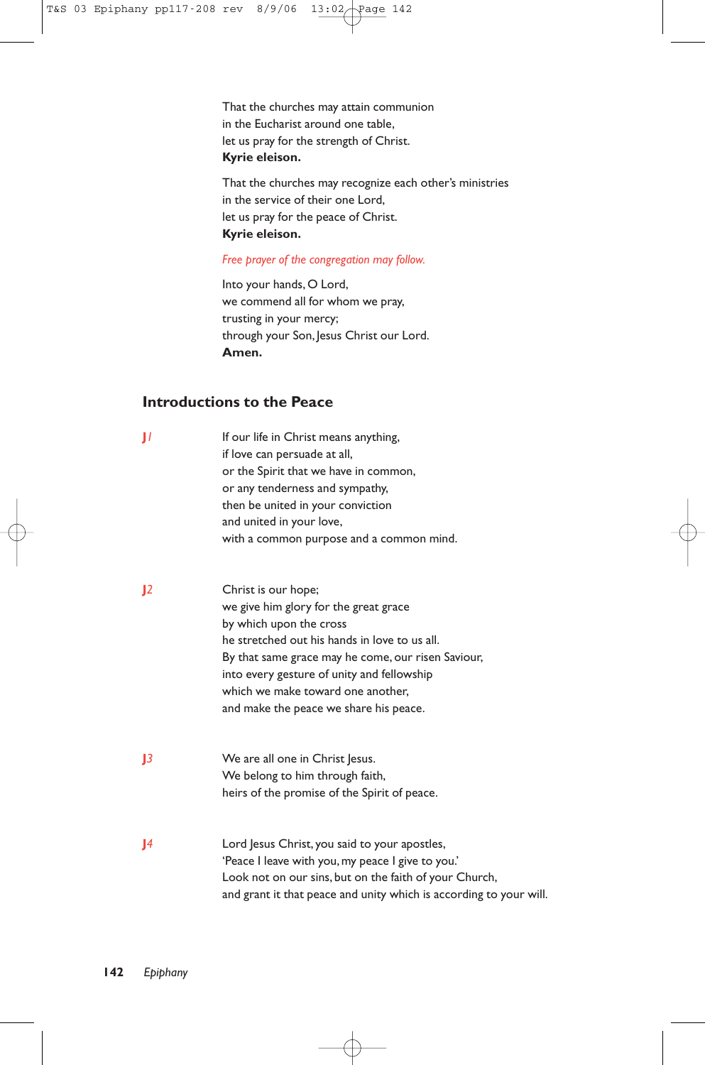That the churches may attain communion in the Eucharist around one table, let us pray for the strength of Christ. **Kyrie eleison.**

That the churches may recognize each other's ministries in the service of their one Lord, let us pray for the peace of Christ. **Kyrie eleison.**

#### *Free prayer of the congregation may follow.*

Into your hands, O Lord, we commend all for whom we pray, trusting in your mercy; through your Son, Jesus Christ our Lord. **Amen.**

# **Introductions to the Peace**

| П            | If our life in Christ means anything,<br>if love can persuade at all,<br>or the Spirit that we have in common,<br>or any tenderness and sympathy,<br>then be united in your conviction<br>and united in your love,<br>with a common purpose and a common mind.                                                              |
|--------------|-----------------------------------------------------------------------------------------------------------------------------------------------------------------------------------------------------------------------------------------------------------------------------------------------------------------------------|
| 12           | Christ is our hope;<br>we give him glory for the great grace<br>by which upon the cross<br>he stretched out his hands in love to us all.<br>By that same grace may he come, our risen Saviour,<br>into every gesture of unity and fellowship<br>which we make toward one another,<br>and make the peace we share his peace. |
| 13           | We are all one in Christ Jesus.<br>We belong to him through faith,<br>heirs of the promise of the Spirit of peace.                                                                                                                                                                                                          |
| $\mathbf{I}$ | Lord Jesus Christ, you said to your apostles,<br>'Peace I leave with you, my peace I give to you.'<br>Look not on our sins, but on the faith of your Church,<br>and grant it that peace and unity which is according to your will.                                                                                          |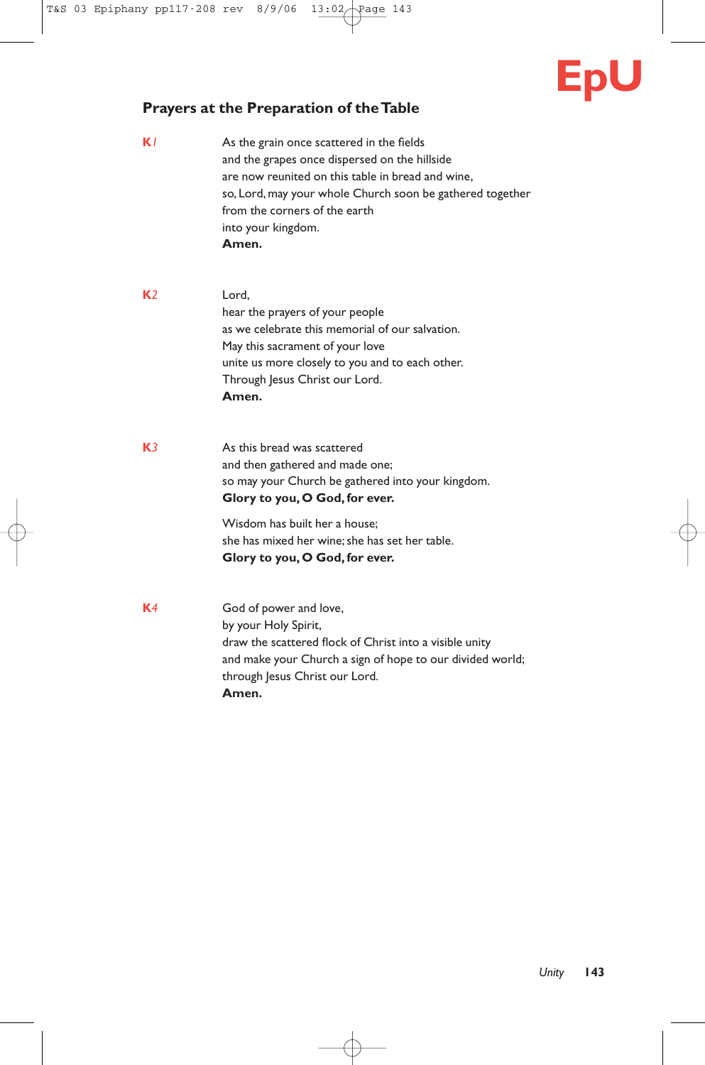

# **Prayers at the Preparation of the Table**

- **K***1* As the grain once scattered in the fields and the grapes once dispersed on the hillside are now reunited on this table in bread and wine, so, Lord, may your whole Church soon be gathered together from the corners of the earth into your kingdom. **Amen.**
- **K***2* Lord, hear the prayers of your people as we celebrate this memorial of our salvation. May this sacrament of your love unite us more closely to you and to each other. Through Jesus Christ our Lord. **Amen.**
- **K***3* As this bread was scattered and then gathered and made one; so may your Church be gathered into your kingdom. **Glory to you, O God, for ever.**

Wisdom has built her a house; she has mixed her wine; she has set her table. **Glory to you, O God, for ever.**

**K***4* God of power and love, by your Holy Spirit, draw the scattered flock of Christ into a visible unity and make your Church a sign of hope to our divided world; through Jesus Christ our Lord. **Amen.**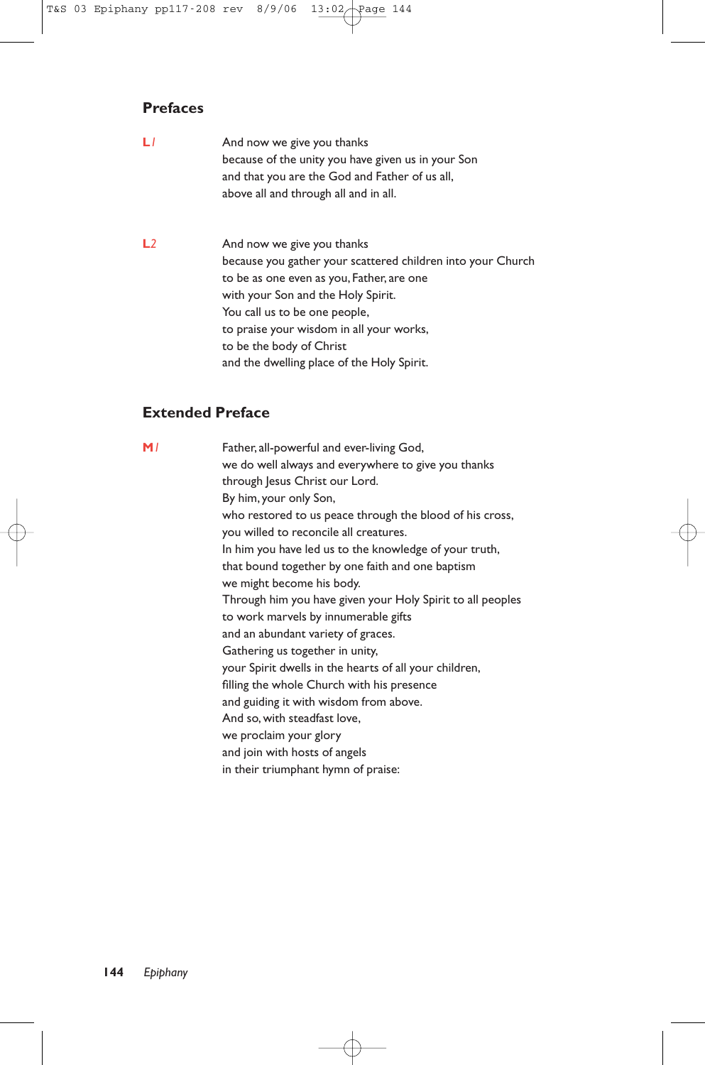# **Prefaces**

| LI | And now we give you thanks                         |
|----|----------------------------------------------------|
|    | because of the unity you have given us in your Son |
|    | and that you are the God and Father of us all,     |
|    | above all and through all and in all.              |

L<sub>2</sub> And now we give you thanks because you gather your scattered children into your Church to be as one even as you, Father, are one with your Son and the Holy Spirit. You call us to be one people, to praise your wisdom in all your works, to be the body of Christ and the dwelling place of the Holy Spirit.

# **Extended Preface**

| M/ | Father, all-powerful and ever-living God,                  |
|----|------------------------------------------------------------|
|    | we do well always and everywhere to give you thanks        |
|    | through Jesus Christ our Lord.                             |
|    | By him, your only Son,                                     |
|    | who restored to us peace through the blood of his cross,   |
|    | you willed to reconcile all creatures.                     |
|    | In him you have led us to the knowledge of your truth,     |
|    | that bound together by one faith and one baptism           |
|    | we might become his body.                                  |
|    | Through him you have given your Holy Spirit to all peoples |
|    | to work marvels by innumerable gifts                       |
|    | and an abundant variety of graces.                         |
|    | Gathering us together in unity,                            |
|    | your Spirit dwells in the hearts of all your children,     |
|    | filling the whole Church with his presence                 |
|    | and guiding it with wisdom from above.                     |
|    | And so, with steadfast love,                               |
|    | we proclaim your glory                                     |
|    | and join with hosts of angels                              |
|    | in their triumphant hymn of praise:                        |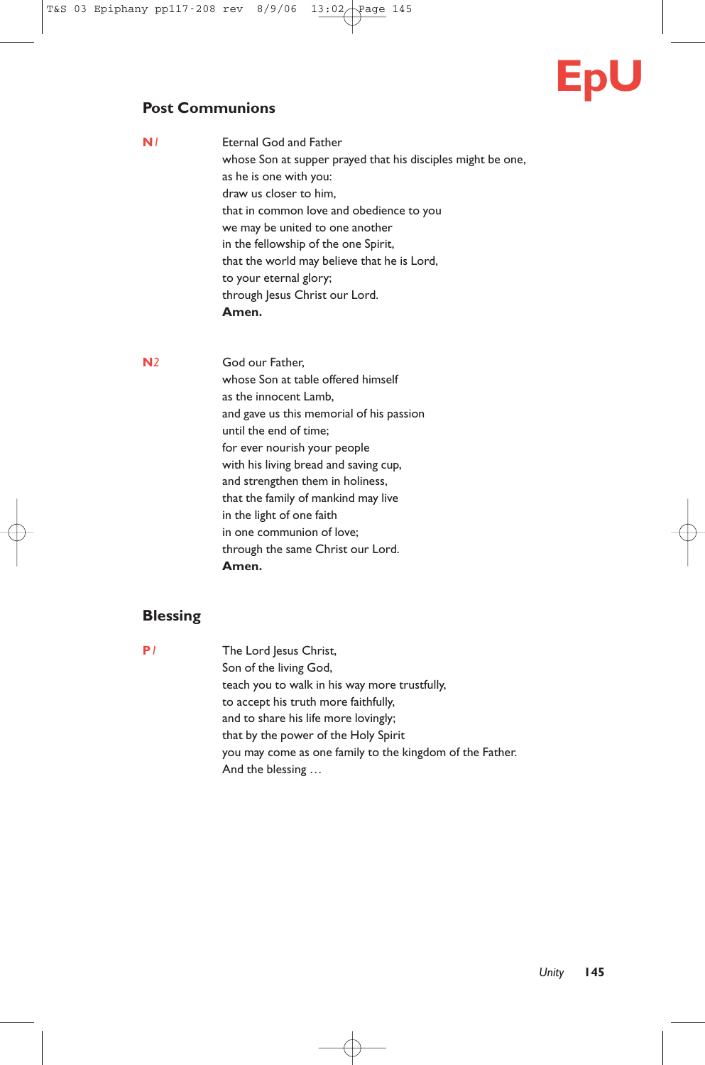# **EpU**

# **Post Communions**

| N/ | Eternal God and Father                                      |
|----|-------------------------------------------------------------|
|    | whose Son at supper prayed that his disciples might be one, |
|    | as he is one with you:                                      |
|    | draw us closer to him,                                      |
|    | that in common love and obedience to you                    |
|    | we may be united to one another                             |
|    | in the fellowship of the one Spirit,                        |
|    | that the world may believe that he is Lord,                 |
|    | to your eternal glory;                                      |
|    | through Jesus Christ our Lord.                              |
|    | Amen.                                                       |
|    |                                                             |

**N***2* God our Father, whose Son at table offered himself as the innocent Lamb, and gave us this memorial of his passion until the end of time; for ever nourish your people with his living bread and saving cup, and strengthen them in holiness, that the family of mankind may live in the light of one faith in one communion of love; through the same Christ our Lord. **Amen.**

# **Blessing**

**P***1* The Lord Jesus Christ, Son of the living God, teach you to walk in his way more trustfully, to accept his truth more faithfully, and to share his life more lovingly; that by the power of the Holy Spirit you may come as one family to the kingdom of the Father. And the blessing …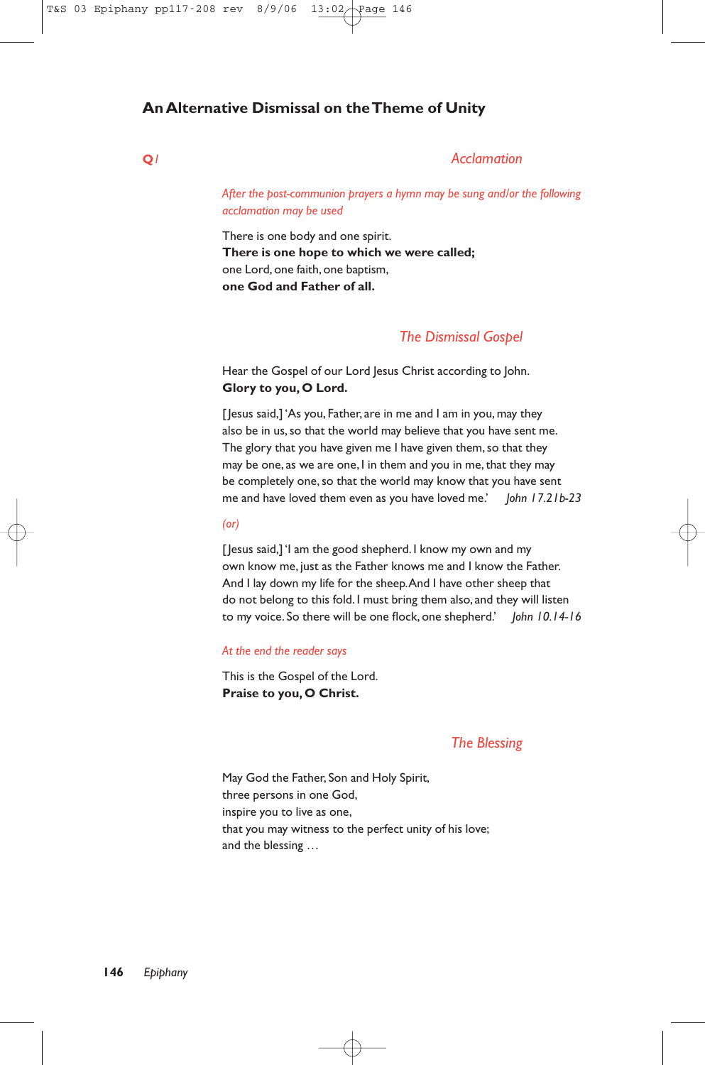# **An Alternative Dismissal on the Theme of Unity**

#### **Q***1 Acclamation*

*After the post-communion prayers a hymn may be sung and/or the following acclamation may be used*

There is one body and one spirit. **There is one hope to which we were called;** one Lord, one faith, one baptism, **one God and Father of all.**

# *The Dismissal Gospel*

Hear the Gospel of our Lord Jesus Christ according to John. **Glory to you, O Lord.**

[Jesus said,] 'As you, Father, are in me and I am in you, may they also be in us, so that the world may believe that you have sent me. The glory that you have given me I have given them, so that they may be one, as we are one, I in them and you in me, that they may be completely one, so that the world may know that you have sent me and have loved them even as you have loved me.' *John 17.21b-23*

#### *(or)*

[Jesus said,] 'I am the good shepherd. I know my own and my own know me, just as the Father knows me and I know the Father. And I lay down my life for the sheep.And I have other sheep that do not belong to this fold. I must bring them also, and they will listen to my voice. So there will be one flock, one shepherd.' *John 10.14-16*

#### *At the end the reader says*

This is the Gospel of the Lord. **Praise to you, O Christ.**

### *The Blessing*

May God the Father, Son and Holy Spirit, three persons in one God, inspire you to live as one, that you may witness to the perfect unity of his love; and the blessing …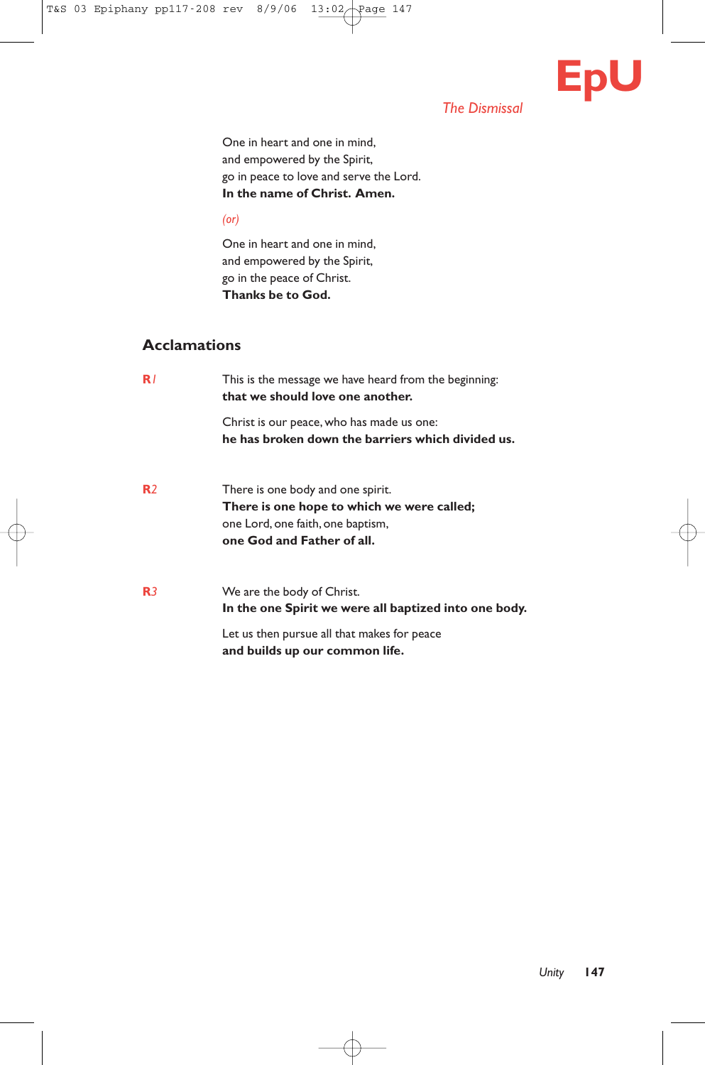

# *The Dismissal*

One in heart and one in mind, and empowered by the Spirit, go in peace to love and serve the Lord. **In the name of Christ. Amen.**

*(or)*

One in heart and one in mind, and empowered by the Spirit, go in the peace of Christ. **Thanks be to God.**

# **Acclamations**

| R/             | This is the message we have heard from the beginning:<br>that we should love one another.                                                          |
|----------------|----------------------------------------------------------------------------------------------------------------------------------------------------|
|                | Christ is our peace, who has made us one:<br>he has broken down the barriers which divided us.                                                     |
| R <sub>2</sub> | There is one body and one spirit.<br>There is one hope to which we were called;<br>one Lord, one faith, one baptism,<br>one God and Father of all. |
| R3             | We are the body of Christ.<br>In the one Spirit we were all baptized into one body.                                                                |
|                | Let us then pursue all that makes for peace<br>and builds up our common life.                                                                      |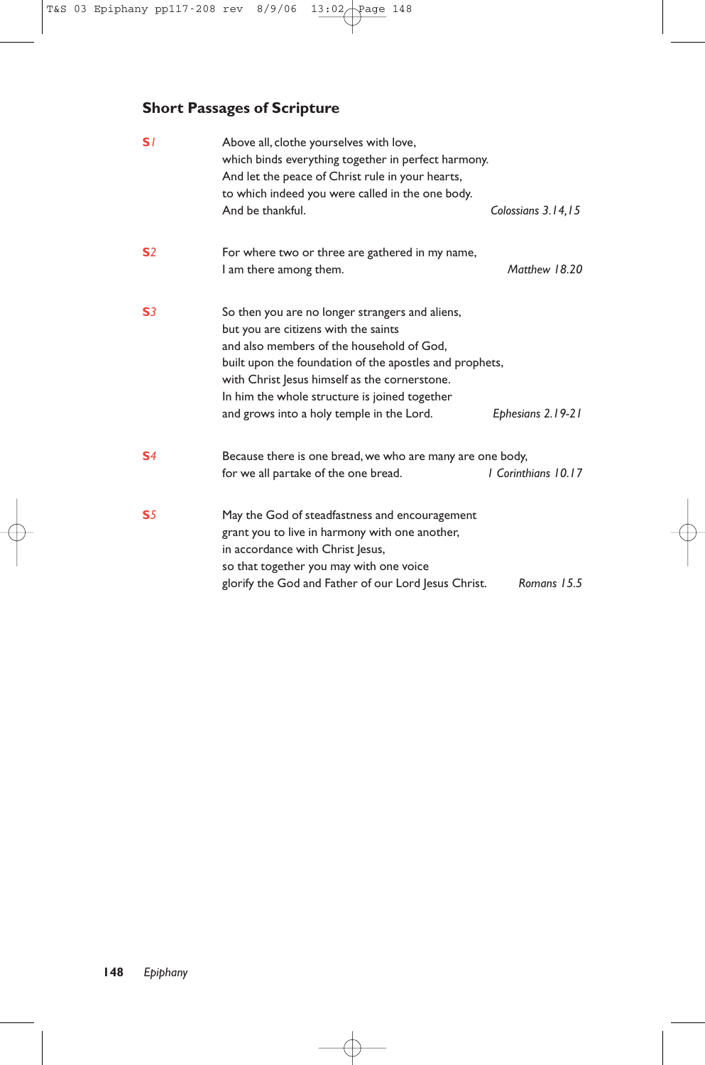# **Short Passages of Scripture**

| S <sub>1</sub> | Above all, clothe yourselves with love,<br>which binds everything together in perfect harmony.<br>And let the peace of Christ rule in your hearts,<br>to which indeed you were called in the one body.                                                                                                                                                              |
|----------------|---------------------------------------------------------------------------------------------------------------------------------------------------------------------------------------------------------------------------------------------------------------------------------------------------------------------------------------------------------------------|
|                | And be thankful.<br>Colossians 3.14,15                                                                                                                                                                                                                                                                                                                              |
| S <sub>2</sub> | For where two or three are gathered in my name,<br>Matthew 18.20<br>I am there among them.                                                                                                                                                                                                                                                                          |
| S <sub>3</sub> | So then you are no longer strangers and aliens,<br>but you are citizens with the saints<br>and also members of the household of God,<br>built upon the foundation of the apostles and prophets,<br>with Christ Jesus himself as the cornerstone.<br>In him the whole structure is joined together<br>and grows into a holy temple in the Lord.<br>Ephesians 2.19-21 |
|                |                                                                                                                                                                                                                                                                                                                                                                     |
| S <sub>4</sub> | Because there is one bread, we who are many are one body,<br>I Corinthians 10.17<br>for we all partake of the one bread.                                                                                                                                                                                                                                            |
| S <sub>5</sub> | May the God of steadfastness and encouragement<br>grant you to live in harmony with one another,<br>in accordance with Christ Jesus,<br>so that together you may with one voice<br>glorify the God and Father of our Lord Jesus Christ.<br>Romans 15.5                                                                                                              |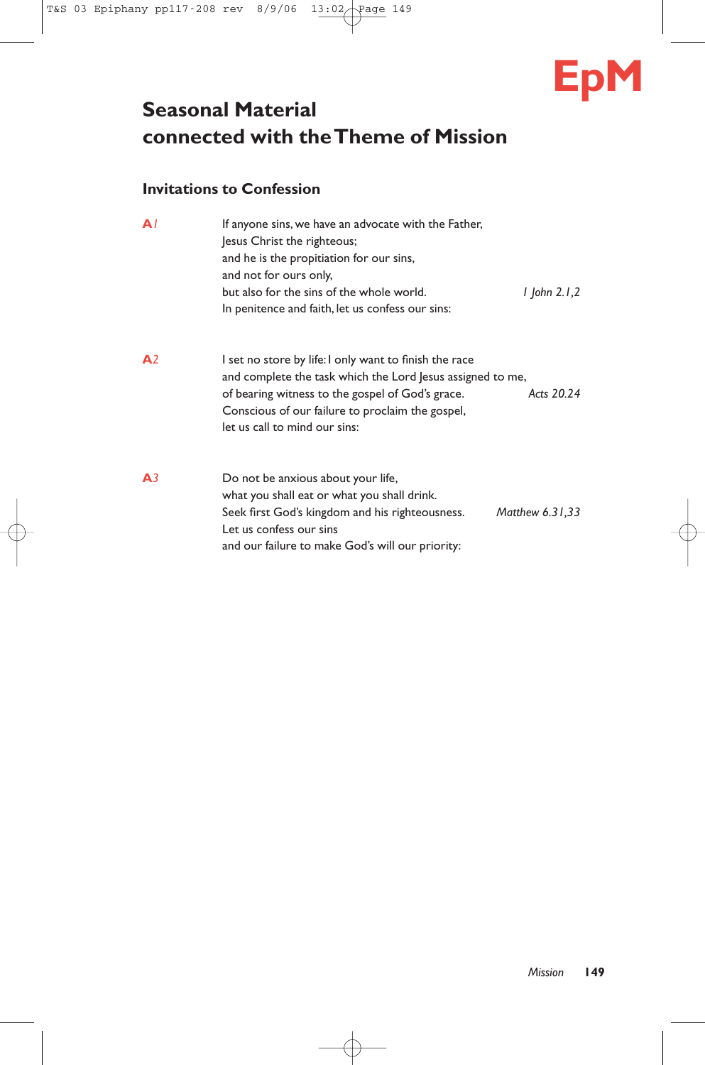

# **Seasonal Material connected with the Theme of Mission**

# **Invitations to Confession**

| A              | If anyone sins, we have an advocate with the Father,<br>Jesus Christ the righteous;<br>and he is the propitiation for our sins,<br>and not for ours only,<br>but also for the sins of the whole world.<br>l John 2.1,2<br>In penitence and faith, let us confess our sins:  |  |
|----------------|-----------------------------------------------------------------------------------------------------------------------------------------------------------------------------------------------------------------------------------------------------------------------------|--|
| A <sup>2</sup> | I set no store by life: I only want to finish the race<br>and complete the task which the Lord Jesus assigned to me,<br>Acts 20.24<br>of bearing witness to the gospel of God's grace.<br>Conscious of our failure to proclaim the gospel,<br>let us call to mind our sins: |  |
| A <sub>3</sub> | Do not be anxious about your life,<br>what you shall eat or what you shall drink.<br>Matthew 6.31,33<br>Seek first God's kingdom and his righteousness.<br>Let us confess our sins<br>and our failure to make God's will our priority:                                      |  |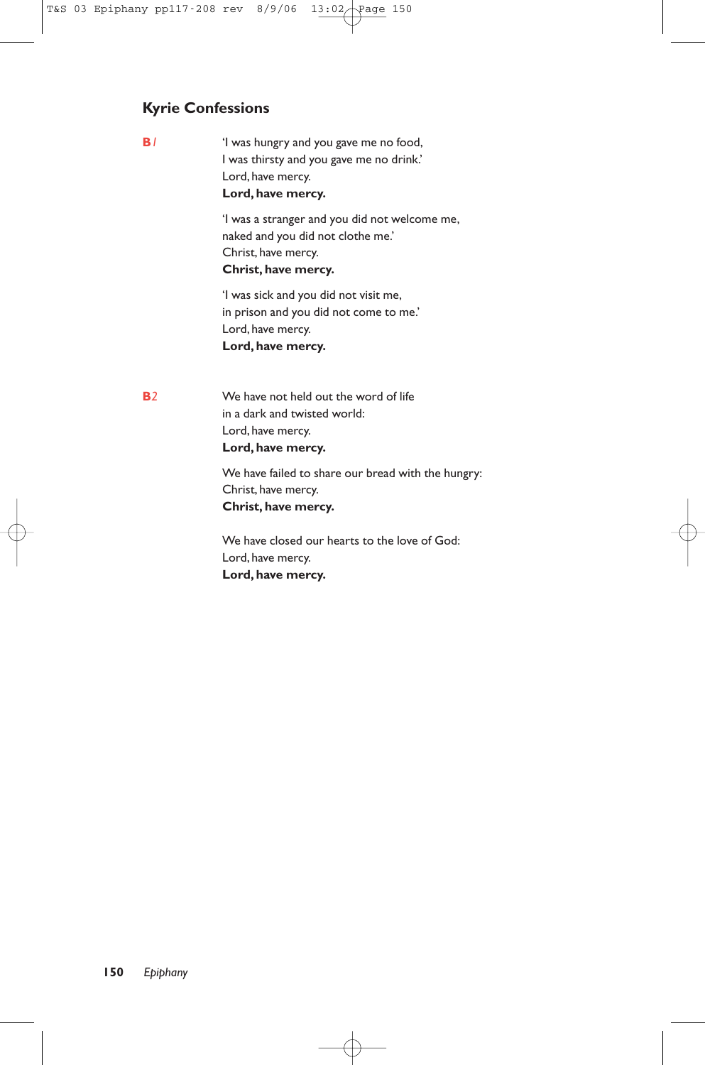# **Kyrie Confessions**

**B***1* 'I was hungry and you gave me no food, I was thirsty and you gave me no drink.' Lord, have mercy. **Lord, have mercy.**

> 'I was a stranger and you did not welcome me, naked and you did not clothe me.' Christ, have mercy. **Christ, have mercy.**

'I was sick and you did not visit me, in prison and you did not come to me.' Lord, have mercy. **Lord, have mercy.**

**B***2* We have not held out the word of life in a dark and twisted world: Lord, have mercy. **Lord, have mercy.**

> We have failed to share our bread with the hungry: Christ, have mercy. **Christ, have mercy.**

We have closed our hearts to the love of God: Lord, have mercy. **Lord, have mercy.**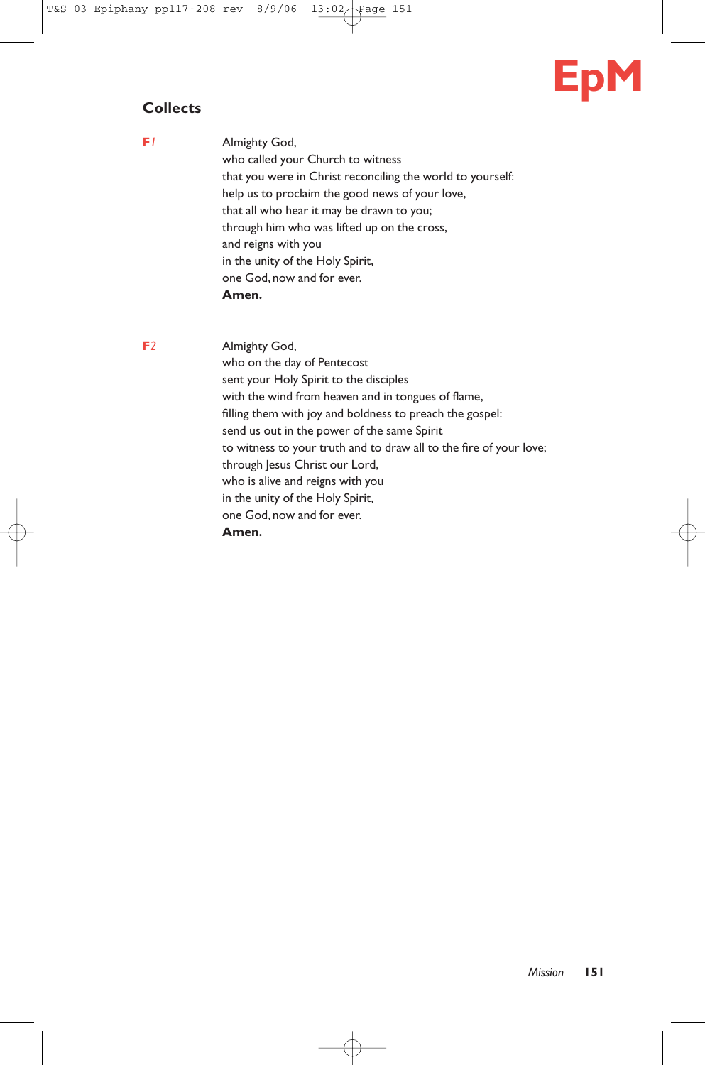# **EpM**

# **Collects**

**F***1* Almighty God, who called your Church to witness that you were in Christ reconciling the world to yourself: help us to proclaim the good news of your love, that all who hear it may be drawn to you; through him who was lifted up on the cross, and reigns with you in the unity of the Holy Spirit, one God, now and for ever. **Amen.**

**F***2* Almighty God, who on the day of Pentecost sent your Holy Spirit to the disciples with the wind from heaven and in tongues of flame, filling them with joy and boldness to preach the gospel: send us out in the power of the same Spirit to witness to your truth and to draw all to the fire of your love; through Jesus Christ our Lord, who is alive and reigns with you in the unity of the Holy Spirit, one God, now and for ever. **Amen.**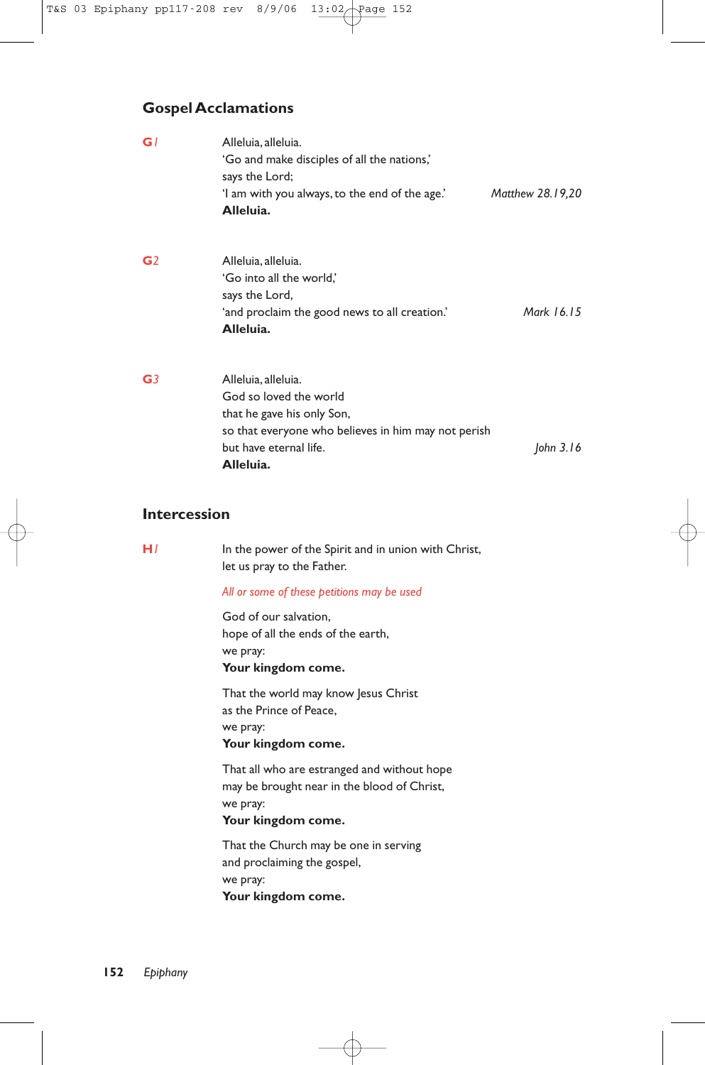# **Gospel Acclamations**

| GI             | Alleluia, alleluia.<br>'Go and make disciples of all the nations,'<br>says the Lord;                                                                                      |                  |
|----------------|---------------------------------------------------------------------------------------------------------------------------------------------------------------------------|------------------|
|                | 'I am with you always, to the end of the age.'<br>Alleluia.                                                                                                               | Matthew 28.19,20 |
| G <sub>2</sub> | Alleluia, alleluia.<br>'Go into all the world,'<br>says the Lord,<br>'and proclaim the good news to all creation.'<br>Alleluia.                                           | Mark 16.15       |
| G <sub>3</sub> | Alleluia, alleluia.<br>God so loved the world<br>that he gave his only Son,<br>so that everyone who believes in him may not perish<br>but have eternal life.<br>Alleluia. | John $3.16$      |

# **Intercession**

| H I | In the power of the Spirit and in union with Christ,<br>let us pray to the Father.                                           |
|-----|------------------------------------------------------------------------------------------------------------------------------|
|     | All or some of these petitions may be used                                                                                   |
|     | God of our salvation.<br>hope of all the ends of the earth,<br>we pray:<br>Your kingdom come.                                |
|     | That the world may know Jesus Christ<br>as the Prince of Peace,<br>we pray:<br>Your kingdom come.                            |
|     | That all who are estranged and without hope<br>may be brought near in the blood of Christ,<br>we pray:<br>Your kingdom come. |
|     | That the Church may be one in serving<br>and proclaiming the gospel,<br>we pray:<br>Your kingdom come.                       |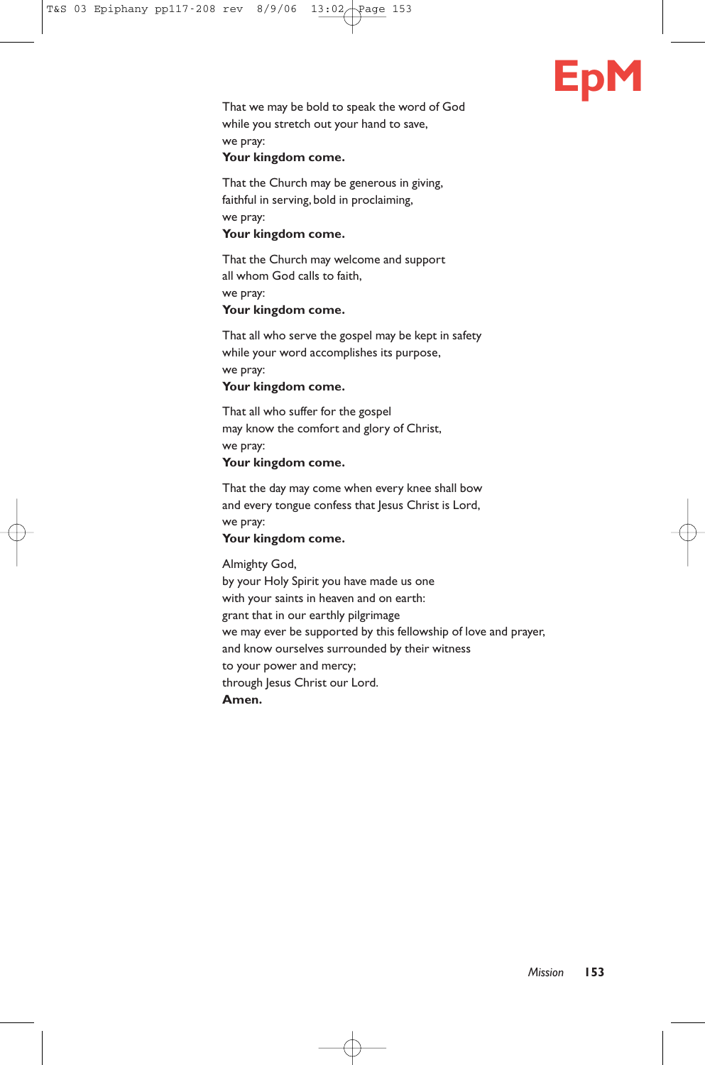

That we may be bold to speak the word of God while you stretch out your hand to save, we pray:

# **Your kingdom come.**

That the Church may be generous in giving, faithful in serving, bold in proclaiming, we pray: **Your kingdom come.**

That the Church may welcome and support

all whom God calls to faith,

we pray:

# **Your kingdom come.**

That all who serve the gospel may be kept in safety while your word accomplishes its purpose, we pray:

**Your kingdom come.**

That all who suffer for the gospel may know the comfort and glory of Christ, we pray: **Your kingdom come.**

That the day may come when every knee shall bow and every tongue confess that Jesus Christ is Lord, we pray:

# **Your kingdom come.**

Almighty God,

by your Holy Spirit you have made us one with your saints in heaven and on earth: grant that in our earthly pilgrimage we may ever be supported by this fellowship of love and prayer, and know ourselves surrounded by their witness to your power and mercy; through Jesus Christ our Lord. **Amen.**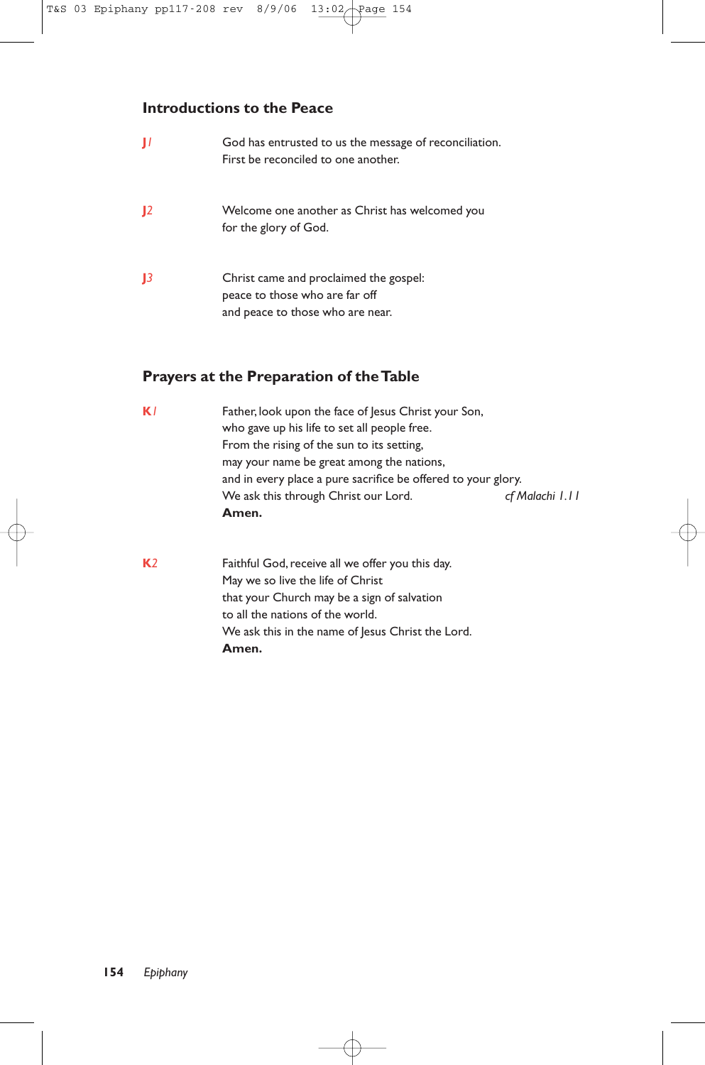# **Introductions to the Peace**

|              | God has entrusted to us the message of reconciliation.<br>First be reconciled to one another.                |
|--------------|--------------------------------------------------------------------------------------------------------------|
| $\mathbf{I}$ | Welcome one another as Christ has welcomed you<br>for the glory of God.                                      |
|              | Christ came and proclaimed the gospel:<br>peace to those who are far off<br>and peace to those who are near. |

# **Prayers at the Preparation of the Table**

| Father, look upon the face of Jesus Christ your Son,          |                 |  |
|---------------------------------------------------------------|-----------------|--|
| who gave up his life to set all people free.                  |                 |  |
| From the rising of the sun to its setting,                    |                 |  |
| may your name be great among the nations,                     |                 |  |
| and in every place a pure sacrifice be offered to your glory. |                 |  |
| We ask this through Christ our Lord.                          | cf Malachi 1.11 |  |
| Amen.                                                         |                 |  |
|                                                               |                 |  |

**K**<sub>2</sub> Faithful God, receive all we offer you this day. May we so live the life of Christ that your Church may be a sign of salvation to all the nations of the world. We ask this in the name of Jesus Christ the Lord. **Amen.**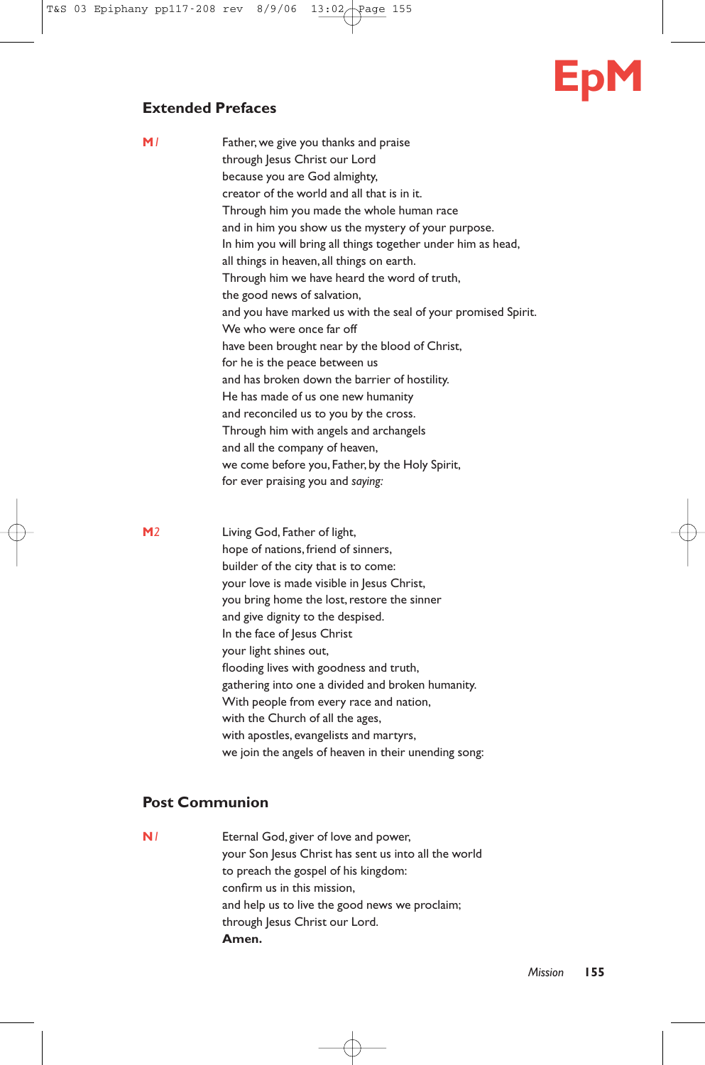# **EpM**

# **Extended Prefaces**

| M/ | Father, we give you thanks and praise                         |
|----|---------------------------------------------------------------|
|    | through Jesus Christ our Lord                                 |
|    | because you are God almighty,                                 |
|    | creator of the world and all that is in it.                   |
|    | Through him you made the whole human race                     |
|    | and in him you show us the mystery of your purpose.           |
|    | In him you will bring all things together under him as head,  |
|    | all things in heaven, all things on earth.                    |
|    | Through him we have heard the word of truth,                  |
|    | the good news of salvation,                                   |
|    | and you have marked us with the seal of your promised Spirit. |
|    | We who were once far off                                      |
|    | have been brought near by the blood of Christ,                |
|    | for he is the peace between us                                |
|    | and has broken down the barrier of hostility.                 |
|    | He has made of us one new humanity                            |
|    | and reconciled us to you by the cross.                        |
|    | Through him with angels and archangels                        |
|    | and all the company of heaven,                                |
|    | we come before you, Father, by the Holy Spirit,               |
|    | for ever praising you and saying:                             |
|    |                                                               |

**M***2* Living God, Father of light, hope of nations, friend of sinners, builder of the city that is to come: your love is made visible in Jesus Christ, you bring home the lost, restore the sinner and give dignity to the despised. In the face of Jesus Christ your light shines out, flooding lives with goodness and truth, gathering into one a divided and broken humanity. With people from every race and nation, with the Church of all the ages, with apostles, evangelists and martyrs, we join the angels of heaven in their unending song:

# **Post Communion**

**N***1* Eternal God, giver of love and power, your Son Jesus Christ has sent us into all the world to preach the gospel of his kingdom: confirm us in this mission, and help us to live the good news we proclaim; through Jesus Christ our Lord. **Amen.**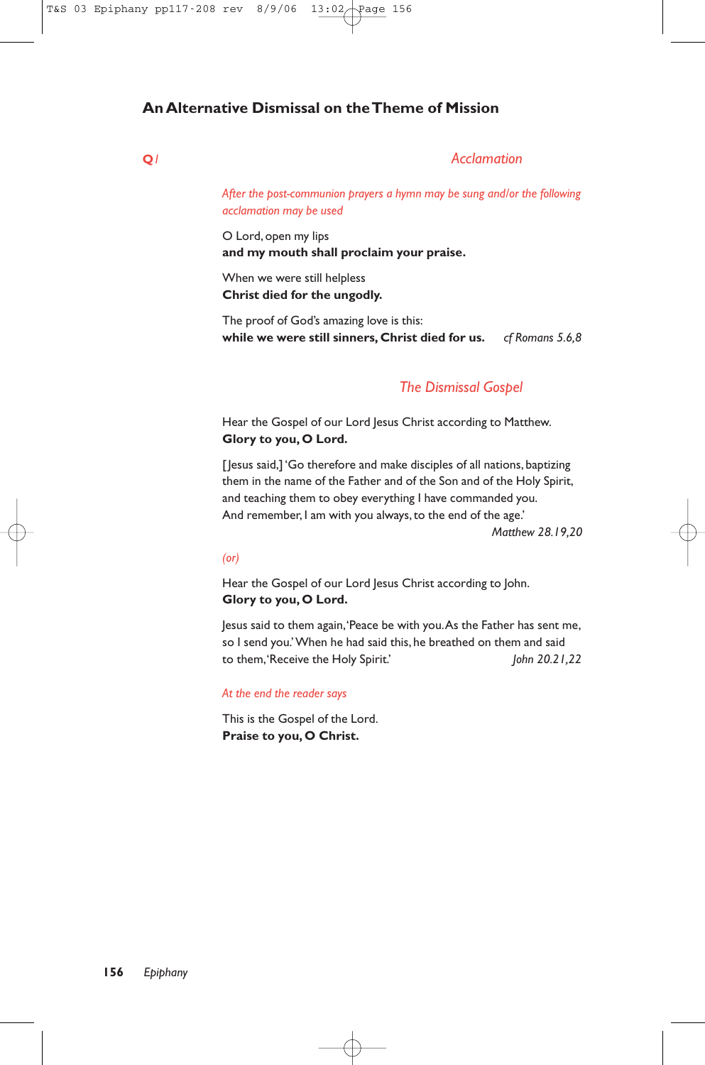# **An Alternative Dismissal on the Theme of Mission**

# **Q***1 Acclamation*

*After the post-communion prayers a hymn may be sung and/or the following acclamation may be used*

O Lord, open my lips **and my mouth shall proclaim your praise.**

When we were still helpless **Christ died for the ungodly.**

The proof of God's amazing love is this: **while we were still sinners, Christ died for us.** *cf Romans 5.6,8* 

# *The Dismissal Gospel*

Hear the Gospel of our Lord Jesus Christ according to Matthew. **Glory to you, O Lord.**

[Jesus said,] 'Go therefore and make disciples of all nations, baptizing them in the name of the Father and of the Son and of the Holy Spirit, and teaching them to obey everything I have commanded you. And remember, I am with you always, to the end of the age.'

*Matthew 28.19,20*

#### *(or)*

Hear the Gospel of our Lord Jesus Christ according to John. **Glory to you, O Lord.**

Jesus said to them again,'Peace be with you.As the Father has sent me, so I send you.'When he had said this, he breathed on them and said to them,'Receive the Holy Spirit.' *John 20.21,22*

#### *At the end the reader says*

This is the Gospel of the Lord. **Praise to you, O Christ.**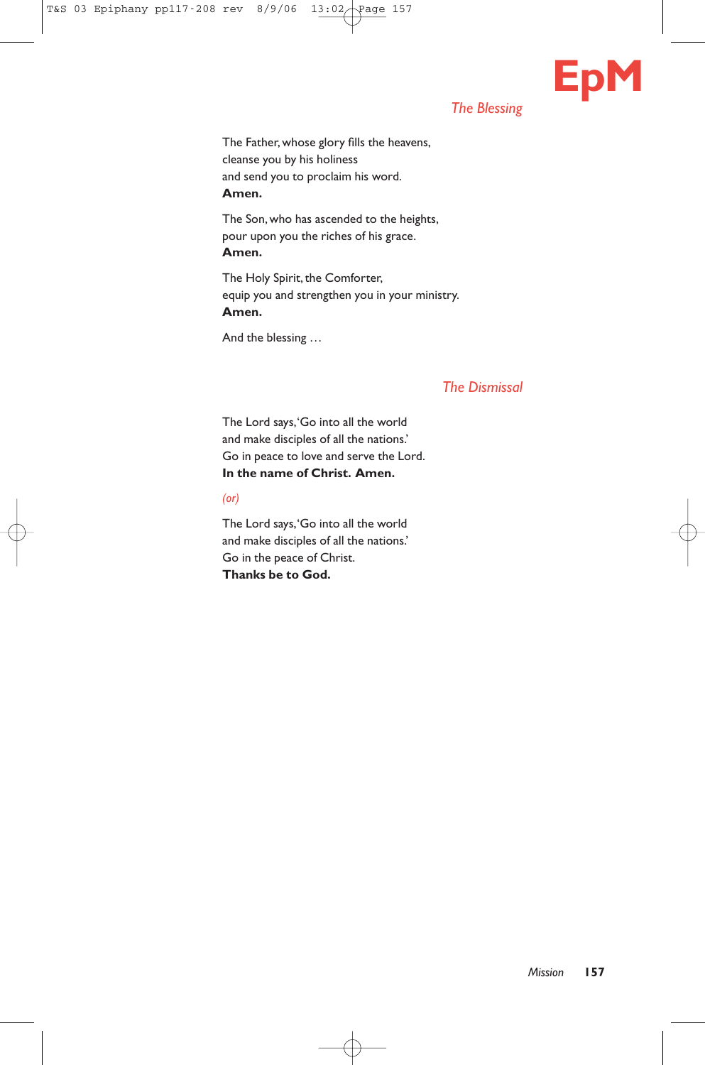# *The Blessing*

**EpM**

The Father, whose glory fills the heavens, cleanse you by his holiness and send you to proclaim his word. **Amen.**

The Son, who has ascended to the heights, pour upon you the riches of his grace. **Amen.**

The Holy Spirit, the Comforter, equip you and strengthen you in your ministry. **Amen.**

And the blessing …

# *The Dismissal*

The Lord says,'Go into all the world and make disciples of all the nations.' Go in peace to love and serve the Lord. **In the name of Christ. Amen.**

*(or)*

The Lord says,'Go into all the world and make disciples of all the nations.' Go in the peace of Christ. **Thanks be to God.**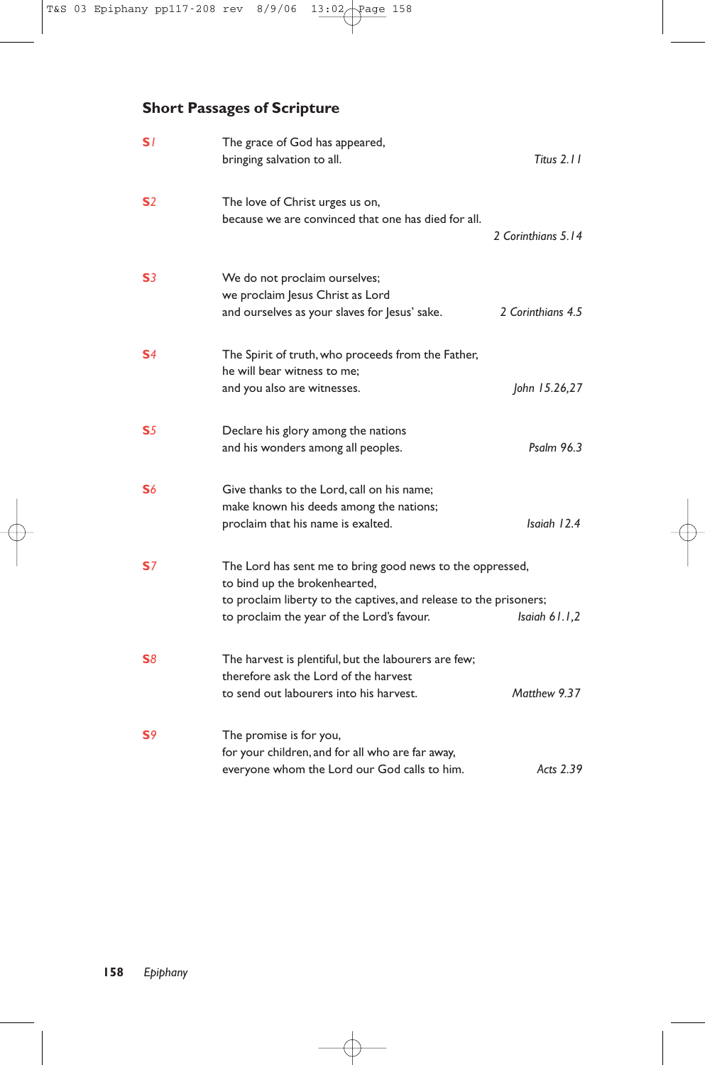# **Short Passages of Scripture**

| S/             | The grace of God has appeared,<br>bringing salvation to all.                                                                                                                                                   | Titus $2.11$       |
|----------------|----------------------------------------------------------------------------------------------------------------------------------------------------------------------------------------------------------------|--------------------|
| S <sub>2</sub> | The love of Christ urges us on,<br>because we are convinced that one has died for all.                                                                                                                         | 2 Corinthians 5.14 |
| S <sub>3</sub> | We do not proclaim ourselves;<br>we proclaim Jesus Christ as Lord<br>and ourselves as your slaves for Jesus' sake.                                                                                             | 2 Corinthians 4.5  |
| S <sub>4</sub> | The Spirit of truth, who proceeds from the Father,<br>he will bear witness to me:<br>and you also are witnesses.                                                                                               | John 15.26,27      |
| S <sub>5</sub> | Declare his glory among the nations<br>and his wonders among all peoples.                                                                                                                                      | Psalm 96.3         |
| S6             | Give thanks to the Lord, call on his name;<br>make known his deeds among the nations;<br>proclaim that his name is exalted.                                                                                    | Isaiah 12.4        |
| <b>S</b> 7     | The Lord has sent me to bring good news to the oppressed,<br>to bind up the brokenhearted,<br>to proclaim liberty to the captives, and release to the prisoners;<br>to proclaim the year of the Lord's favour. | Isaiah $61.1,2$    |
| S8             | The harvest is plentiful, but the labourers are few;<br>therefore ask the Lord of the harvest<br>to send out labourers into his harvest.                                                                       | Matthew 9.37       |
| S <sub>9</sub> | The promise is for you,<br>for your children, and for all who are far away,<br>everyone whom the Lord our God calls to him.                                                                                    | Acts 2.39          |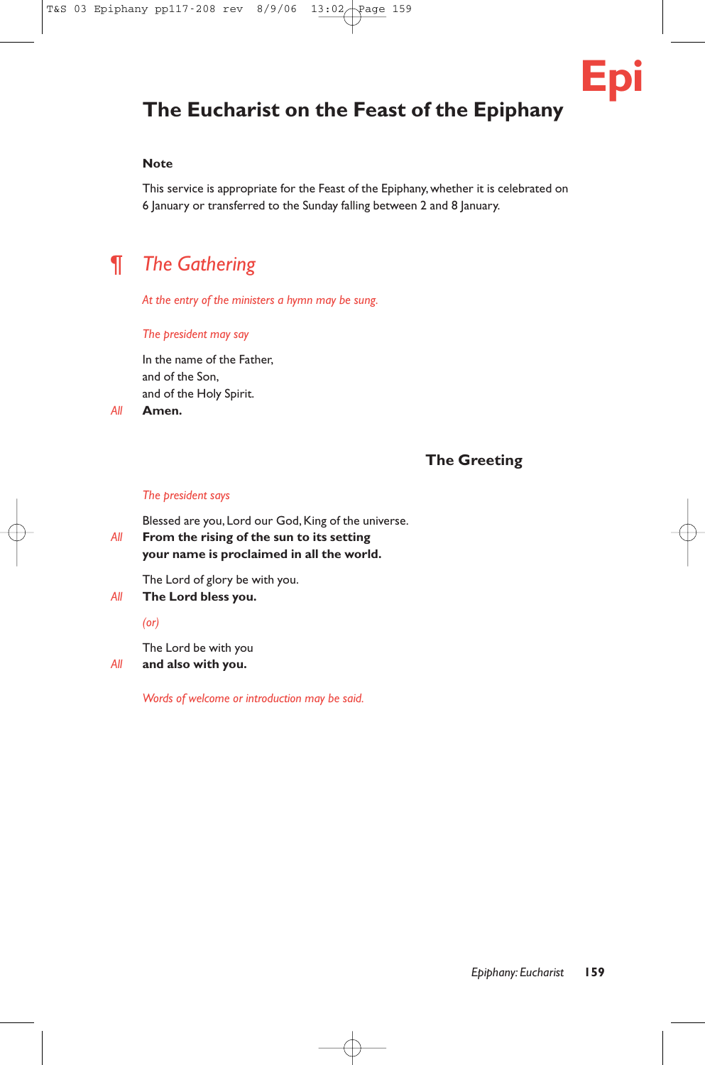

# **The Eucharist on the Feast of the Epiphany**

# **Note**

This service is appropriate for the Feast of the Epiphany, whether it is celebrated on 6 January or transferred to the Sunday falling between 2 and 8 January.

# ¶ *The Gathering*

*At the entry of the ministers a hymn may be sung.*

#### *The president may say*

In the name of the Father, and of the Son, and of the Holy Spirit.

*All* **Amen.**

# **The Greeting**

## *The president says*

Blessed are you, Lord our God, King of the universe.

# *All* **From the rising of the sun to its setting your name is proclaimed in all the world.**

The Lord of glory be with you.

*All* **The Lord bless you.**

*(or)*

The Lord be with you

# *All* **and also with you.**

*Words of welcome or introduction may be said.*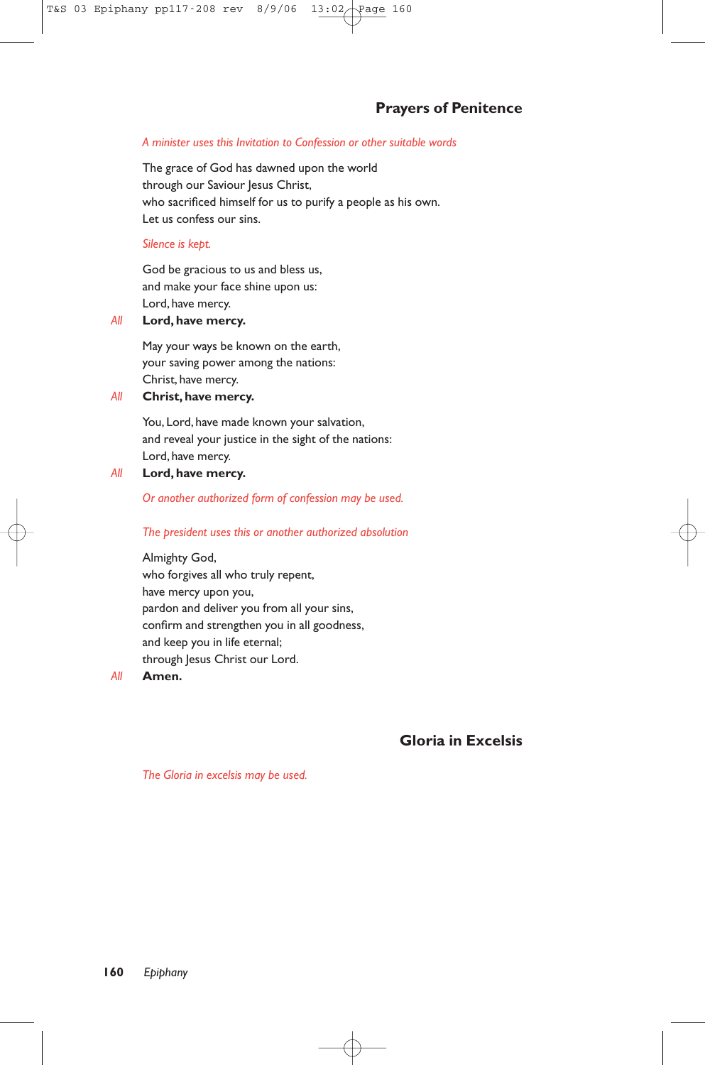# *A minister uses this Invitation to Confession or other suitable words*

The grace of God has dawned upon the world through our Saviour Jesus Christ, who sacrificed himself for us to purify a people as his own. Let us confess our sins.

## *Silence is kept.*

God be gracious to us and bless us, and make your face shine upon us: Lord, have mercy.

## *All* **Lord, have mercy.**

May your ways be known on the earth, your saving power among the nations: Christ, have mercy.

# *All* **Christ, have mercy.**

You, Lord, have made known your salvation, and reveal your justice in the sight of the nations: Lord, have mercy.

# *All* **Lord, have mercy.**

*Or another authorized form of confession may be used.*

### *The president uses this or another authorized absolution*

Almighty God, who forgives all who truly repent, have mercy upon you, pardon and deliver you from all your sins, confirm and strengthen you in all goodness, and keep you in life eternal; through Jesus Christ our Lord.

*All* **Amen.**

# **Gloria in Excelsis**

*The Gloria in excelsis may be used.*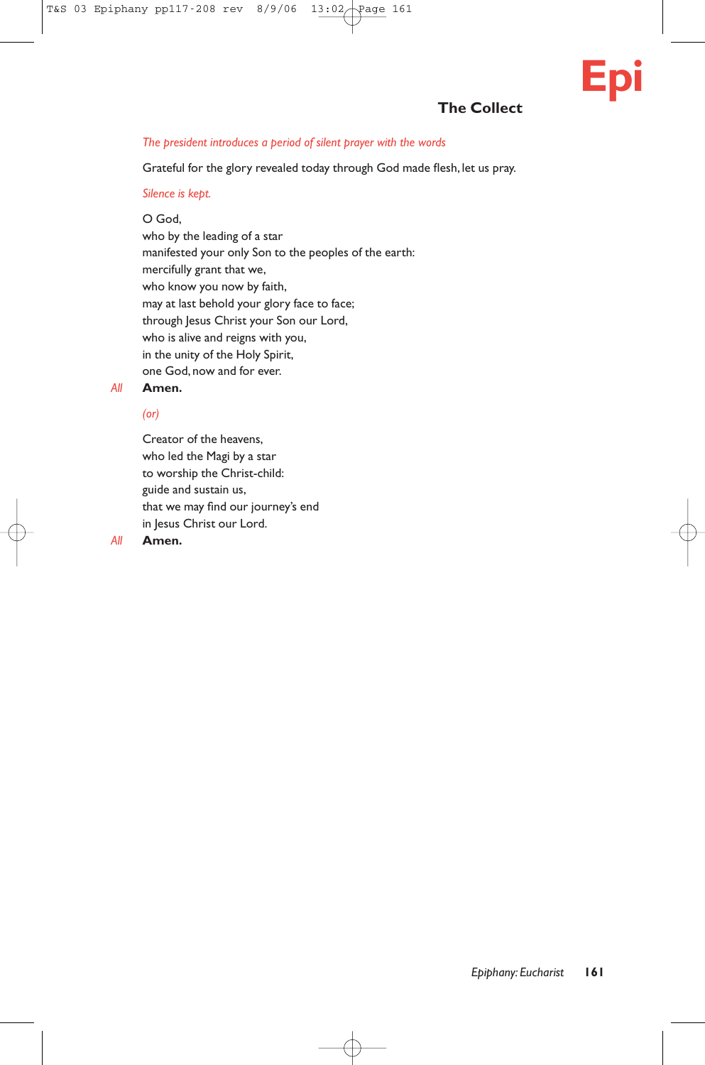# **The Collect**

## *The president introduces a period of silent prayer with the words*

Grateful for the glory revealed today through God made flesh, let us pray.

### *Silence is kept.*

# O God,

who by the leading of a star manifested your only Son to the peoples of the earth: mercifully grant that we, who know you now by faith, may at last behold your glory face to face; through Jesus Christ your Son our Lord, who is alive and reigns with you, in the unity of the Holy Spirit, one God, now and for ever.

# *All* **Amen.**

# *(or)*

Creator of the heavens, who led the Magi by a star to worship the Christ-child: guide and sustain us, that we may find our journey's end in Jesus Christ our Lord.

#### *All* **Amen.**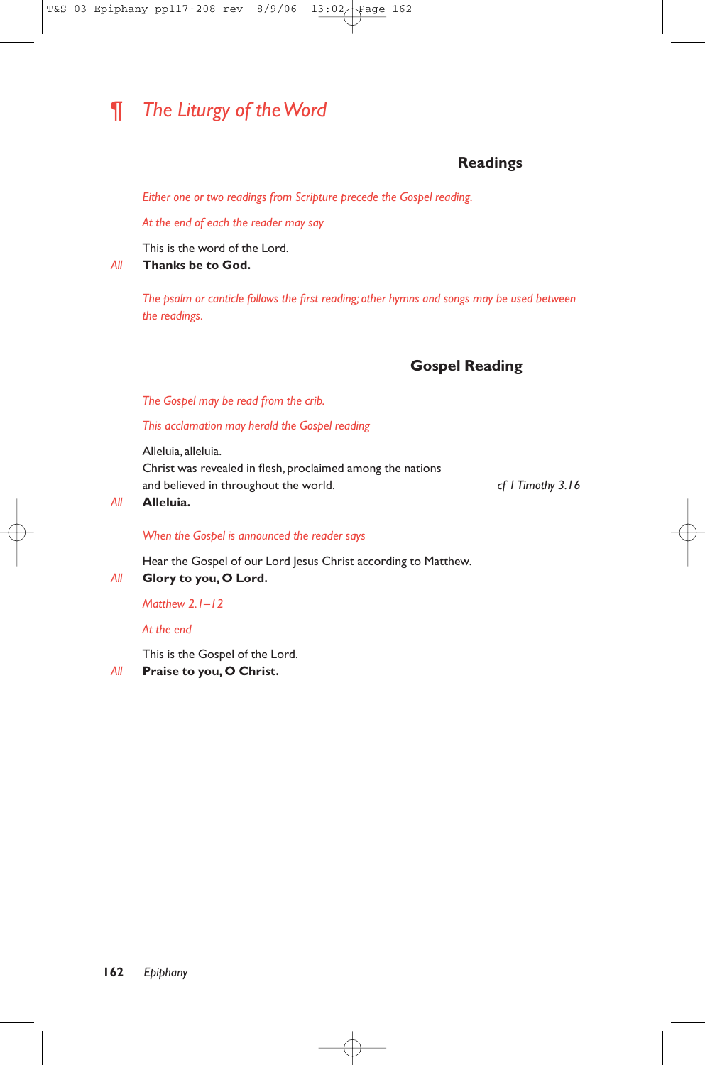# ¶ *The Liturgy of the Word*

# **Readings**

*Either one or two readings from Scripture precede the Gospel reading.*

*At the end of each the reader may say*

This is the word of the Lord.

*All* **Thanks be to God.**

*The psalm or canticle follows the first reading; other hymns and songs may be used between the readings.*

# **Gospel Reading**

*The Gospel may be read from the crib.*

*This acclamation may herald the Gospel reading*

Alleluia, alleluia. Christ was revealed in flesh, proclaimed among the nations and believed in throughout the world. *cf 1 Timothy 3.16*

#### *All* **Alleluia.**

# *When the Gospel is announced the reader says*

Hear the Gospel of our Lord Jesus Christ according to Matthew*.*

*All* **Glory to you, O Lord.**

# *Matthew 2.1–12*

*At the end*

This is the Gospel of the Lord.

*All* **Praise to you, O Christ.**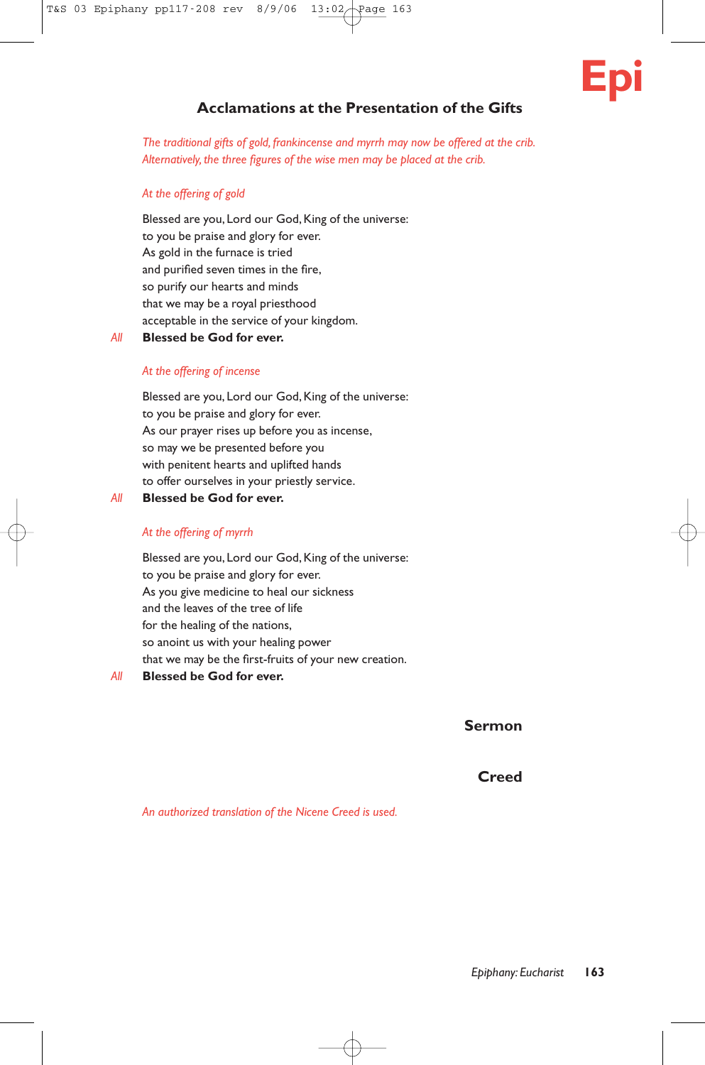# **Epi**

# **Acclamations at the Presentation of the Gifts**

*The traditional gifts of gold, frankincense and myrrh may now be offered at the crib. Alternatively, the three figures of the wise men may be placed at the crib.*

# *At the offering of gold*

Blessed are you, Lord our God, King of the universe: to you be praise and glory for ever. As gold in the furnace is tried and purified seven times in the fire, so purify our hearts and minds that we may be a royal priesthood acceptable in the service of your kingdom.

*All* **Blessed be God for ever.**

## *At the offering of incense*

Blessed are you, Lord our God, King of the universe: to you be praise and glory for ever. As our prayer rises up before you as incense, so may we be presented before you with penitent hearts and uplifted hands to offer ourselves in your priestly service.

*All* **Blessed be God for ever.**

# *At the offering of myrrh*

Blessed are you, Lord our God, King of the universe: to you be praise and glory for ever. As you give medicine to heal our sickness and the leaves of the tree of life for the healing of the nations, so anoint us with your healing power that we may be the first-fruits of your new creation.

# *All* **Blessed be God for ever.**

**Sermon**

# **Creed**

*An authorized translation of the Nicene Creed is used.*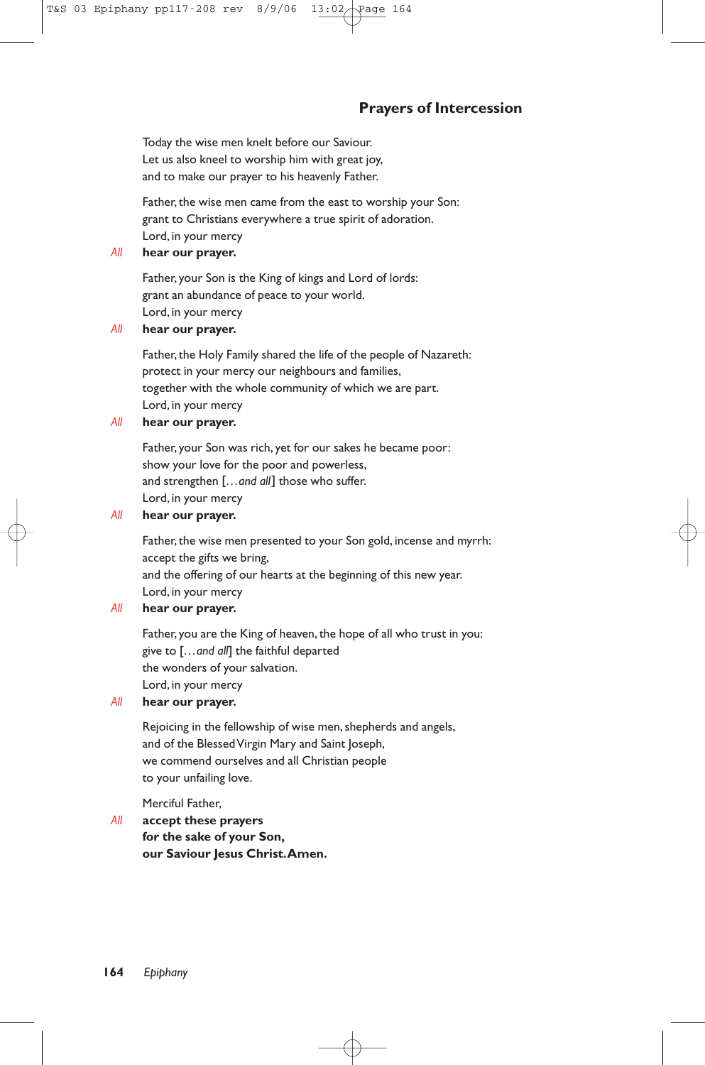# **Prayers of Intercession**

Today the wise men knelt before our Saviour. Let us also kneel to worship him with great joy, and to make our prayer to his heavenly Father.

Father, the wise men came from the east to worship your Son: grant to Christians everywhere a true spirit of adoration. Lord, in your mercy

# *All* **hear our prayer.**

Father, your Son is the King of kings and Lord of lords: grant an abundance of peace to your world. Lord, in your mercy

# *All* **hear our prayer.**

Father, the Holy Family shared the life of the people of Nazareth: protect in your mercy our neighbours and families, together with the whole community of which we are part. Lord, in your mercy

# *All* **hear our prayer.**

Father, your Son was rich, yet for our sakes he became poor: show your love for the poor and powerless, and strengthen [*…and all*] those who suffer. Lord, in your mercy

# *All* **hear our prayer.**

Father, the wise men presented to your Son gold, incense and myrrh: accept the gifts we bring, and the offering of our hearts at the beginning of this new year. Lord, in your mercy

# *All* **hear our prayer.**

Father, you are the King of heaven, the hope of all who trust in you: give to [*…and all*] the faithful departed the wonders of your salvation. Lord, in your mercy

## *All* **hear our prayer.**

Rejoicing in the fellowship of wise men, shepherds and angels, and of the Blessed Virgin Mary and Saint Joseph, we commend ourselves and all Christian people to your unfailing love.

Merciful Father,

# *All* **accept these prayers for the sake of your Son, our Saviour Jesus Christ.Amen.**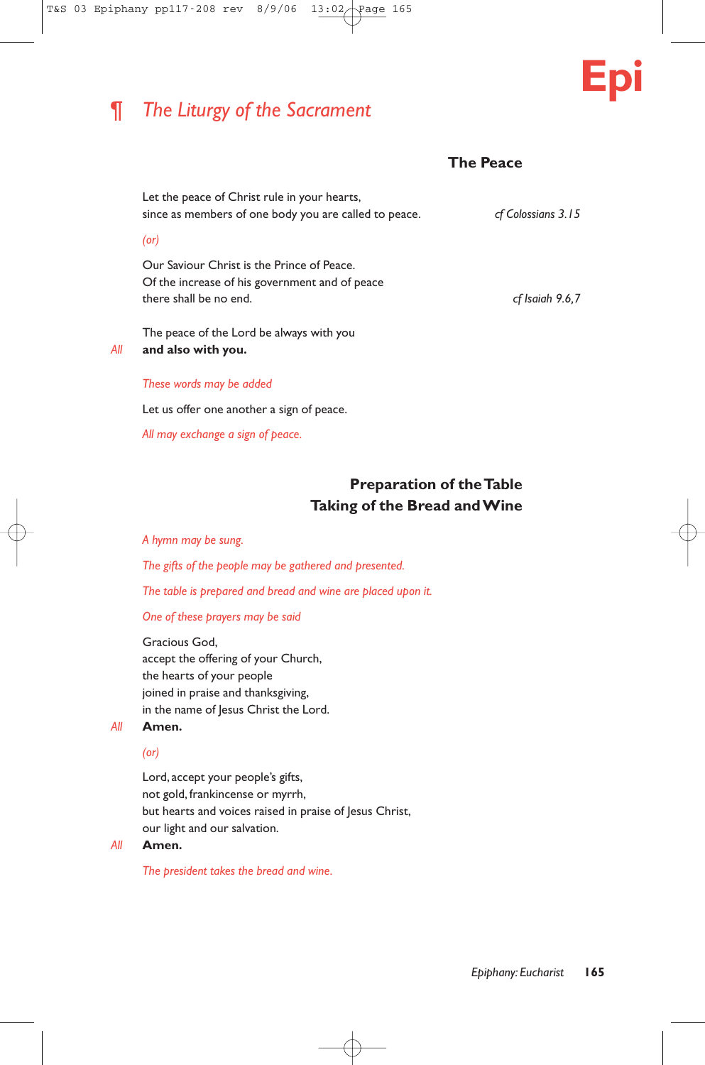# ¶ *The Liturgy of the Sacrament*



# **The Peace**

Let the peace of Christ rule in your hearts, since as members of one body you are called to peace. *cf Colossians 3.15*

### *(or)*

Our Saviour Christ is the Prince of Peace. Of the increase of his government and of peace there shall be no end. *cf Isaiah 9.6,7*

The peace of the Lord be always with you *All* **and also with you.**

# *These words may be added*

Let us offer one another a sign of peace.

*All may exchange a sign of peace.*

# **Preparation of the Table Taking of the Bread and Wine**

#### *A hymn may be sung.*

*The gifts of the people may be gathered and presented.*

*The table is prepared and bread and wine are placed upon it.*

# *One of these prayers may be said*

Gracious God, accept the offering of your Church, the hearts of your people joined in praise and thanksgiving, in the name of Jesus Christ the Lord.

# *All* **Amen.**

# *(or)*

Lord, accept your people's gifts, not gold, frankincense or myrrh, but hearts and voices raised in praise of Jesus Christ, our light and our salvation.

*All* **Amen.**

*The president takes the bread and wine.*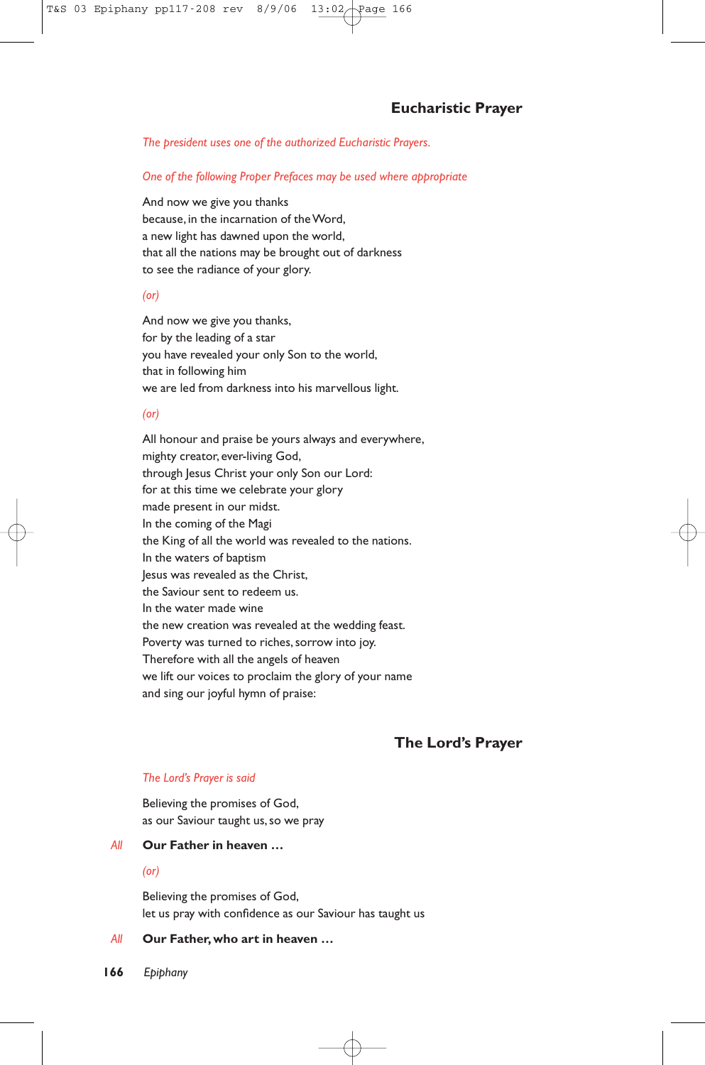*The president uses one of the authorized Eucharistic Prayers.*

*One of the following Proper Prefaces may be used where appropriate*

And now we give you thanks because, in the incarnation of the Word, a new light has dawned upon the world, that all the nations may be brought out of darkness to see the radiance of your glory.

## *(or)*

And now we give you thanks, for by the leading of a star you have revealed your only Son to the world, that in following him we are led from darkness into his marvellous light.

# *(or)*

All honour and praise be yours always and everywhere, mighty creator, ever-living God, through Jesus Christ your only Son our Lord: for at this time we celebrate your glory made present in our midst. In the coming of the Magi the King of all the world was revealed to the nations. In the waters of baptism Jesus was revealed as the Christ, the Saviour sent to redeem us. In the water made wine the new creation was revealed at the wedding feast. Poverty was turned to riches, sorrow into joy. Therefore with all the angels of heaven we lift our voices to proclaim the glory of your name and sing our joyful hymn of praise:

# **The Lord's Prayer**

#### *The Lord's Prayer is said*

Believing the promises of God, as our Saviour taught us,so we pray

### *All* **Our Father in heaven …**

#### *(or)*

Believing the promises of God, let us pray with confidence as our Saviour has taught us

# *All* **Our Father, who art in heaven …**

**166** *Epiphany*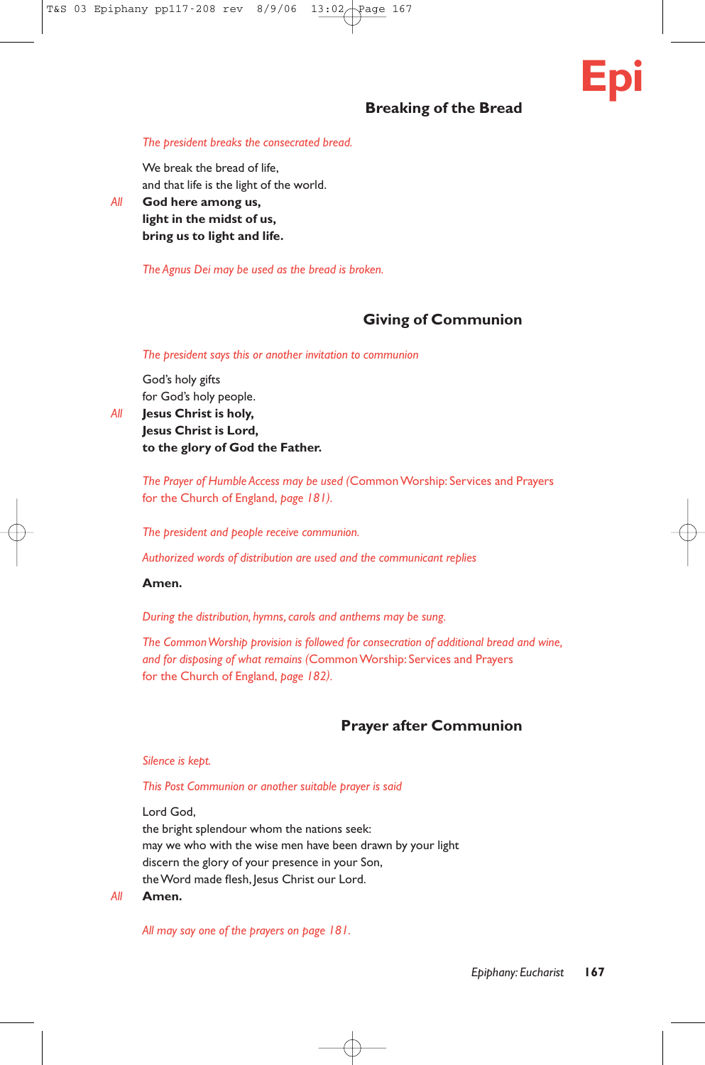# **Breaking of the Bread**

# **Epi**

## *The president breaks the consecrated bread.*

We break the bread of life, and that life is the light of the world.

*All* **God here among us, light in the midst of us, bring us to light and life.**

*The Agnus Dei may be used as the bread is broken.*

# **Giving of Communion**

*The president says this or another invitation to communion*

God's holy gifts for God's holy people.

*All* **Jesus Christ is holy, Jesus Christ is Lord, to the glory of God the Father.**

> *The Prayer of Humble Access may be used (*Common Worship: Services and Prayers for the Church of England, *page 181).*

*The president and people receive communion.*

*Authorized words of distribution are used and the communicant replies*

# **Amen.**

*During the distribution, hymns, carols and anthems may be sung.*

*The Common Worship provision is followed for consecration of additional bread and wine, and for disposing of what remains (*Common Worship: Services and Prayers for the Church of England, *page 182).*

# **Prayer after Communion**

#### *Silence is kept.*

#### *This Post Communion or another suitable prayer is said*

Lord God,

the bright splendour whom the nations seek: may we who with the wise men have been drawn by your light discern the glory of your presence in your Son, the Word made flesh, Jesus Christ our Lord.

#### *All* **Amen.**

*All may say one of the prayers on page 181.*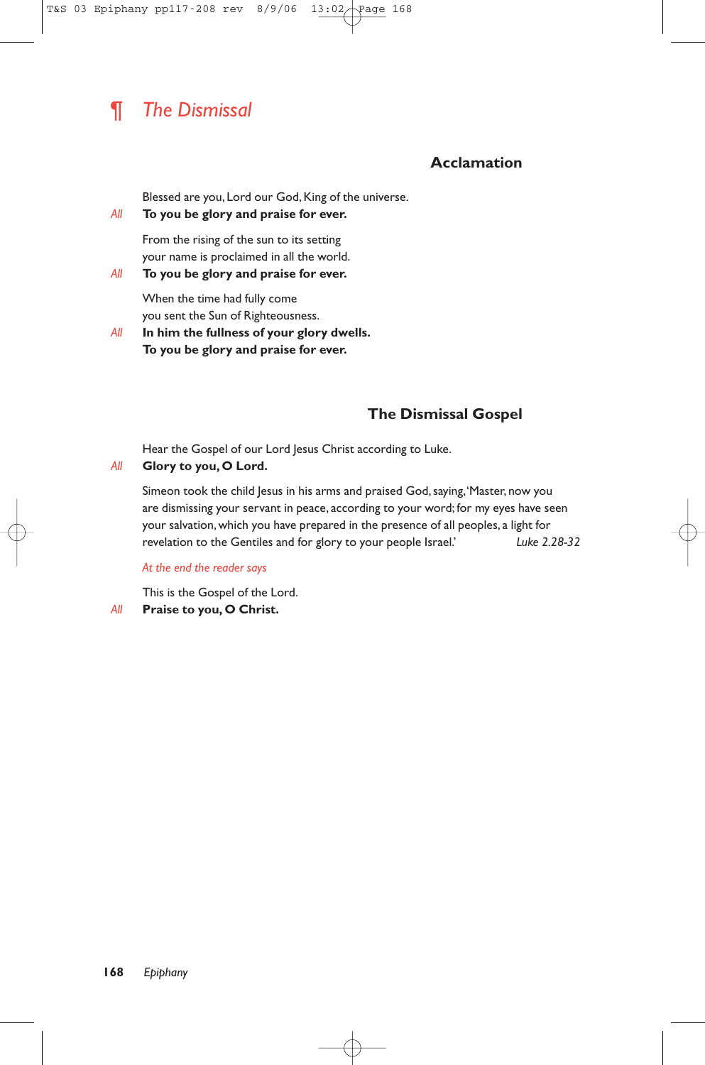# ¶ *The Dismissal*

# **Acclamation**

Blessed are you, Lord our God, King of the universe.

### *All* **To you be glory and praise for ever.**

From the rising of the sun to its setting your name is proclaimed in all the world.

*All* **To you be glory and praise for ever.**

When the time had fully come you sent the Sun of Righteousness.

*All* **In him the fullness of your glory dwells. To you be glory and praise for ever.**

# **The Dismissal Gospel**

Hear the Gospel of our Lord Jesus Christ according to Luke.

# *All* **Glory to you, O Lord.**

Simeon took the child Jesus in his arms and praised God, saying, 'Master, now you are dismissing your servant in peace, according to your word; for my eyes have seen your salvation, which you have prepared in the presence of all peoples, a light for revelation to the Gentiles and for glory to your people Israel.' *Luke 2.28-32*

# *At the end the reader says*

This is the Gospel of the Lord. *All* **Praise to you, O Christ.**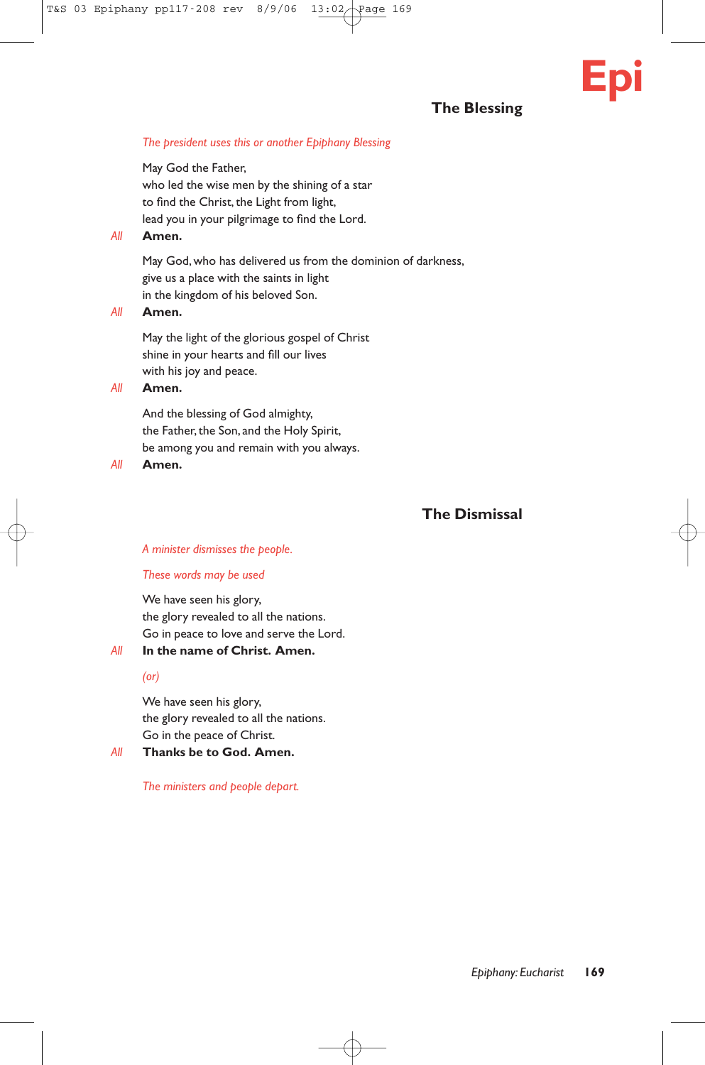# **The Blessing**

**Epi**

# *The president uses this or another Epiphany Blessing*

May God the Father, who led the wise men by the shining of a star to find the Christ, the Light from light, lead you in your pilgrimage to find the Lord.

# *All* **Amen.**

May God, who has delivered us from the dominion of darkness, give us a place with the saints in light in the kingdom of his beloved Son.

### *All* **Amen.**

May the light of the glorious gospel of Christ shine in your hearts and fill our lives with his joy and peace.

#### *All* **Amen.**

And the blessing of God almighty, the Father, the Son, and the Holy Spirit, be among you and remain with you always.

#### *All* **Amen.**

# **The Dismissal**

#### *A minister dismisses the people.*

#### *These words may be used*

We have seen his glory, the glory revealed to all the nations. Go in peace to love and serve the Lord.

# *All* **In the name of Christ. Amen.**

*(or)*

We have seen his glory, the glory revealed to all the nations. Go in the peace of Christ.

# *All* **Thanks be to God. Amen.**

*The ministers and people depart.*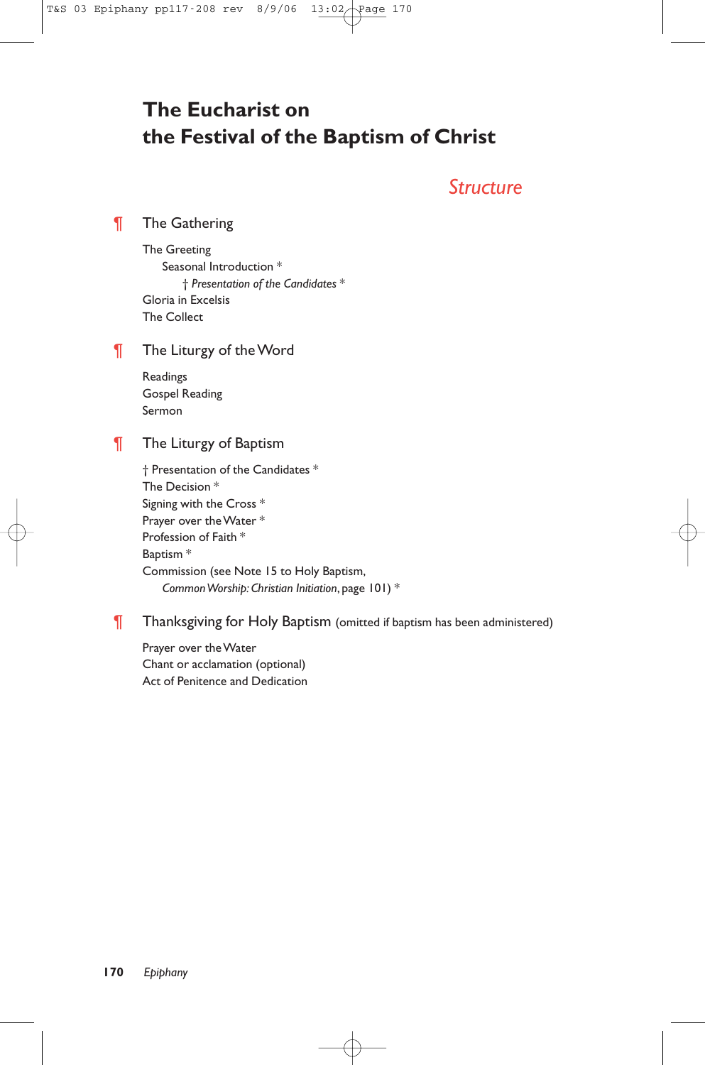# **The Eucharist on the Festival of the Baptism of Christ**

# *Structure*

¶ The Gathering

The Greeting Seasonal Introduction \* † *Presentation of the Candidates* \* Gloria in Excelsis The Collect

# **The Liturgy of the Word**

Readings Gospel Reading Sermon

# **The Liturgy of Baptism**

† Presentation of the Candidates \* The Decision \* Signing with the Cross \* Prayer over the Water \* Profession of Faith \* Baptism \* Commission (see Note 15 to Holy Baptism, *Common Worship: Christian Initiation*, page 101) \*

# **Thanksgiving for Holy Baptism** (omitted if baptism has been administered)

Prayer over the Water Chant or acclamation (optional) Act of Penitence and Dedication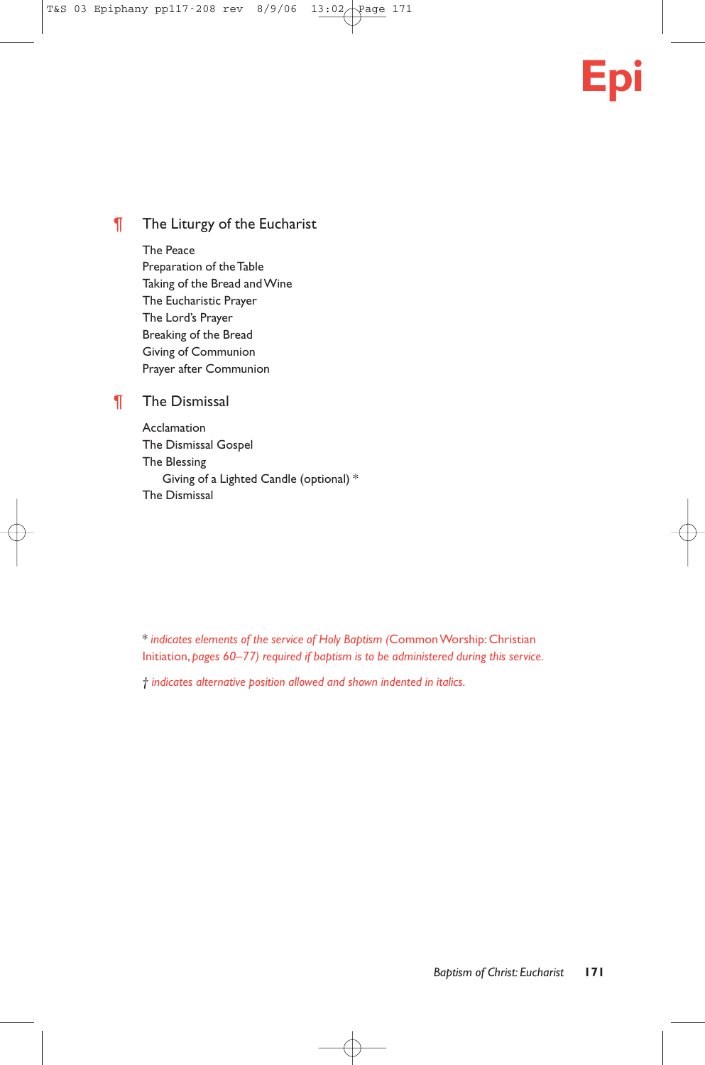# **Epi**

# **The Liturgy of the Eucharist**

The Peace

Preparation of the Table Taking of the Bread and Wine The Eucharistic Prayer The Lord's Prayer Breaking of the Bread Giving of Communion Prayer after Communion

# ¶ The Dismissal

Acclamation The Dismissal Gospel The Blessing Giving of a Lighted Candle (optional) \* The Dismissal

\* *indicates elements of the service of Holy Baptism (*Common Worship: Christian Initiation, *pages 60–77) required if baptism is to be administered during this service.*

*† indicates alternative position allowed and shown indented in italics.*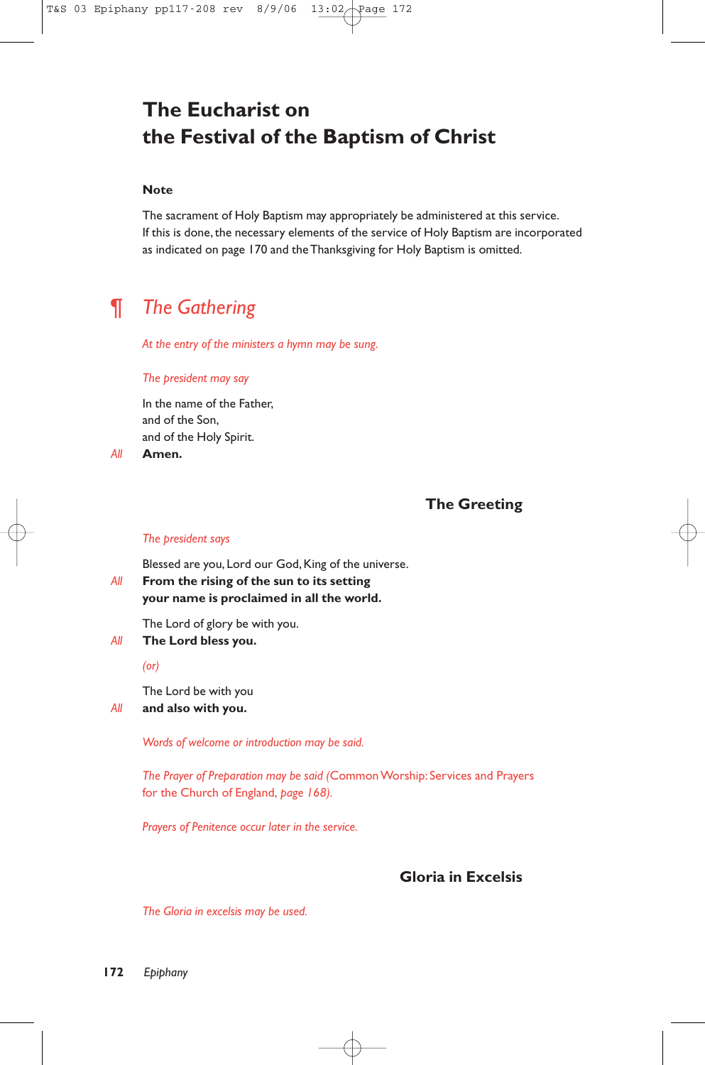# **The Eucharist on the Festival of the Baptism of Christ**

## **Note**

The sacrament of Holy Baptism may appropriately be administered at this service. If this is done, the necessary elements of the service of Holy Baptism are incorporated as indicated on page 170 and the Thanksgiving for Holy Baptism is omitted.

# ¶ *The Gathering*

*At the entry of the ministers a hymn may be sung.*

#### *The president may say*

In the name of the Father, and of the Son, and of the Holy Spirit.

*All* **Amen.**

# **The Greeting**

#### *The president says*

Blessed are you, Lord our God, King of the universe.

# *All* **From the rising of the sun to its setting your name is proclaimed in all the world.**

The Lord of glory be with you.

*All* **The Lord bless you.**

*(or)*

The Lord be with you

# *All* **and also with you.**

*Words of welcome or introduction may be said.*

*The Prayer of Preparation may be said (*Common Worship: Services and Prayers for the Church of England, *page 168).*

*Prayers of Penitence occur later in the service.*

# **Gloria in Excelsis**

*The Gloria in excelsis may be used.*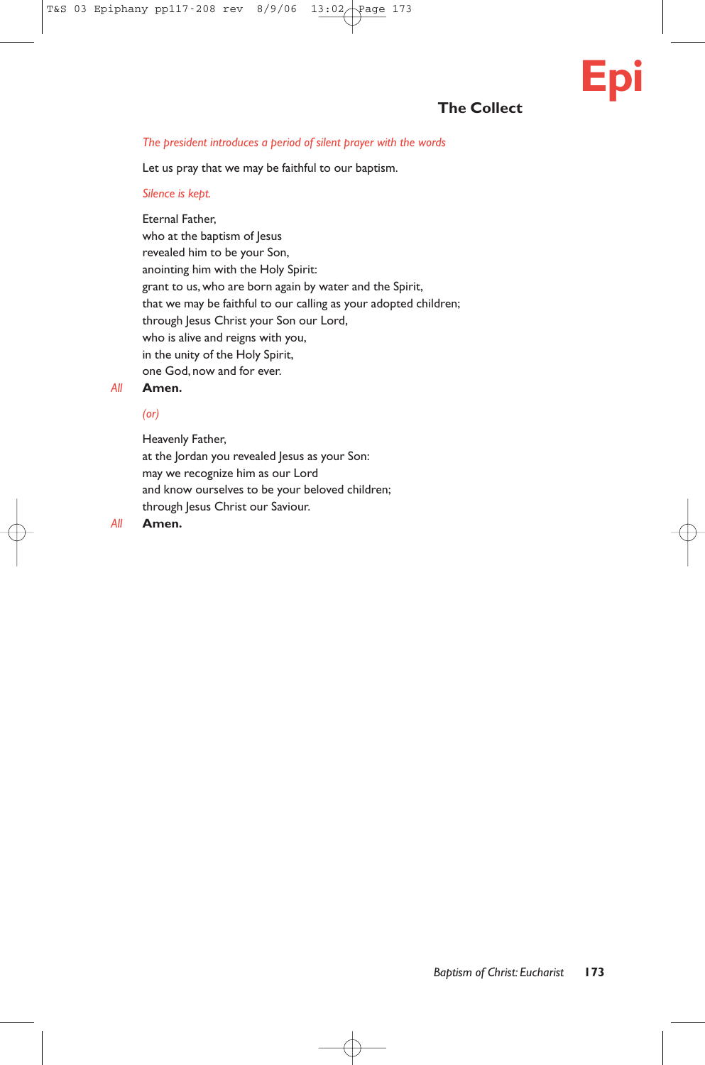# **The Collect**

## *The president introduces a period of silent prayer with the words*

Let us pray that we may be faithful to our baptism.

### *Silence is kept.*

Eternal Father, who at the baptism of Jesus revealed him to be your Son, anointing him with the Holy Spirit: grant to us, who are born again by water and the Spirit, that we may be faithful to our calling as your adopted children; through Jesus Christ your Son our Lord, who is alive and reigns with you, in the unity of the Holy Spirit, one God, now and for ever.

# *All* **Amen.**

# *(or)*

Heavenly Father,

at the Jordan you revealed Jesus as your Son: may we recognize him as our Lord and know ourselves to be your beloved children; through Jesus Christ our Saviour.

## *All* **Amen.**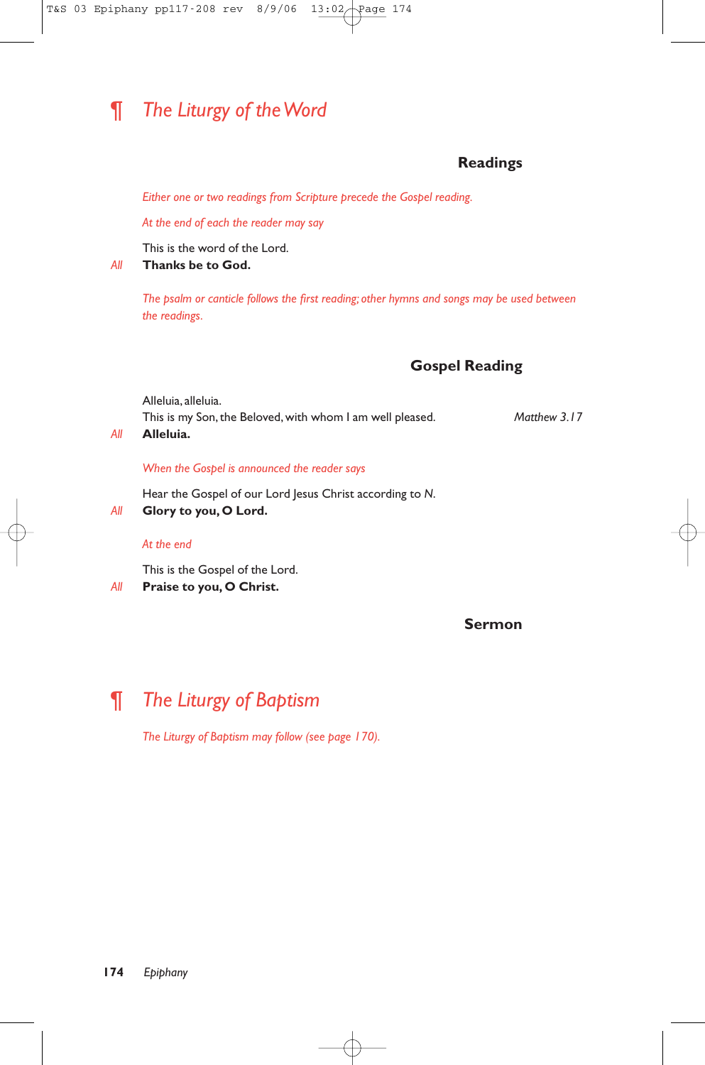# ¶ *The Liturgy of the Word*

# **Readings**

*Either one or two readings from Scripture precede the Gospel reading.*

*At the end of each the reader may say*

This is the word of the Lord.

*All* **Thanks be to God.**

*The psalm or canticle follows the first reading; other hymns and songs may be used between the readings.*

# **Gospel Reading**

Alleluia, alleluia. This is my Son,the Beloved, with whom I am well pleased. *Matthew 3.17*

# *All* **Alleluia.**

*When the Gospel is announced the reader says*

Hear the Gospel of our Lord Jesus Christ according to *N*.

# *All* **Glory to you, O Lord.**

# *At the end*

This is the Gospel of the Lord.

*All* **Praise to you, O Christ.**

# **Sermon**

# ¶ *The Liturgy of Baptism*

*The Liturgy of Baptism may follow (see page 170).*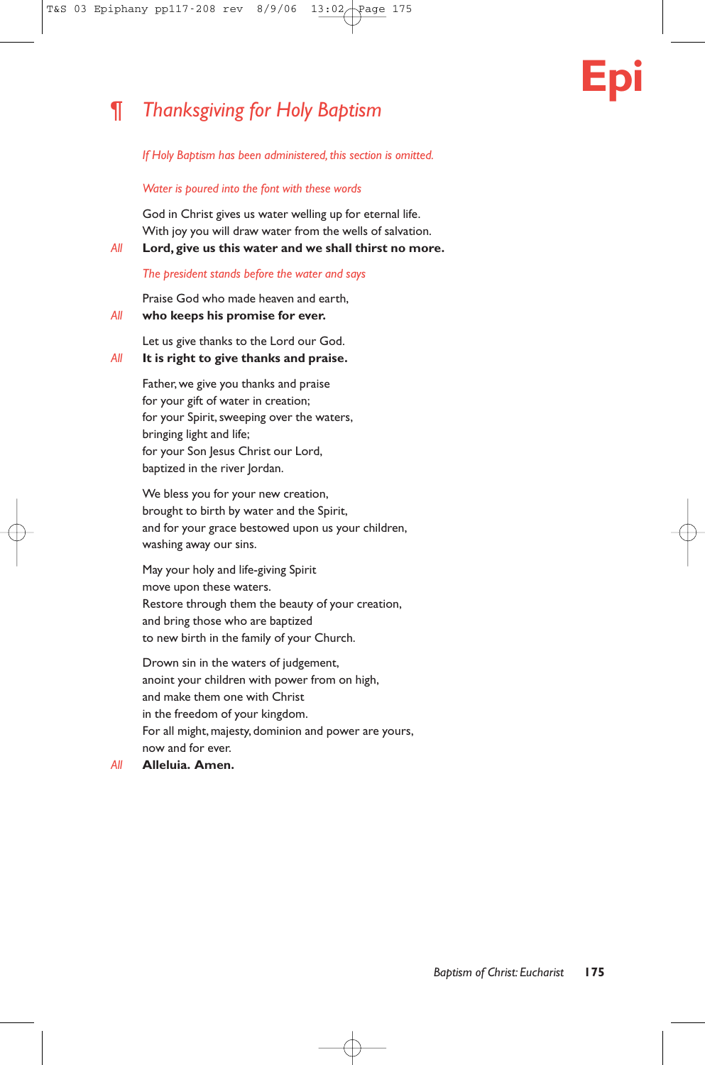# **Epi**

# ¶ *Thanksgiving for Holy Baptism*

*If Holy Baptism has been administered, this section is omitted.*

## *Water is poured into the font with these words*

God in Christ gives us water welling up for eternal life. With joy you will draw water from the wells of salvation.

*All* **Lord, give us this water and we shall thirst no more.**

# *The president stands before the water and says*

Praise God who made heaven and earth,

# *All* **who keeps his promise for ever.**

Let us give thanks to the Lord our God.

# *All* **It is right to give thanks and praise.**

Father, we give you thanks and praise for your gift of water in creation; for your Spirit, sweeping over the waters, bringing light and life; for your Son Jesus Christ our Lord, baptized in the river Jordan.

We bless you for your new creation, brought to birth by water and the Spirit, and for your grace bestowed upon us your children, washing away our sins.

May your holy and life-giving Spirit move upon these waters. Restore through them the beauty of your creation, and bring those who are baptized to new birth in the family of your Church.

Drown sin in the waters of judgement, anoint your children with power from on high, and make them one with Christ in the freedom of your kingdom. For all might, majesty, dominion and power are yours, now and for ever.

# *All* **Alleluia. Amen.**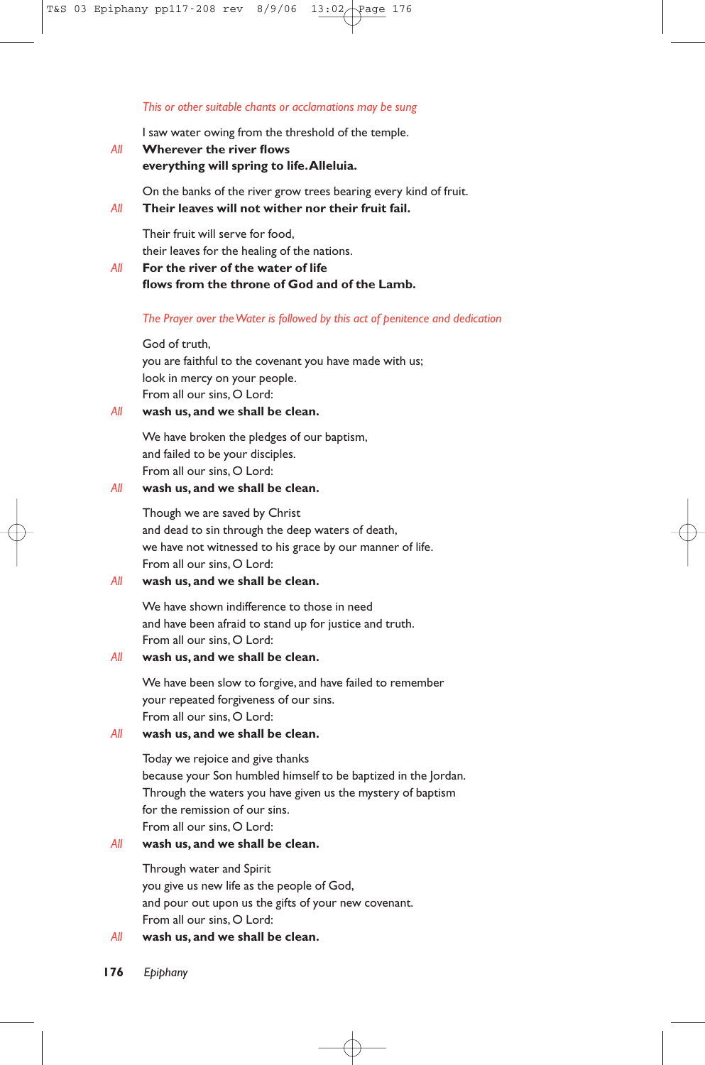#### *This or other suitable chants or acclamations may be sung*

I saw water owing from the threshold of the temple.

*All* **Wherever the river flows everything will spring to life.Alleluia.**

On the banks of the river grow trees bearing every kind of fruit. *All* **Their leaves will not wither nor their fruit fail.**

Their fruit will serve for food, their leaves for the healing of the nations.

# *All* **For the river of the water of life flows from the throne of God and of the Lamb.**

#### *The Prayer over the Water is followed by this act of penitence and dedication*

#### God of truth,

you are faithful to the covenant you have made with us; look in mercy on your people. From all our sins, O Lord:

## *All* **wash us, and we shall be clean.**

We have broken the pledges of our baptism, and failed to be your disciples. From all our sins, O Lord:

# *All* **wash us, and we shall be clean.**

Though we are saved by Christ and dead to sin through the deep waters of death, we have not witnessed to his grace by our manner of life. From all our sins, O Lord:

# *All* **wash us, and we shall be clean.**

We have shown indifference to those in need and have been afraid to stand up for justice and truth. From all our sins, O Lord:

### *All* **wash us, and we shall be clean.**

We have been slow to forgive, and have failed to remember your repeated forgiveness of our sins. From all our sins, O Lord:

# *All* **wash us, and we shall be clean.**

Today we rejoice and give thanks because your Son humbled himself to be baptized in the Jordan. Through the waters you have given us the mystery of baptism for the remission of our sins. From all our sins, O Lord:

# *All* **wash us, and we shall be clean.**

Through water and Spirit you give us new life as the people of God, and pour out upon us the gifts of your new covenant. From all our sins, O Lord:

# *All* **wash us, and we shall be clean.**

**176** *Epiphany*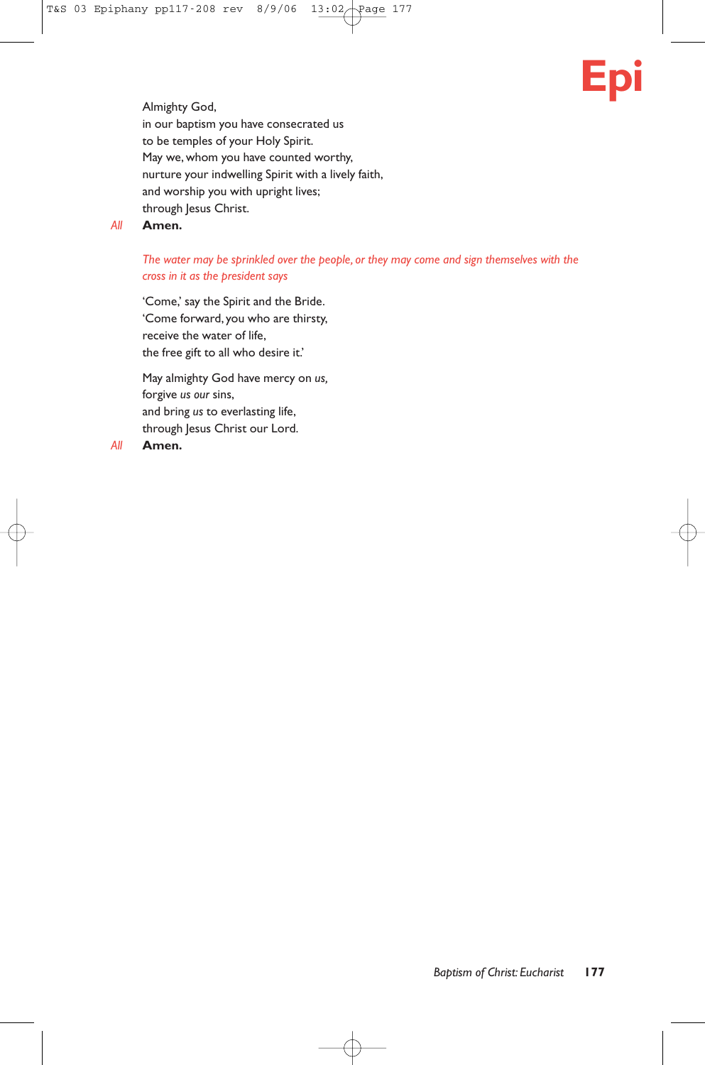# **Epi**

Almighty God, in our baptism you have consecrated us to be temples of your Holy Spirit. May we, whom you have counted worthy, nurture your indwelling Spirit with a lively faith, and worship you with upright lives; through Jesus Christ.

# *All* **Amen.**

# *The water may be sprinkled over the people, or they may come and sign themselves with the cross in it as the president says*

'Come,' say the Spirit and the Bride. 'Come forward, you who are thirsty, receive the water of life, the free gift to all who desire it.'

May almighty God have mercy on *us,* forgive *us our* sins, and bring *us* to everlasting life, through Jesus Christ our Lord.

*All* **Amen.**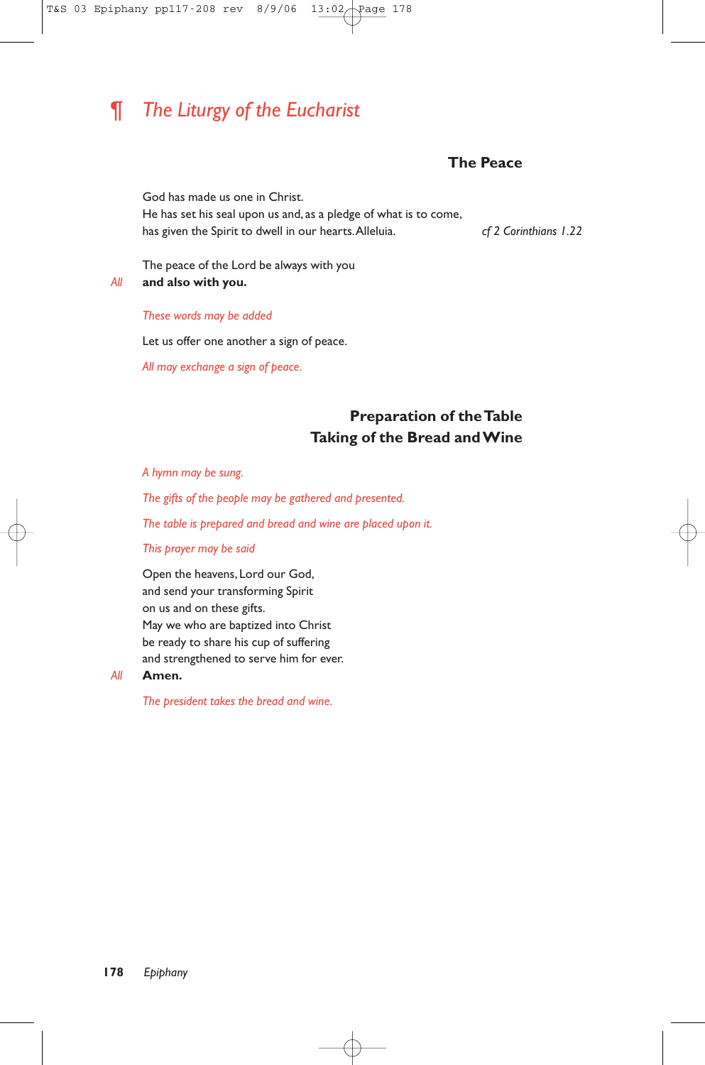# ¶ *The Liturgy of the Eucharist*

# **The Peace**

God has made us one in Christ. He has set his seal upon us and, as a pledge of what is to come, has given the Spirit to dwell in our hearts.Alleluia. *cf 2 Corinthians 1.22*

The peace of the Lord be always with you *All* **and also with you.**

#### *These words may be added*

Let us offer one another a sign of peace.

*All may exchange a sign of peace.*

# **Preparation of the Table Taking of the Bread and Wine**

*A hymn may be sung.*

*The gifts of the people may be gathered and presented.*

*The table is prepared and bread and wine are placed upon it.*

*This prayer may be said*

Open the heavens, Lord our God, and send your transforming Spirit on us and on these gifts. May we who are baptized into Christ be ready to share his cup of suffering and strengthened to serve him for ever.

#### *All* **Amen.**

*The president takes the bread and wine.*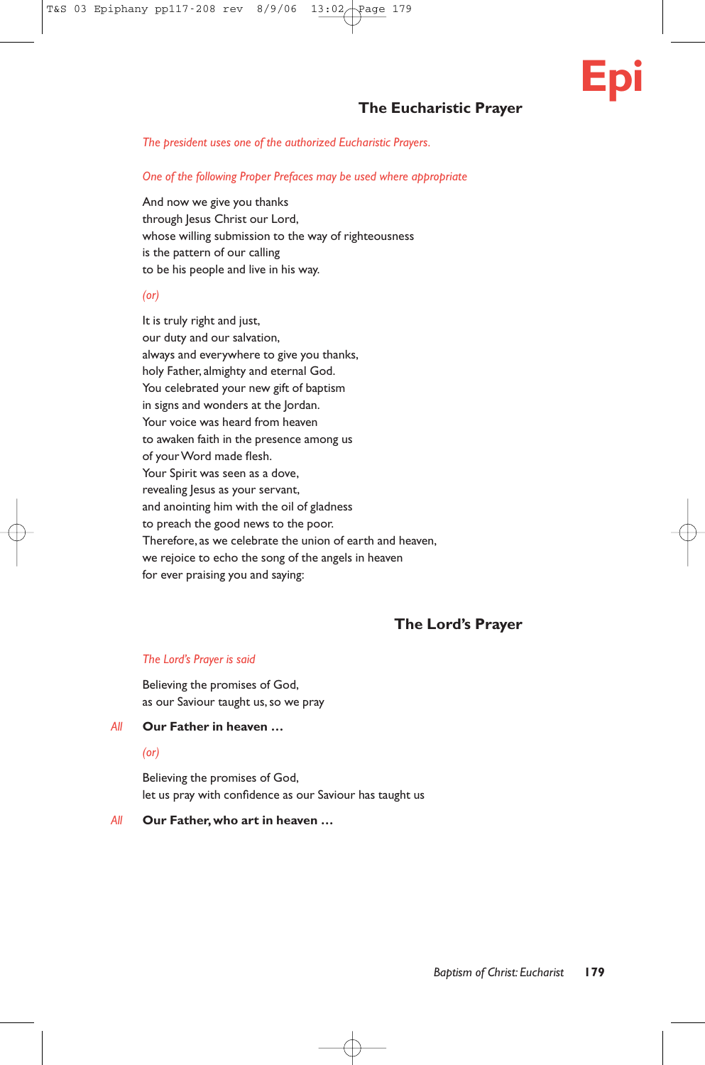# **The Eucharistic Prayer**

*The president uses one of the authorized Eucharistic Prayers.*

*One of the following Proper Prefaces may be used where appropriate*

And now we give you thanks through Jesus Christ our Lord, whose willing submission to the way of righteousness is the pattern of our calling to be his people and live in his way.

## *(or)*

It is truly right and just, our duty and our salvation, always and everywhere to give you thanks, holy Father, almighty and eternal God. You celebrated your new gift of baptism in signs and wonders at the Jordan. Your voice was heard from heaven to awaken faith in the presence among us of your Word made flesh. Your Spirit was seen as a dove, revealing Jesus as your servant, and anointing him with the oil of gladness to preach the good news to the poor. Therefore, as we celebrate the union of earth and heaven, we rejoice to echo the song of the angels in heaven for ever praising you and saying:

# **The Lord's Prayer**

# *The Lord's Prayer is said*

Believing the promises of God, as our Saviour taught us, so we pray

## *All* **Our Father in heaven …**

# *(or)*

Believing the promises of God, let us pray with confidence as our Saviour has taught us

#### *All* **Our Father,who art in heaven …**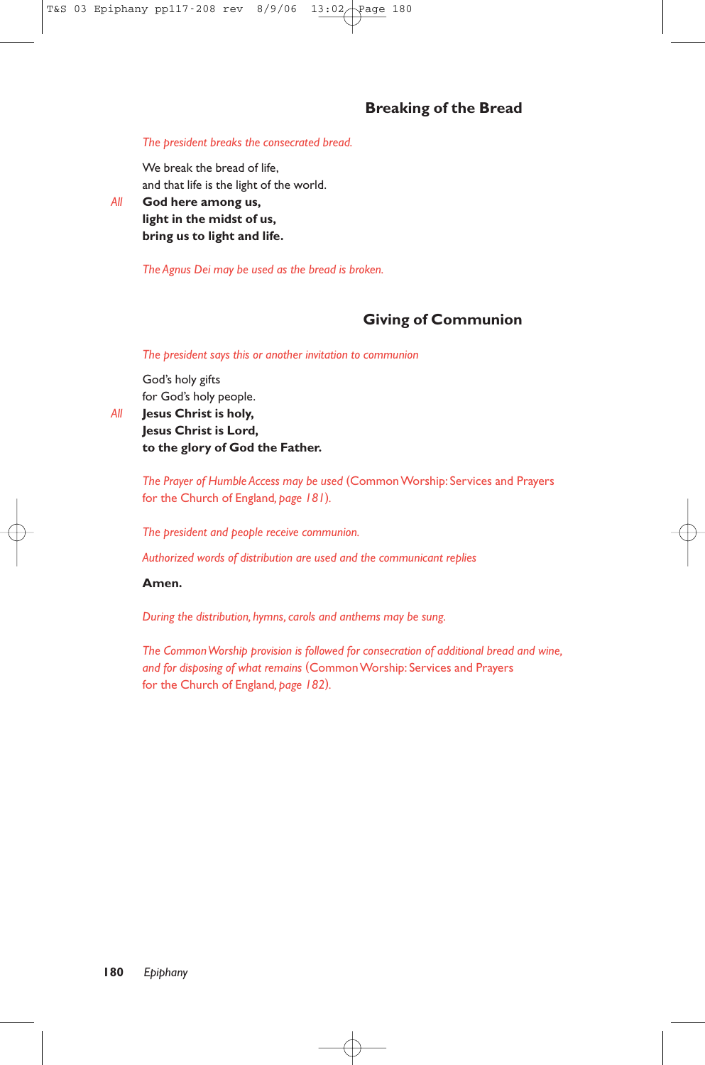# **Breaking of the Bread**

#### *The president breaks the consecrated bread.*

We break the bread of life, and that life is the light of the world.

*All* **God here among us, light in the midst of us, bring us to light and life.**

*The Agnus Dei may be used as the bread is broken.*

# **Giving of Communion**

*The president says this or another invitation to communion*

God's holy gifts for God's holy people.

*All* **Jesus Christ is holy, Jesus Christ is Lord, to the glory of God the Father.**

> *The Prayer of Humble Access may be used* (Common Worship: Services and Prayers for the Church of England*, page 181*)*.*

*The president and people receive communion.*

*Authorized words of distribution are used and the communicant replies*

# **Amen.**

*During the distribution, hymns, carols and anthems may be sung.*

*The Common Worship provision is followed for consecration of additional bread and wine, and for disposing of what remains* (Common Worship: Services and Prayers for the Church of England*, page 182*)*.*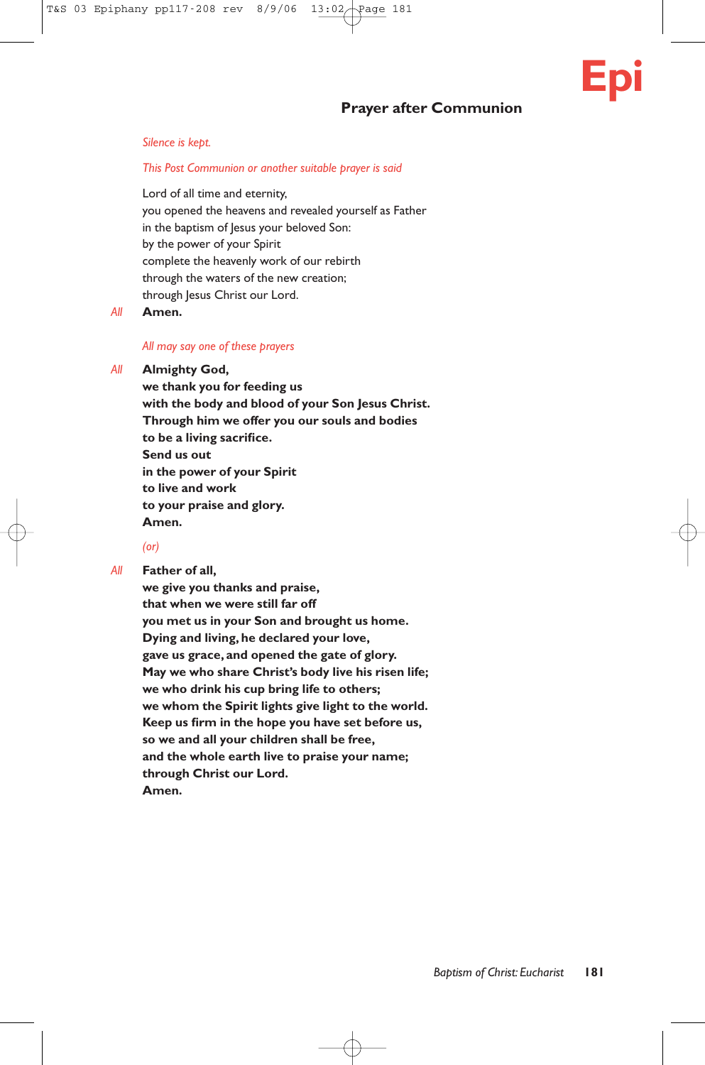# **Prayer after Communion**



#### *Silence is kept.*

#### *This Post Communion or another suitable prayer is said*

Lord of all time and eternity, you opened the heavens and revealed yourself as Father in the baptism of Jesus your beloved Son: by the power of your Spirit complete the heavenly work of our rebirth through the waters of the new creation; through Jesus Christ our Lord.

*All* **Amen.**

#### *All may say one of these prayers*

#### *All* **Almighty God,**

**we thank you for feeding us with the body and blood of your Son Jesus Christ. Through him we offer you our souls and bodies to be a living sacrifice. Send us out in the power of your Spirit to live and work to your praise and glory. Amen.**

#### *(or)*

*All* **Father of all,**

**we give you thanks and praise, that when we were still far off you met us in your Son and brought us home. Dying and living, he declared your love, gave us grace, and opened the gate of glory. May we who share Christ's body live his risen life; we who drink his cup bring life to others; we whom the Spirit lights give light to the world. Keep us firm in the hope you have set before us, so we and all your children shall be free, and the whole earth live to praise your name; through Christ our Lord. Amen.**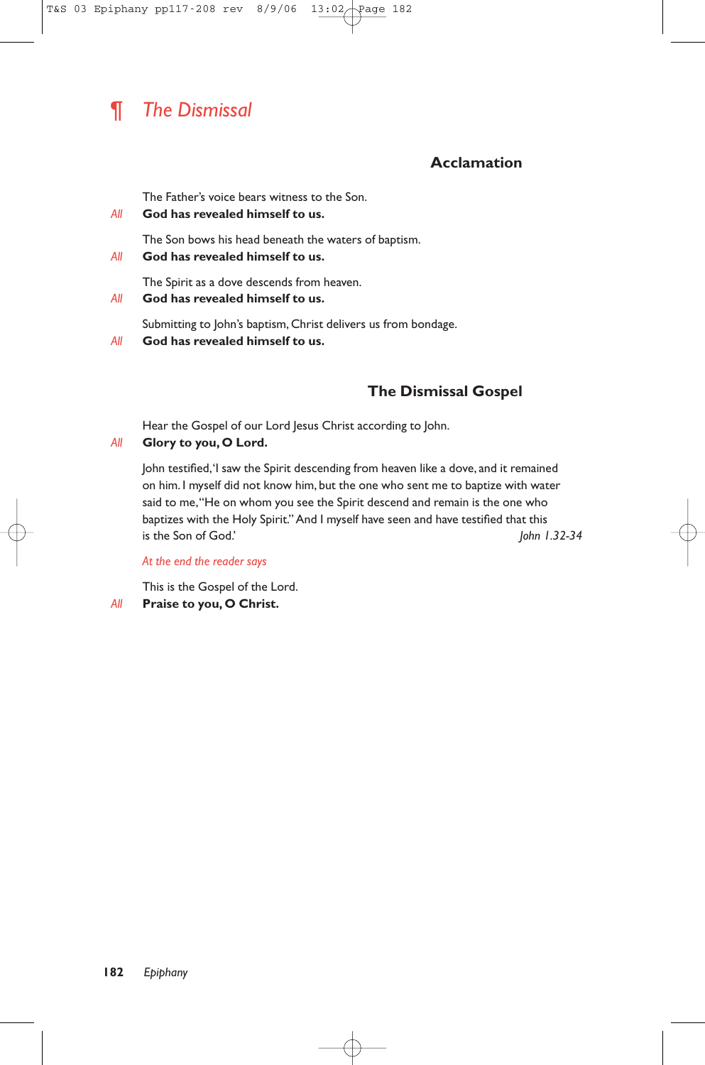# ¶ *The Dismissal*

# **Acclamation**

The Father's voice bears witness to the Son.

*All* **God has revealed himself to us.**

The Son bows his head beneath the waters of baptism.

*All* **God has revealed himself to us.**

The Spirit as a dove descends from heaven.

# *All* **God has revealed himself to us.**

Submitting to John's baptism, Christ delivers us from bondage.

*All* **God has revealed himself to us.**

# **The Dismissal Gospel**

Hear the Gospel of our Lord Jesus Christ according to John.

# *All* **Glory to you, O Lord.**

John testified,'I saw the Spirit descending from heaven like a dove, and it remained on him. I myself did not know him, but the one who sent me to baptize with water said to me,"He on whom you see the Spirit descend and remain is the one who baptizes with the Holy Spirit."And I myself have seen and have testified that this is the Son of God.' *John 1.32-34*

*At the end the reader says*

This is the Gospel of the Lord.

*All* **Praise to you, O Christ.**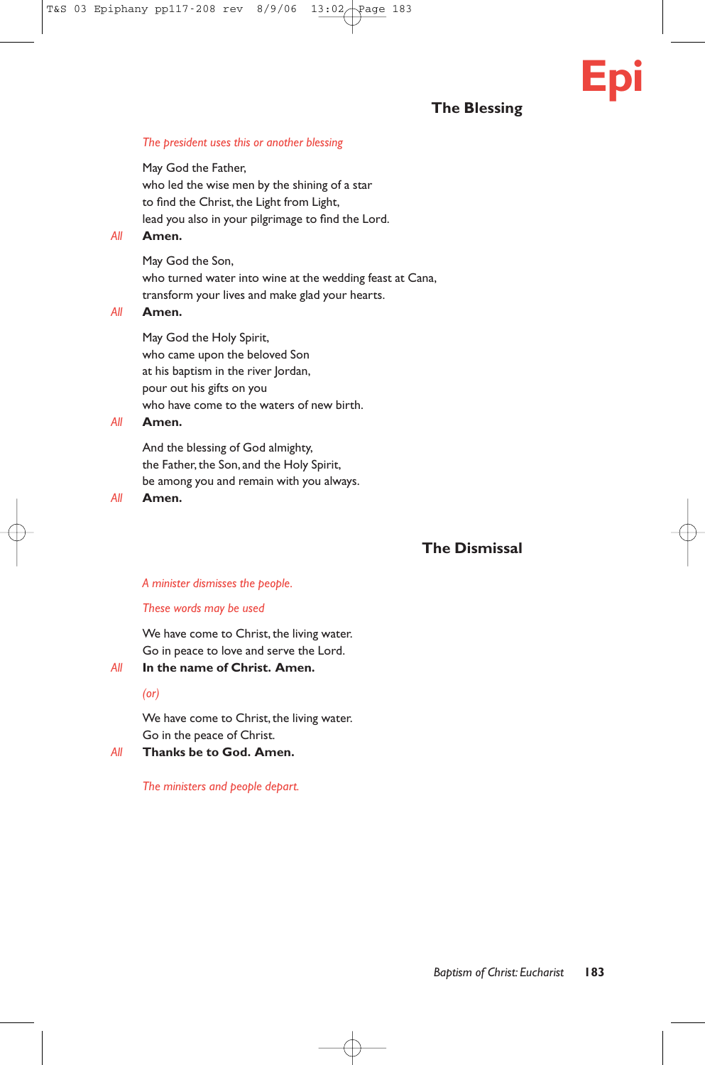# **The Blessing**

**Epi**

#### *The president uses this or another blessing*

May God the Father, who led the wise men by the shining of a star to find the Christ, the Light from Light, lead you also in your pilgrimage to find the Lord.

# *All* **Amen.**

May God the Son, who turned water into wine at the wedding feast at Cana, transform your lives and make glad your hearts.

# *All* **Amen.**

May God the Holy Spirit, who came upon the beloved Son at his baptism in the river Jordan, pour out his gifts on you who have come to the waters of new birth.

# *All* **Amen.**

And the blessing of God almighty, the Father, the Son, and the Holy Spirit, be among you and remain with you always.

*All* **Amen.**

# **The Dismissal**

### *A minister dismisses the people.*

#### *These words may be used*

We have come to Christ, the living water. Go in peace to love and serve the Lord.

*All* **In the name of Christ. Amen.**

#### *(or)*

We have come to Christ, the living water. Go in the peace of Christ.

*All* **Thanks be to God. Amen.**

*The ministers and people depart.*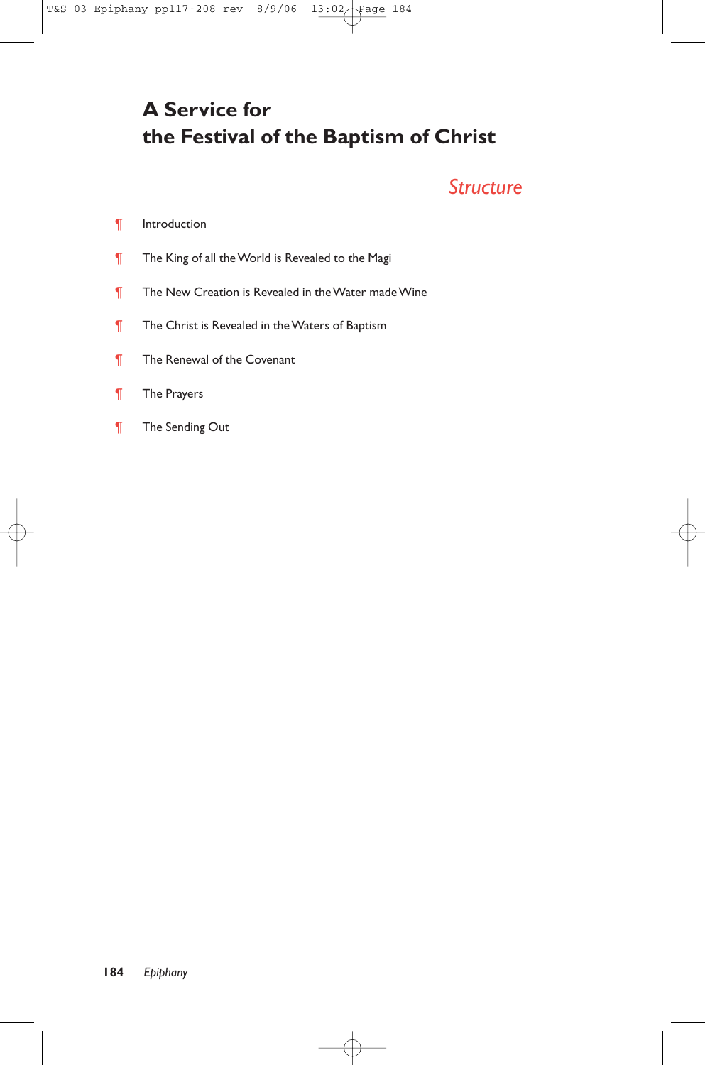# **A Service for the Festival of the Baptism of Christ**

# *Structure*

# ¶ Introduction

- **The King of all the World is Revealed to the Magi**
- **T** The New Creation is Revealed in the Water made Wine
- **T** The Christ is Revealed in the Waters of Baptism
- **T** The Renewal of the Covenant
- ¶ The Prayers
- ¶ The Sending Out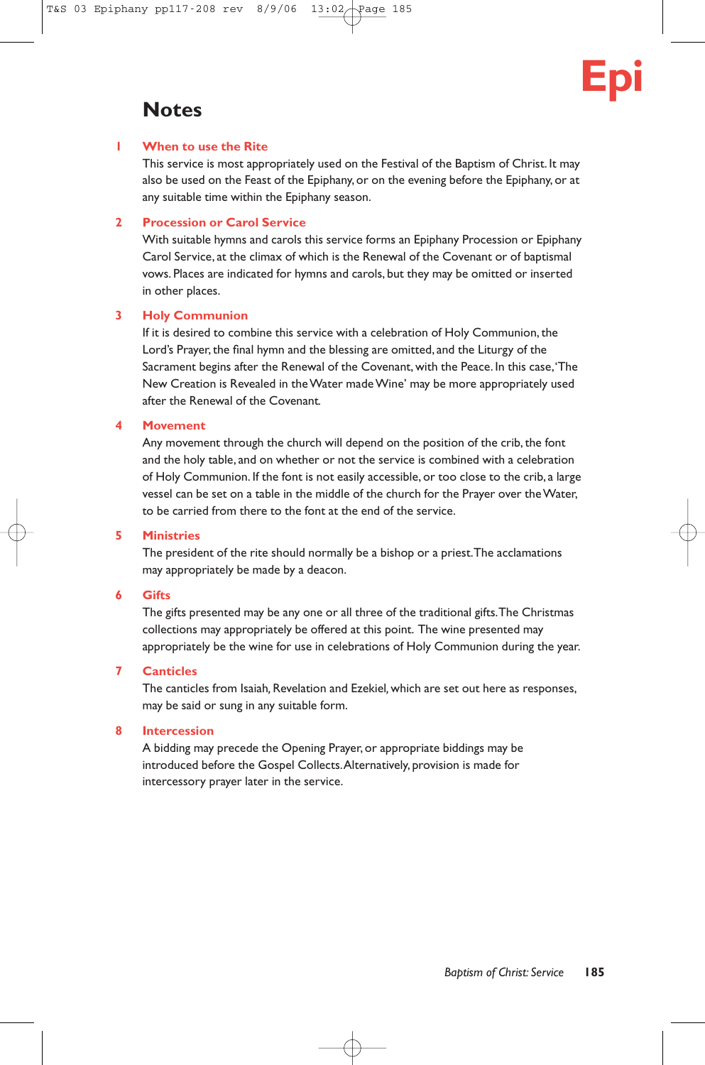

# **Notes**

# **1 When to use the Rite**

This service is most appropriately used on the Festival of the Baptism of Christ. It may also be used on the Feast of the Epiphany, or on the evening before the Epiphany, or at any suitable time within the Epiphany season.

# **2 Procession or Carol Service**

With suitable hymns and carols this service forms an Epiphany Procession or Epiphany Carol Service, at the climax of which is the Renewal of the Covenant or of baptismal vows. Places are indicated for hymns and carols, but they may be omitted or inserted in other places.

# **3 Holy Communion**

If it is desired to combine this service with a celebration of Holy Communion, the Lord's Prayer, the final hymn and the blessing are omitted, and the Liturgy of the Sacrament begins after the Renewal of the Covenant, with the Peace. In this case,'The New Creation is Revealed in the Water made Wine' may be more appropriately used after the Renewal of the Covenant*.*

# **4 Movement**

Any movement through the church will depend on the position of the crib, the font and the holy table, and on whether or not the service is combined with a celebration of Holy Communion. If the font is not easily accessible, or too close to the crib, a large vessel can be set on a table in the middle of the church for the Prayer over the Water, to be carried from there to the font at the end of the service.

# **5 Ministries**

The president of the rite should normally be a bishop or a priest.The acclamations may appropriately be made by a deacon.

# **6 Gifts**

The gifts presented may be any one or all three of the traditional gifts.The Christmas collections may appropriately be offered at this point. The wine presented may appropriately be the wine for use in celebrations of Holy Communion during the year.

# **7 Canticles**

The canticles from Isaiah*,*Revelation and Ezekiel*,* which are set out here as responses, may be said or sung in any suitable form.

# **8 Intercession**

A bidding may precede the Opening Prayer, or appropriate biddings may be introduced before the Gospel Collects.Alternatively, provision is made for intercessory prayer later in the service.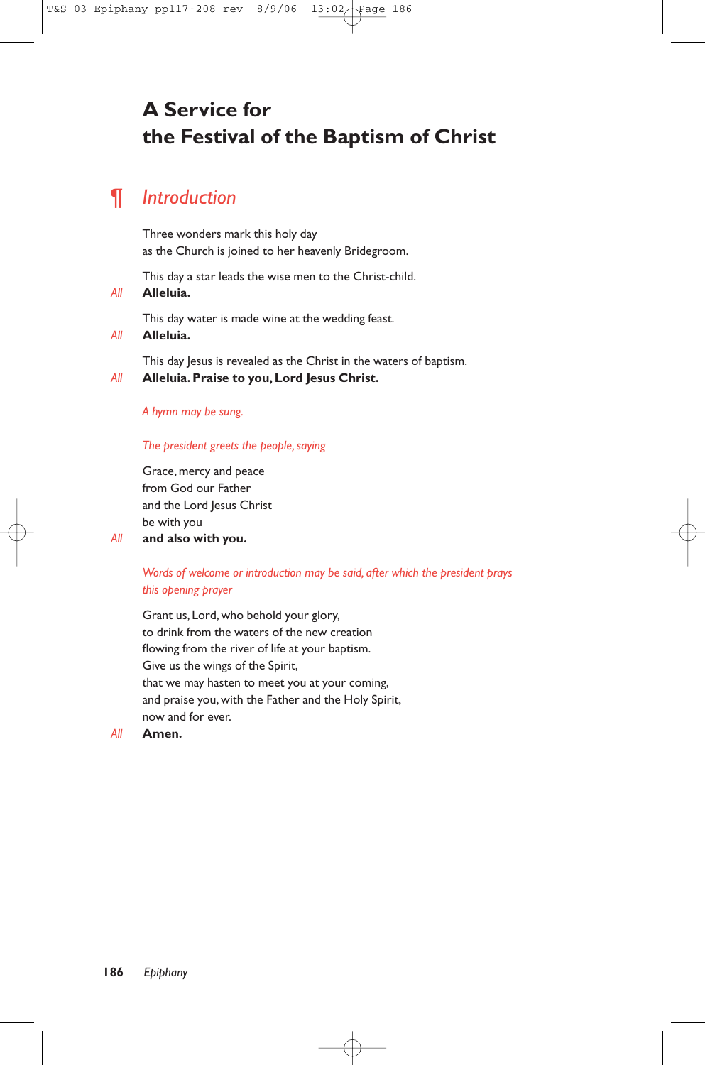# **A Service for the Festival of the Baptism of Christ**

# ¶ *Introduction*

Three wonders mark this holy day as the Church is joined to her heavenly Bridegroom.

This day a star leads the wise men to the Christ-child.

*All* **Alleluia.**

This day water is made wine at the wedding feast.

*All* **Alleluia.**

This day Jesus is revealed as the Christ in the waters of baptism.

*All* **Alleluia. Praise to you, Lord Jesus Christ.**

#### *A hymn may be sung.*

## *The president greets the people, saying*

Grace, mercy and peace from God our Father and the Lord Jesus Christ be with you

# *All* **and also with you.**

# *Words of welcome or introduction may be said, after which the president prays this opening prayer*

Grant us, Lord, who behold your glory, to drink from the waters of the new creation flowing from the river of life at your baptism. Give us the wings of the Spirit, that we may hasten to meet you at your coming, and praise you, with the Father and the Holy Spirit, now and for ever.

*All* **Amen.**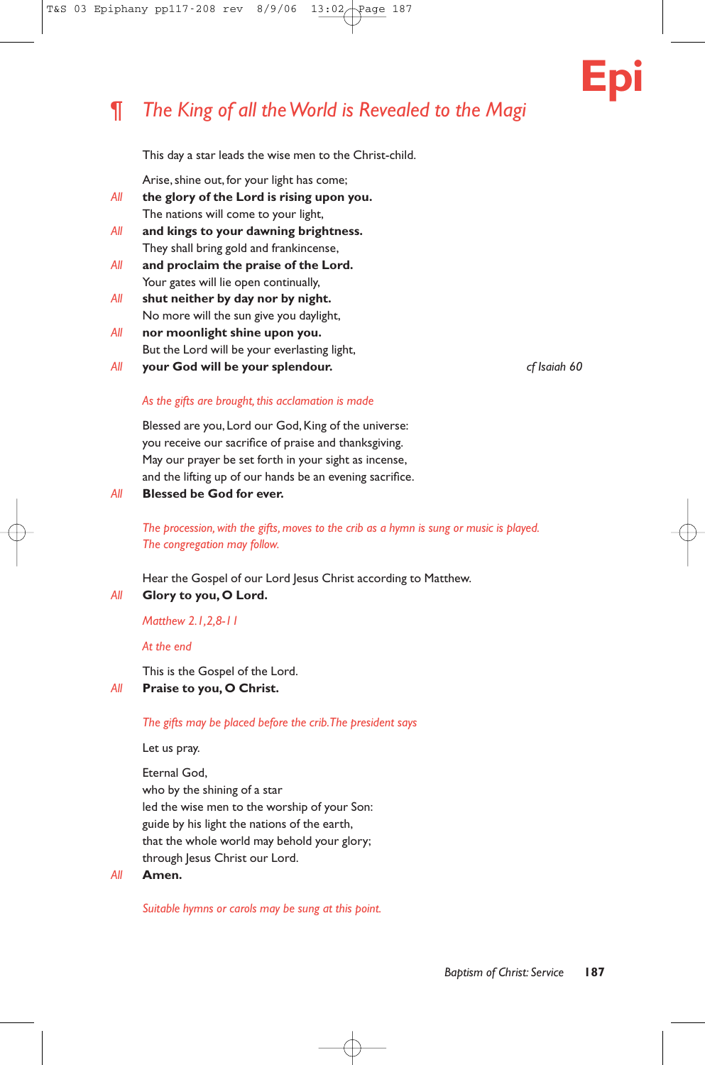# ¶ *The King of all the World is Revealed to the Magi*



This day a star leads the wise men to the Christ-child.

Arise, shine out, for your light has come;

- *All* **the glory of the Lord is rising upon you.** The nations will come to your light,
- *All* **and kings to your dawning brightness.** They shall bring gold and frankincense,
- *All* **and proclaim the praise of the Lord.** Your gates will lie open continually,
- *All* **shut neither by day nor by night.** No more will the sun give you daylight,
- *All* **nor moonlight shine upon you.** But the Lord will be your everlasting light,
- *All* **your God will be your splendour.** *cf Isaiah 60*

## *As the gifts are brought, this acclamation is made*

Blessed are you, Lord our God, King of the universe: you receive our sacrifice of praise and thanksgiving. May our prayer be set forth in your sight as incense, and the lifting up of our hands be an evening sacrifice.

*All* **Blessed be God for ever.**

*The procession, with the gifts, moves to the crib as a hymn is sung or music is played. The congregation may follow.*

Hear the Gospel of our Lord Jesus Christ according to Matthew.

*All* **Glory to you, O Lord.**

*Matthew 2.1,2,8-11*

*At the end*

This is the Gospel of the Lord.

# *All* **Praise to you, O Christ.**

*The gifts may be placed before the crib.The president says*

Let us pray.

Eternal God, who by the shining of a star led the wise men to the worship of your Son: guide by his light the nations of the earth, that the whole world may behold your glory; through Jesus Christ our Lord.

#### *All* **Amen.**

*Suitable hymns or carols may be sung at this point.*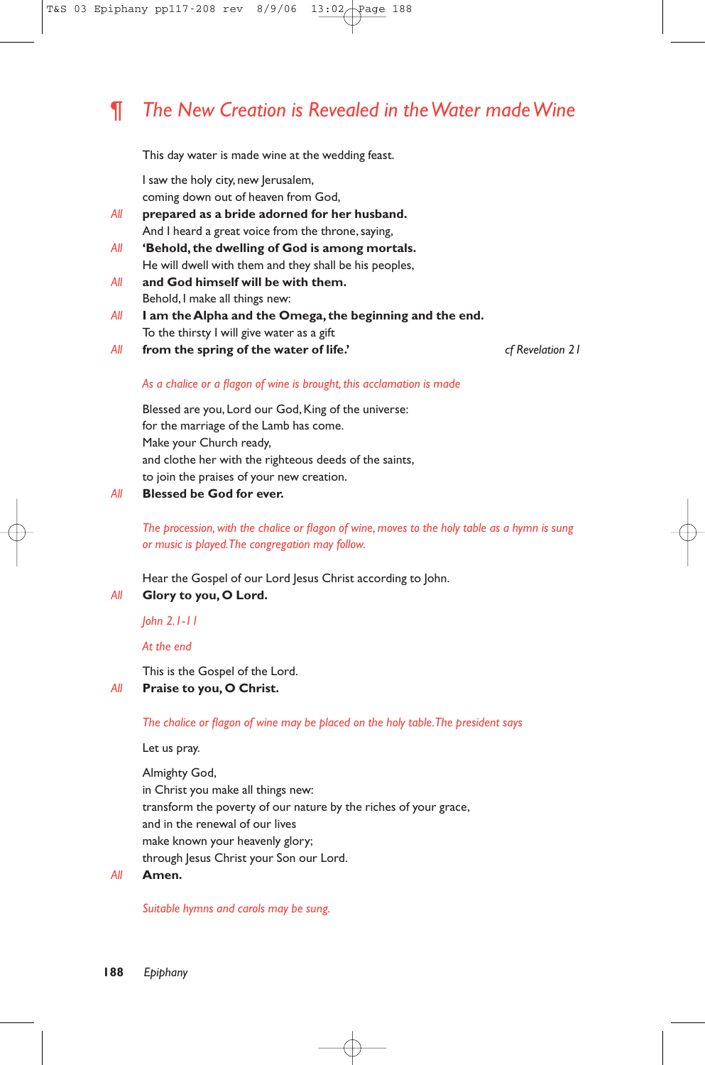# ¶ *The New Creation is Revealed in the Water made Wine*

This day water is made wine at the wedding feast.

I saw the holy city, new Jerusalem, coming down out of heaven from God,

- *All* **prepared as a bride adorned for her husband.** And I heard a great voice from the throne, saying,
- *All* **'Behold, the dwelling of God is among mortals.** He will dwell with them and they shall be his peoples,
- *All* **and God himself will be with them.** Behold, I make all things new:
- *All* **I am the Alpha and the Omega, the beginning and the end.** To the thirsty I will give water as a gift
- *All* **from the spring of the water of life.'** *cf Revelation 21*

## *As a chalice or a flagon of wine is brought, this acclamation is made*

Blessed are you, Lord our God, King of the universe: for the marriage of the Lamb has come. Make your Church ready, and clothe her with the righteous deeds of the saints, to join the praises of your new creation.

*All* **Blessed be God for ever.**

*The procession, with the chalice or flagon of wine, moves to the holy table as a hymn is sung or music is played.The congregation may follow.*

Hear the Gospel of our Lord Jesus Christ according to John.

*All* **Glory to you, O Lord.**

*John 2.1-11*

*At the end*

This is the Gospel of the Lord.

# *All* **Praise to you, O Christ.**

*The chalice or flagon of wine may be placed on the holy table.The president says*

Let us pray.

Almighty God, in Christ you make all things new: transform the poverty of our nature by the riches of your grace, and in the renewal of our lives make known your heavenly glory; through Jesus Christ your Son our Lord.

*All* **Amen.**

*Suitable hymns and carols may be sung.*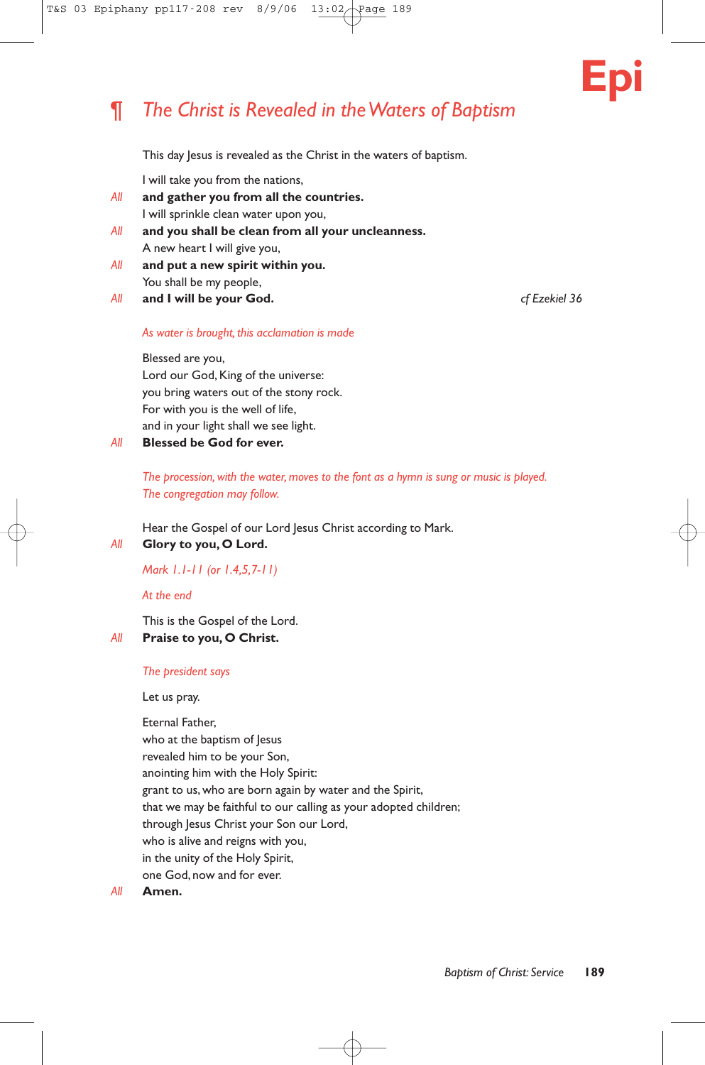# ¶ *The Christ is Revealed in the Waters of Baptism*

This day Jesus is revealed as the Christ in the waters of baptism.

I will take you from the nations,

- *All* **and gather you from all the countries.** I will sprinkle clean water upon you,
- *All* **and you shall be clean from all your uncleanness.** A new heart I will give you,
- *All* **and put a new spirit within you.** You shall be my people,
- *All* **and I will be your God.** *cf Ezekiel 36*

**Epi**

#### *As water is brought, this acclamation is made*

Blessed are you,

Lord our God, King of the universe: you bring waters out of the stony rock. For with you is the well of life, and in your light shall we see light.

### *All* **Blessed be God for ever.**

*The procession, with the water, moves to the font as a hymn is sung or music is played. The congregation may follow.*

Hear the Gospel of our Lord Jesus Christ according to Mark.

#### *All* **Glory to you, O Lord.**

*Mark 1.1-11 (or 1.4,5,7-11)*

*At the end*

This is the Gospel of the Lord.

## *All* **Praise to you, O Christ.**

#### *The president says*

Let us pray.

Eternal Father, who at the baptism of Jesus revealed him to be your Son, anointing him with the Holy Spirit: grant to us, who are born again by water and the Spirit, that we may be faithful to our calling as your adopted children; through Jesus Christ your Son our Lord, who is alive and reigns with you, in the unity of the Holy Spirit, one God, now and for ever.

#### *All* **Amen.**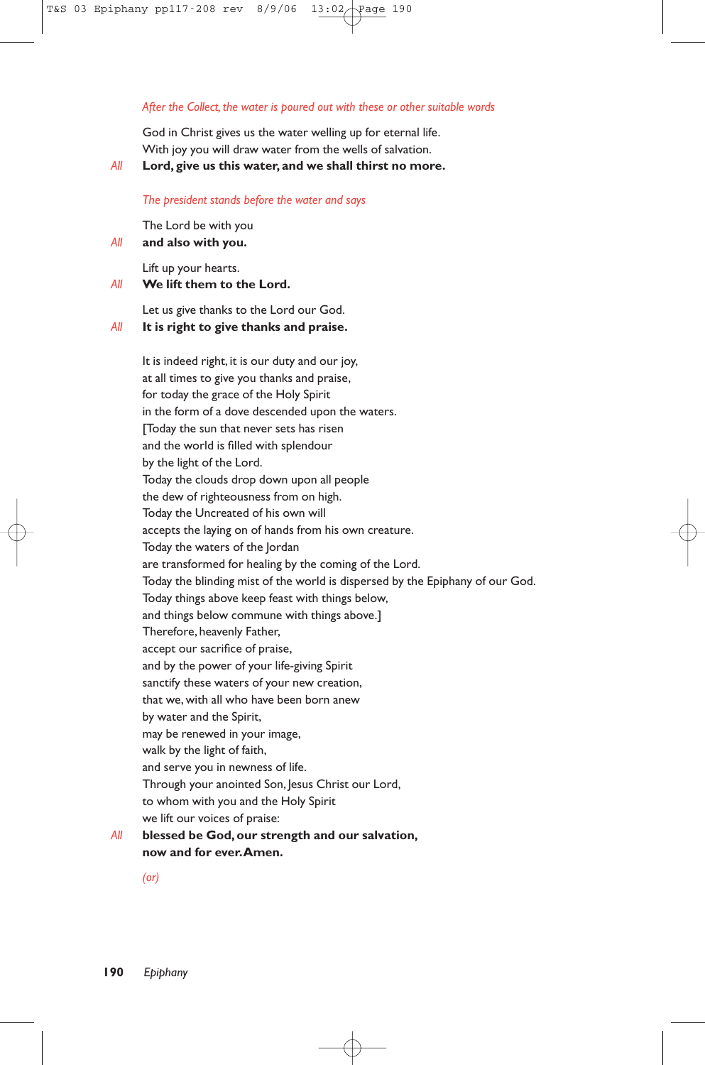#### *After the Collect, the water is poured out with these or other suitable words*

God in Christ gives us the water welling up for eternal life. With joy you will draw water from the wells of salvation.

*All* **Lord, give us this water, and we shall thirst no more.**

#### *The president stands before the water and says*

The Lord be with you *All* **and also with you.**

Lift up your hearts.

*All* **We lift them to the Lord.**

Let us give thanks to the Lord our God. *All* **It is right to give thanks and praise.**

It is indeed right, it is our duty and our joy, at all times to give you thanks and praise, for today the grace of the Holy Spirit in the form of a dove descended upon the waters. [Today the sun that never sets has risen and the world is filled with splendour by the light of the Lord. Today the clouds drop down upon all people the dew of righteousness from on high. Today the Uncreated of his own will accepts the laying on of hands from his own creature. Today the waters of the Jordan are transformed for healing by the coming of the Lord. Today the blinding mist of the world is dispersed by the Epiphany of our God. Today things above keep feast with things below, and things below commune with things above.] Therefore, heavenly Father, accept our sacrifice of praise, and by the power of your life-giving Spirit sanctify these waters of your new creation, that we, with all who have been born anew by water and the Spirit, may be renewed in your image, walk by the light of faith, and serve you in newness of life. Through your anointed Son, Jesus Christ our Lord, to whom with you and the Holy Spirit we lift our voices of praise: *All* **blessed be God, our strength and our salvation, now and for ever.Amen.**

*(or)*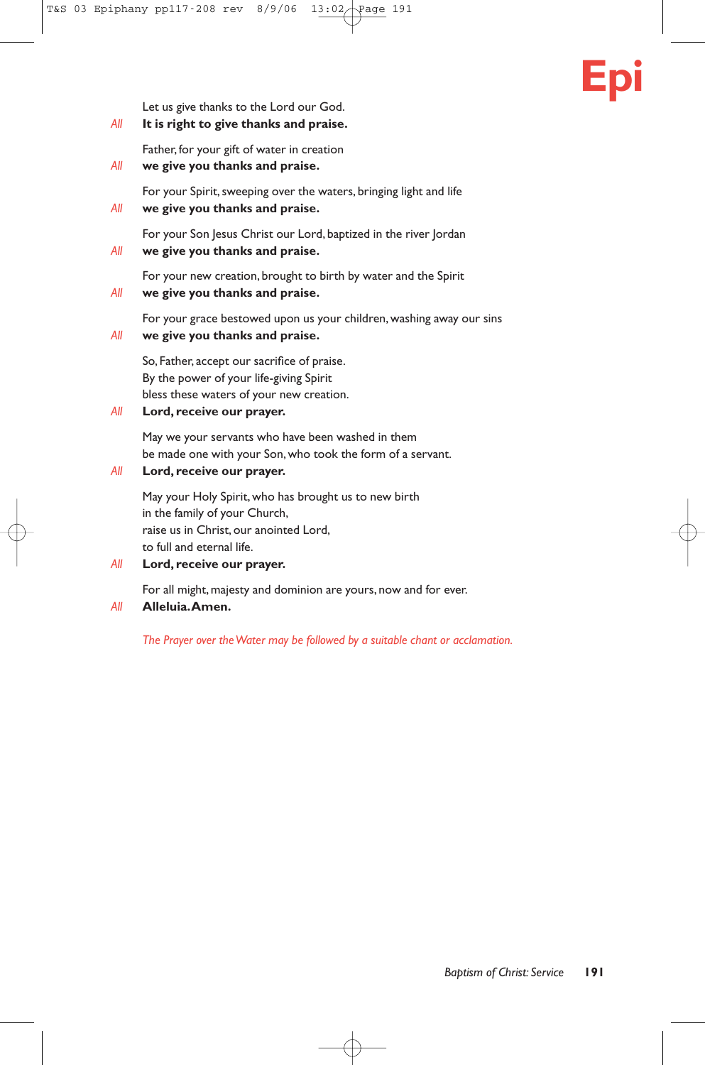# **Epi**

Let us give thanks to the Lord our God.

*All* **It is right to give thanks and praise.**

Father, for your gift of water in creation

*All* **we give you thanks and praise.**

For your Spirit, sweeping over the waters, bringing light and life

*All* **we give you thanks and praise.**

For your Son Jesus Christ our Lord, baptized in the river Jordan

*All* **we give you thanks and praise.**

For your new creation, brought to birth by water and the Spirit

*All* **we give you thanks and praise.**

For your grace bestowed upon us your children, washing away our sins

*All* **we give you thanks and praise.**

So, Father, accept our sacrifice of praise. By the power of your life-giving Spirit bless these waters of your new creation.

*All* **Lord, receive our prayer.**

May we your servants who have been washed in them be made one with your Son, who took the form of a servant.

#### *All* **Lord, receive our prayer.**

May your Holy Spirit, who has brought us to new birth in the family of your Church, raise us in Christ, our anointed Lord, to full and eternal life.

*All* **Lord, receive our prayer.**

For all might, majesty and dominion are yours, now and for ever.

#### *All* **Alleluia.Amen.**

*The Prayer over the Water may be followed by a suitable chant or acclamation.*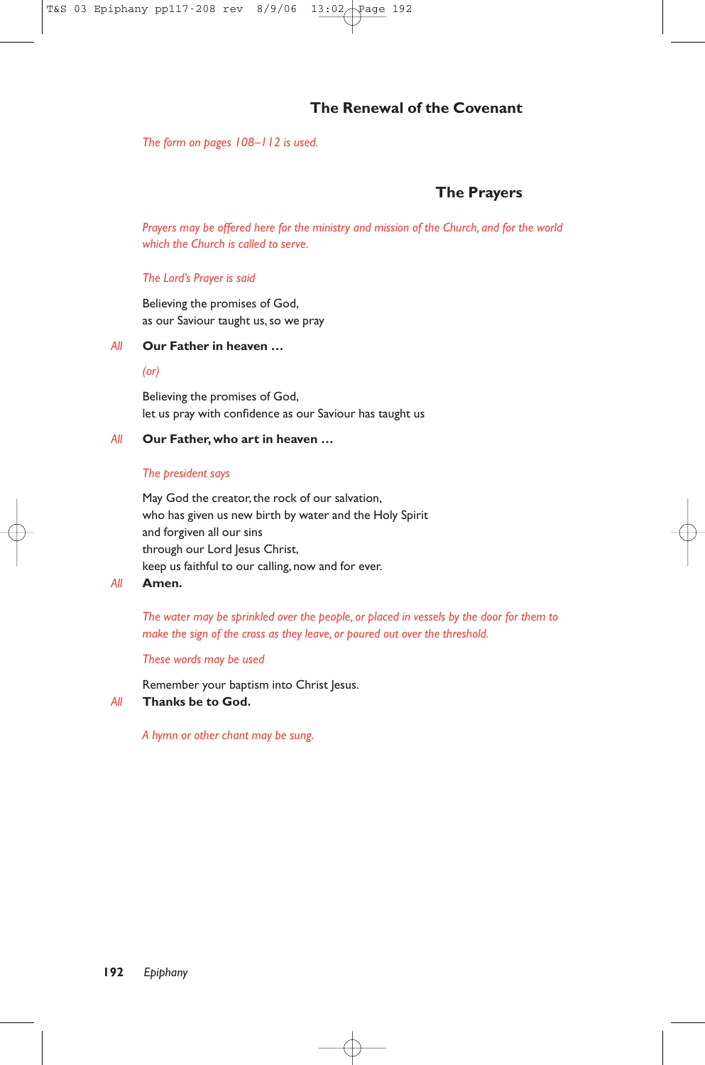# **The Renewal of the Covenant**

*The form on pages 108–112 is used.*

# **The Prayers**

*Prayers may be offered here for the ministry and mission of the Church, and for the world which the Church is called to serve.*

#### *The Lord's Prayer is said*

Believing the promises of God, as our Saviour taught us, so we pray

#### *All* **Our Father in heaven …**

#### *(or)*

Believing the promises of God, let us pray with confidence as our Saviour has taught us

#### *All* **Our Father, who art in heaven …**

#### *The president says*

May God the creator, the rock of our salvation, who has given us new birth by water and the Holy Spirit and forgiven all our sins through our Lord Jesus Christ, keep us faithful to our calling, now and for ever.

#### *All* **Amen.**

*The water may be sprinkled over the people, or placed in vessels by the door for them to make the sign of the cross as they leave, or poured out over the threshold.*

#### *These words may be used*

Remember your baptism into Christ Jesus.

#### *All* **Thanks be to God.**

*A hymn or other chant may be sung.*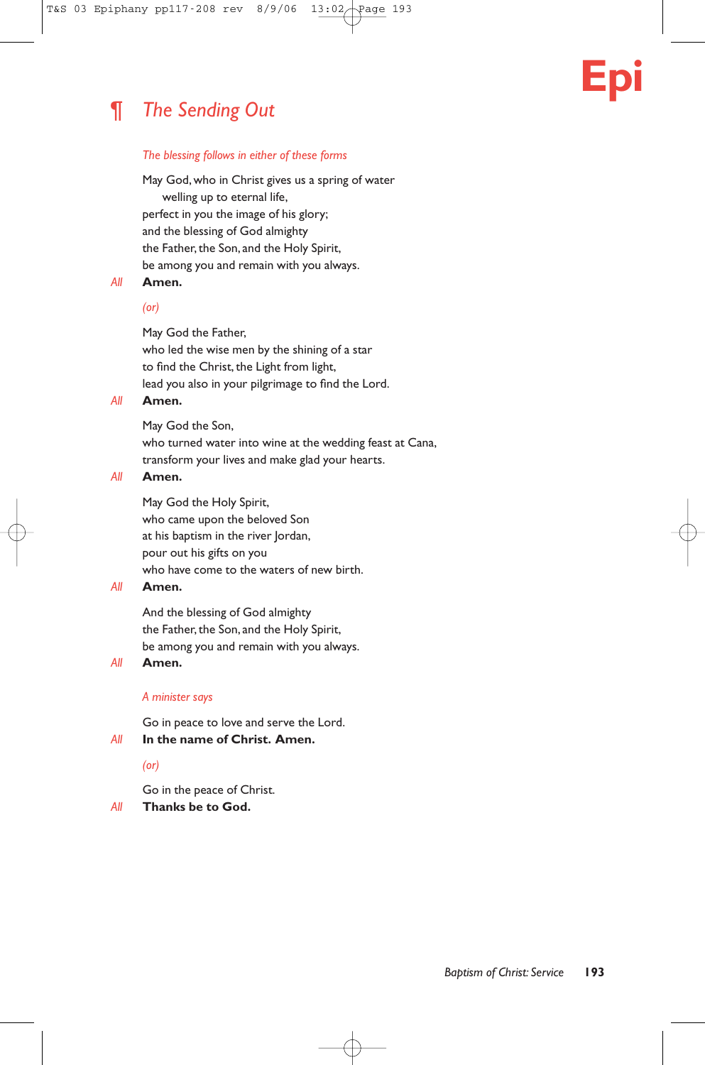# ¶ *The Sending Out*

#### *The blessing follows in either of these forms*

May God, who in Christ gives us a spring of water welling up to eternal life, perfect in you the image of his glory; and the blessing of God almighty the Father, the Son, and the Holy Spirit, be among you and remain with you always.

#### *All* **Amen.**

#### *(or)*

May God the Father,

who led the wise men by the shining of a star to find the Christ, the Light from light, lead you also in your pilgrimage to find the Lord.

#### *All* **Amen.**

May God the Son,

who turned water into wine at the wedding feast at Cana, transform your lives and make glad your hearts.

#### *All* **Amen.**

May God the Holy Spirit, who came upon the beloved Son at his baptism in the river Jordan, pour out his gifts on you who have come to the waters of new birth.

#### *All* **Amen.**

And the blessing of God almighty the Father, the Son, and the Holy Spirit, be among you and remain with you always.

#### *All* **Amen.**

#### *A minister says*

Go in peace to love and serve the Lord.

#### *All* **In the name of Christ. Amen.**

#### *(or)*

Go in the peace of Christ.

#### *All* **Thanks be to God.**

**Epi**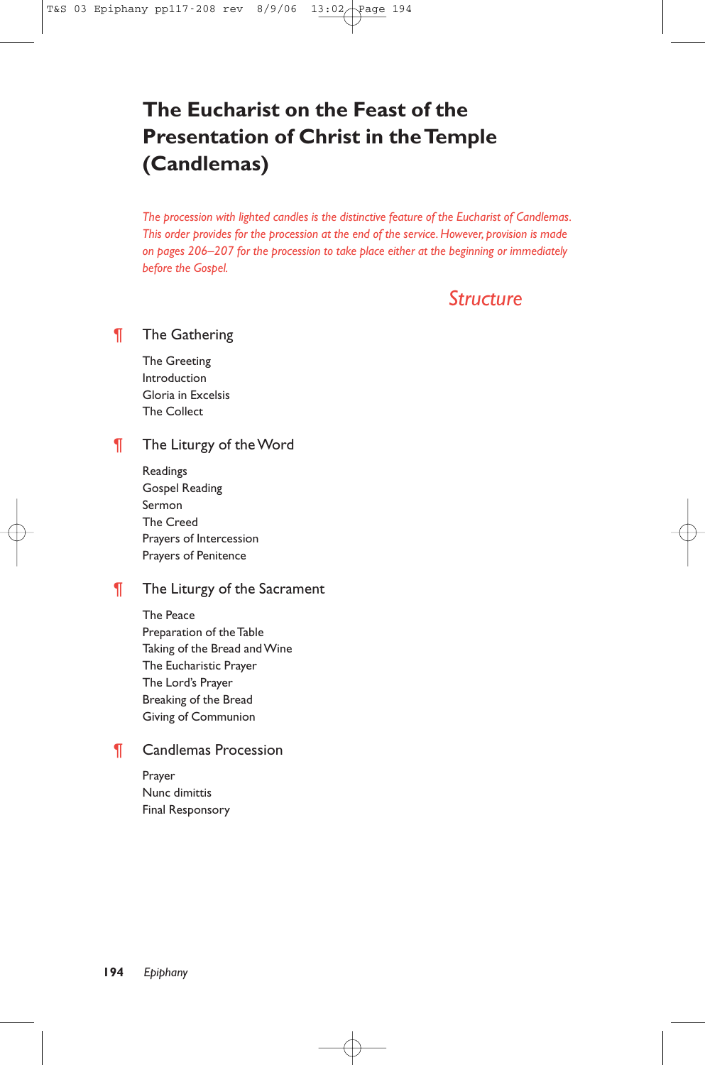# **The Eucharist on the Feast of the Presentation of Christ in the Temple (Candlemas)**

*The procession with lighted candles is the distinctive feature of the Eucharist of Candlemas. This order provides for the procession at the end of the service. However, provision is made on pages 206–207 for the procession to take place either at the beginning or immediately before the Gospel.*

# *Structure*

## ¶ The Gathering

The Greeting Introduction Gloria in Excelsis The Collect

## **The Liturgy of the Word**

Readings Gospel Reading Sermon The Creed Prayers of Intercession Prayers of Penitence

## **The Liturgy of the Sacrament**

The Peace Preparation of the Table Taking of the Bread and Wine The Eucharistic Prayer The Lord's Prayer Breaking of the Bread Giving of Communion

# ¶ Candlemas Procession

Prayer Nunc dimittis Final Responsory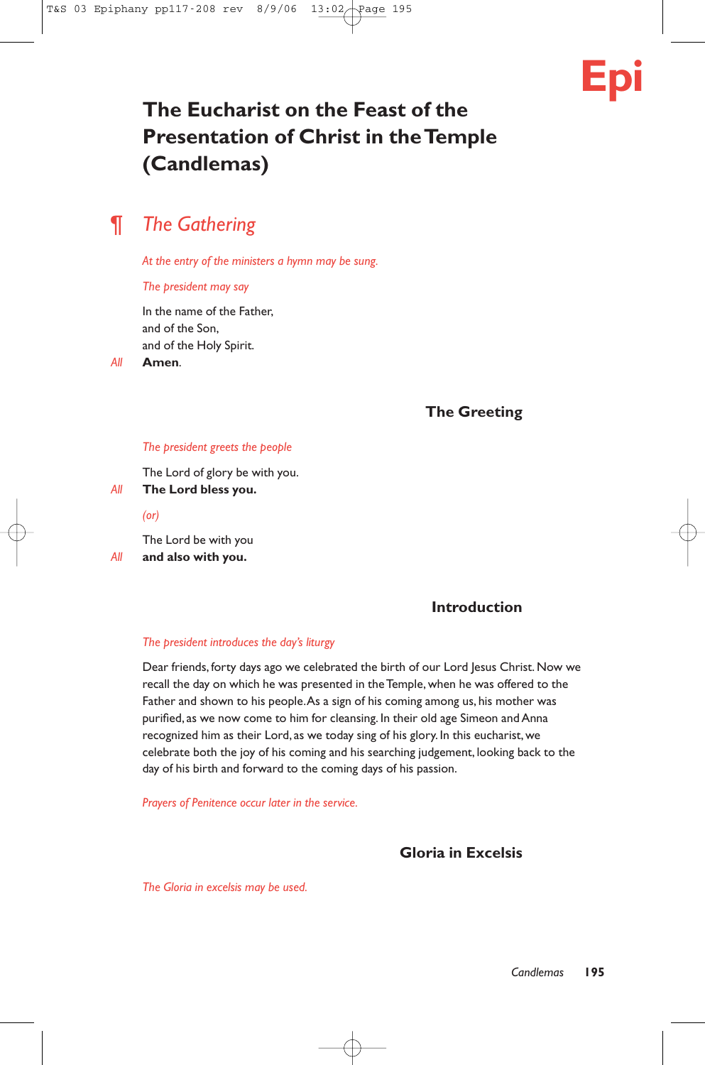# **Epi**

# **The Eucharist on the Feast of the Presentation of Christ in the Temple (Candlemas)**

# ¶ *The Gathering*

*At the entry of the ministers a hymn may be sung.*

#### *The president may say*

In the name of the Father, and of the Son, and of the Holy Spirit.

*All* **Amen**.

**The Greeting**

#### *The president greets the people*

The Lord of glory be with you.

*All* **The Lord bless you.**

*(or)*

The Lord be with you *All* **and also with you.**

# **Introduction**

#### *The president introduces the day's liturgy*

Dear friends, forty days ago we celebrated the birth of our Lord Jesus Christ. Now we recall the day on which he was presented in the Temple, when he was offered to the Father and shown to his people.As a sign of his coming among us, his mother was purified, as we now come to him for cleansing. In their old age Simeon and Anna recognized him as their Lord, as we today sing of his glory. In this eucharist, we celebrate both the joy of his coming and his searching judgement, looking back to the day of his birth and forward to the coming days of his passion.

*Prayers of Penitence occur later in the service.*

# **Gloria in Excelsis**

*The Gloria in excelsis may be used.*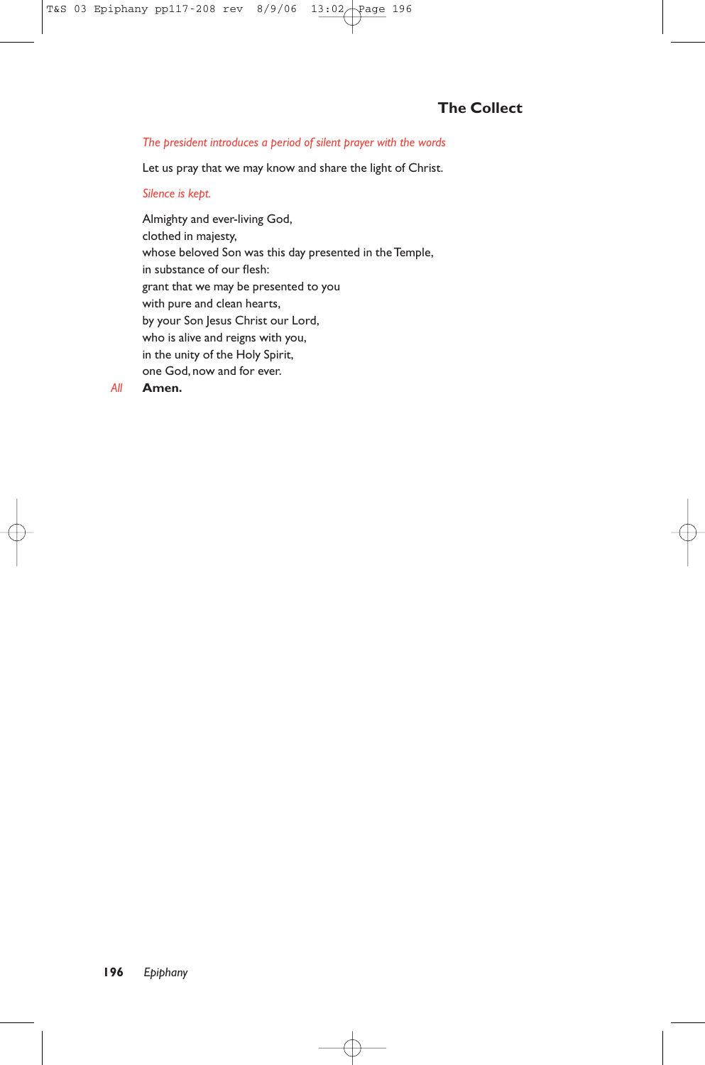#### *The president introduces a period of silent prayer with the words*

Let us pray that we may know and share the light of Christ.

#### *Silence is kept.*

Almighty and ever-living God, clothed in majesty, whose beloved Son was this day presented in the Temple, in substance of our flesh: grant that we may be presented to you with pure and clean hearts, by your Son Jesus Christ our Lord, who is alive and reigns with you, in the unity of the Holy Spirit, one God, now and for ever.

*All* **Amen.**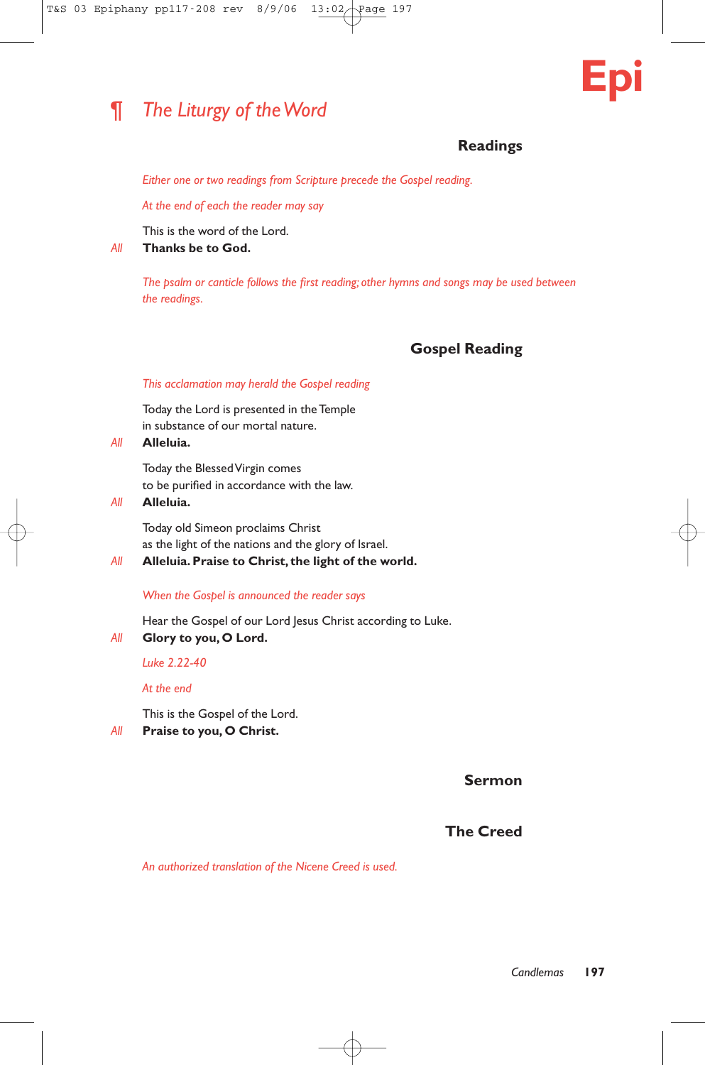# ¶ *The Liturgy of the Word*



# **Readings**

*Either one or two readings from Scripture precede the Gospel reading.*

*At the end of each the reader may say*

This is the word of the Lord.

*All* **Thanks be to God.**

*The psalm or canticle follows the first reading; other hymns and songs may be used between the readings.*

# **Gospel Reading**

#### *This acclamation may herald the Gospel reading*

Today the Lord is presented in the Temple in substance of our mortal nature.

#### *All* **Alleluia.**

Today the Blessed Virgin comes to be purified in accordance with the law.

*All* **Alleluia.**

Today old Simeon proclaims Christ as the light of the nations and the glory of Israel.

*All* **Alleluia.Praise to Christ, the light of the world.**

#### *When the Gospel is announced the reader says*

Hear the Gospel of our Lord Jesus Christ according to Luke.

*All* **Glory to you, O Lord.**

*Luke 2.22-40*

*At the end*

This is the Gospel of the Lord.

*All* **Praise to you, O Christ.**

**Sermon**

# **The Creed**

*An authorized translation of the Nicene Creed is used.*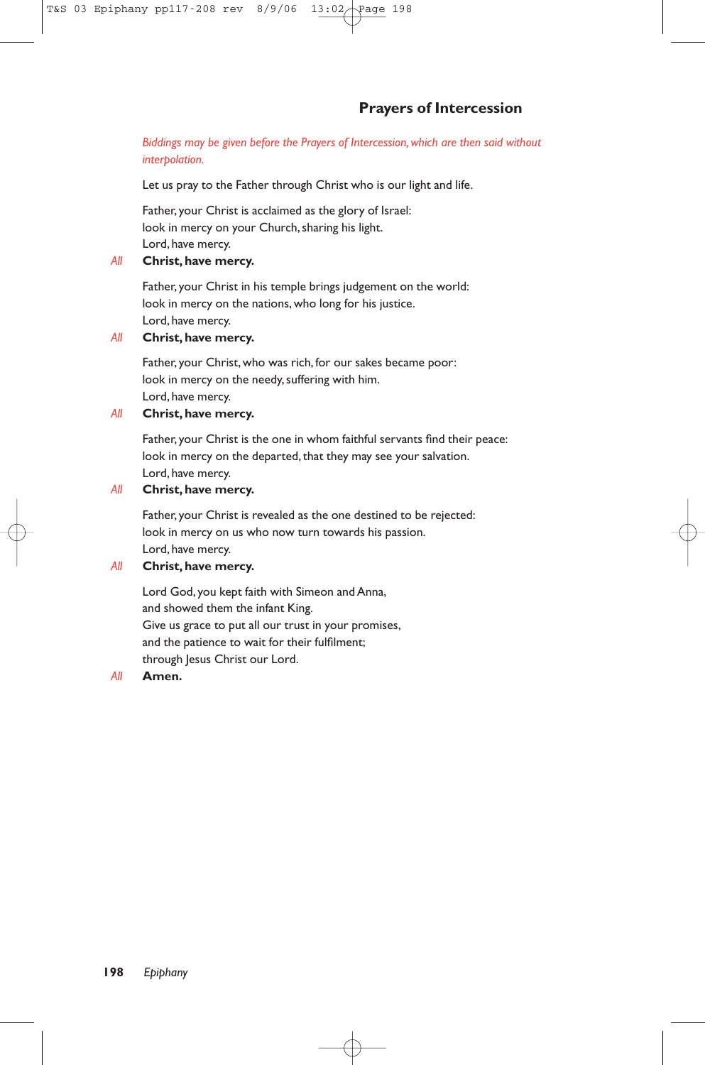#### *Biddings may be given before the Prayers of Intercession, which are then said without interpolation.*

Let us pray to the Father through Christ who is our light and life.

Father, your Christ is acclaimed as the glory of Israel: look in mercy on your Church, sharing his light. Lord, have mercy.

#### *All* **Christ, have mercy.**

Father, your Christ in his temple brings judgement on the world: look in mercy on the nations, who long for his justice. Lord, have mercy.

#### *All* **Christ, have mercy.**

Father, your Christ, who was rich, for our sakes became poor: look in mercy on the needy, suffering with him. Lord, have mercy.

#### *All* **Christ, have mercy.**

Father, your Christ is the one in whom faithful servants find their peace: look in mercy on the departed, that they may see your salvation. Lord, have mercy.

### *All* **Christ, have mercy.**

Father, your Christ is revealed as the one destined to be rejected: look in mercy on us who now turn towards his passion. Lord, have mercy.

## *All* **Christ, have mercy.**

Lord God, you kept faith with Simeon and Anna, and showed them the infant King. Give us grace to put all our trust in your promises, and the patience to wait for their fulfilment; through Jesus Christ our Lord.

#### *All* **Amen.**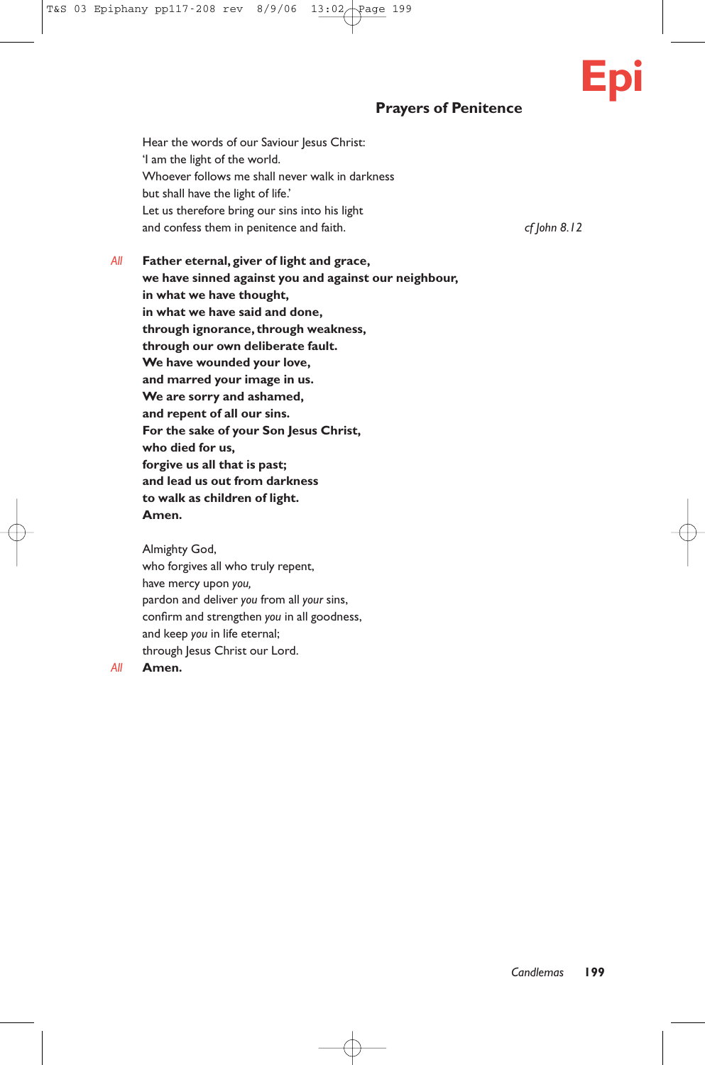# **Prayers of Penitence**

Hear the words of our Saviour Jesus Christ: 'I am the light of the world. Whoever follows me shall never walk in darkness but shall have the light of life.' Let us therefore bring our sins into his light and confess them in penitence and faith. *cf John 8.12* 

*All* **Father eternal, giver of light and grace, we have sinned against you and against our neighbour, in what we have thought, in what we have said and done, through ignorance, through weakness, through our own deliberate fault. We have wounded your love, and marred your image in us. We are sorry and ashamed, and repent of all our sins. For the sake of your Son Jesus Christ, who died for us, forgive us all that is past; and lead us out from darkness to walk as children of light. Amen.**

Almighty God, who forgives all who truly repent, have mercy upon *you,* pardon and deliver *you* from all *your* sins, confirm and strengthen *you* in all goodness, and keep *you* in life eternal; through Jesus Christ our Lord.

#### *All* **Amen.**

**Epi**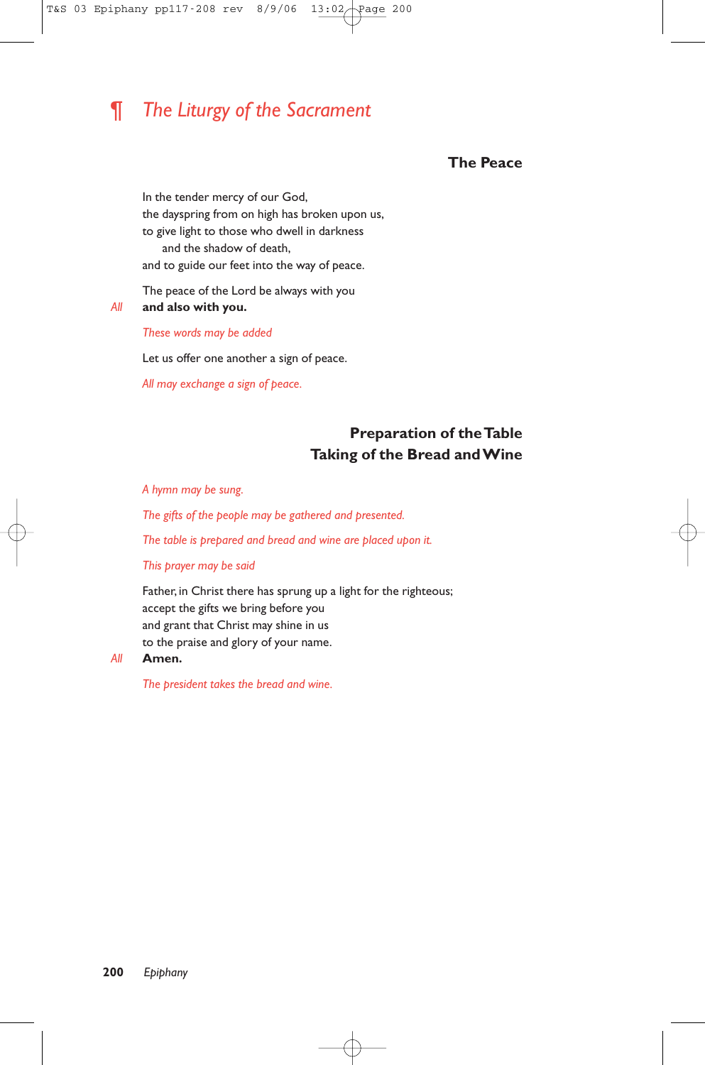# ¶ *The Liturgy of the Sacrament*

#### **The Peace**

In the tender mercy of our God, the dayspring from on high has broken upon us, to give light to those who dwell in darkness and the shadow of death, and to guide our feet into the way of peace.

The peace of the Lord be always with you

*All* **and also with you.**

*These words may be added*

Let us offer one another a sign of peace.

*All may exchange a sign of peace.*

# **Preparation of the Table Taking of the Bread and Wine**

*A hymn may be sung.*

*The gifts of the people may be gathered and presented.*

*The table is prepared and bread and wine are placed upon it.*

*This prayer may be said*

Father, in Christ there has sprung up a light for the righteous; accept the gifts we bring before you and grant that Christ may shine in us to the praise and glory of your name.

#### *All* **Amen.**

*The president takes the bread and wine.*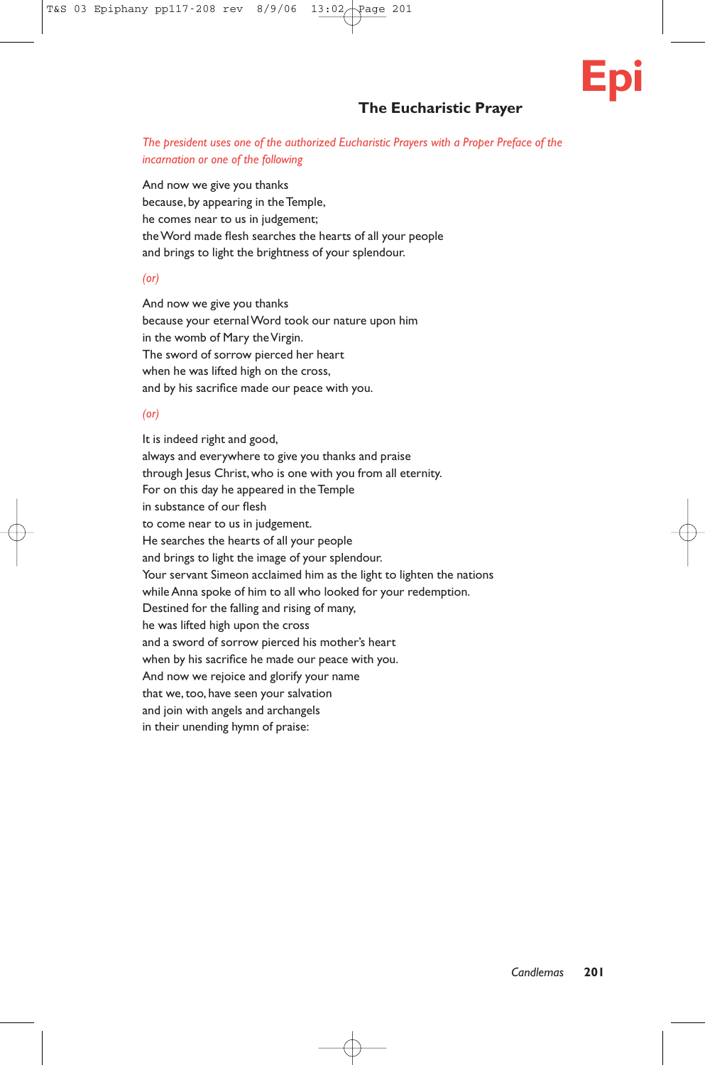

# **The Eucharistic Prayer**

#### *The president uses one of the authorized Eucharistic Prayers with a Proper Preface of the incarnation or one of the following*

And now we give you thanks because, by appearing in the Temple, he comes near to us in judgement; the Word made flesh searches the hearts of all your people and brings to light the brightness of your splendour.

#### *(or)*

And now we give you thanks because your eternal Word took our nature upon him in the womb of Mary the Virgin. The sword of sorrow pierced her heart when he was lifted high on the cross, and by his sacrifice made our peace with you.

#### *(or)*

It is indeed right and good, always and everywhere to give you thanks and praise through Jesus Christ, who is one with you from all eternity. For on this day he appeared in the Temple in substance of our flesh to come near to us in judgement. He searches the hearts of all your people and brings to light the image of your splendour. Your servant Simeon acclaimed him as the light to lighten the nations while Anna spoke of him to all who looked for your redemption. Destined for the falling and rising of many, he was lifted high upon the cross and a sword of sorrow pierced his mother's heart when by his sacrifice he made our peace with you. And now we rejoice and glorify your name that we, too, have seen your salvation and join with angels and archangels in their unending hymn of praise: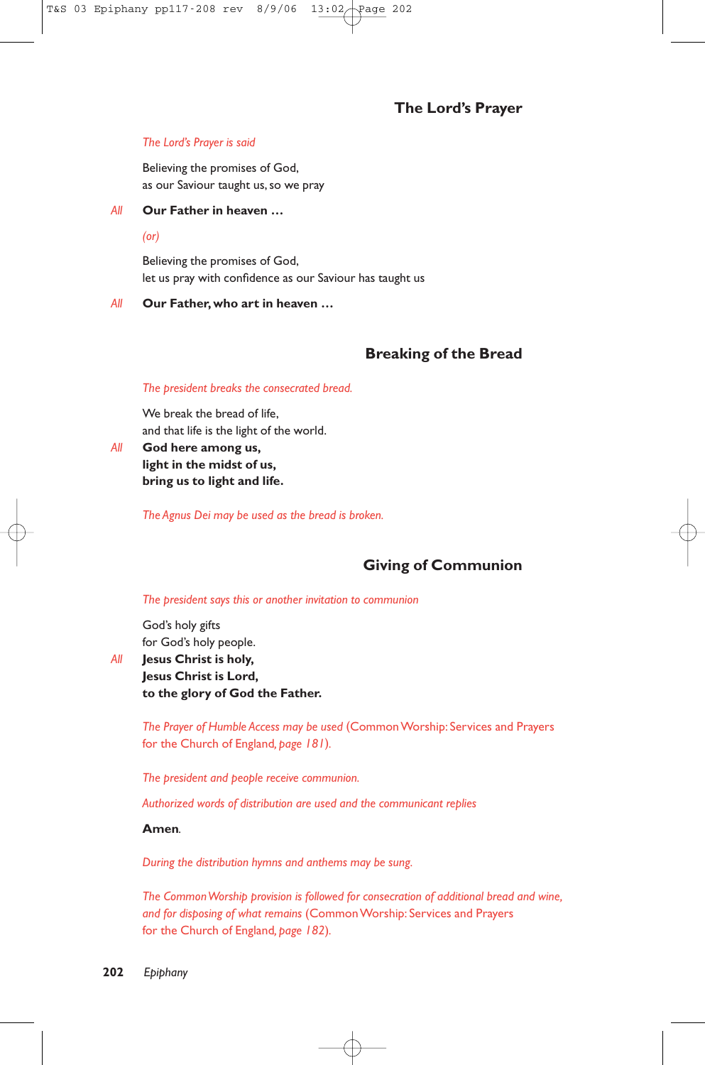# **The Lord's Prayer**

#### *The Lord's Prayer is said*

Believing the promises of God, as our Saviour taught us, so we pray

#### *All* **Our Father in heaven …**

*(or)*

Believing the promises of God, let us pray with confidence as our Saviour has taught us

#### *All* **Our Father, who art in heaven …**

# **Breaking of the Bread**

#### *The president breaks the consecrated bread.*

We break the bread of life, and that life is the light of the world.

*All* **God here among us, light in the midst of us, bring us to light and life.**

*The Agnus Dei may be used as the bread is broken.*

# **Giving of Communion**

#### *The president says this or another invitation to communion*

God's holy gifts for God's holy people.

*All* **Jesus Christ is holy, Jesus Christ is Lord, to the glory of God the Father.**

> *The Prayer of Humble Access may be used* (Common Worship: Services and Prayers for the Church of England*, page 181*)*.*

*The president and people receive communion.*

*Authorized words of distribution are used and the communicant replies*

#### **Amen***.*

*During the distribution hymns and anthems may be sung.*

*The Common Worship provision is followed for consecration of additional bread and wine, and for disposing of what remains* (Common Worship: Services and Prayers for the Church of England*, page 182*)*.*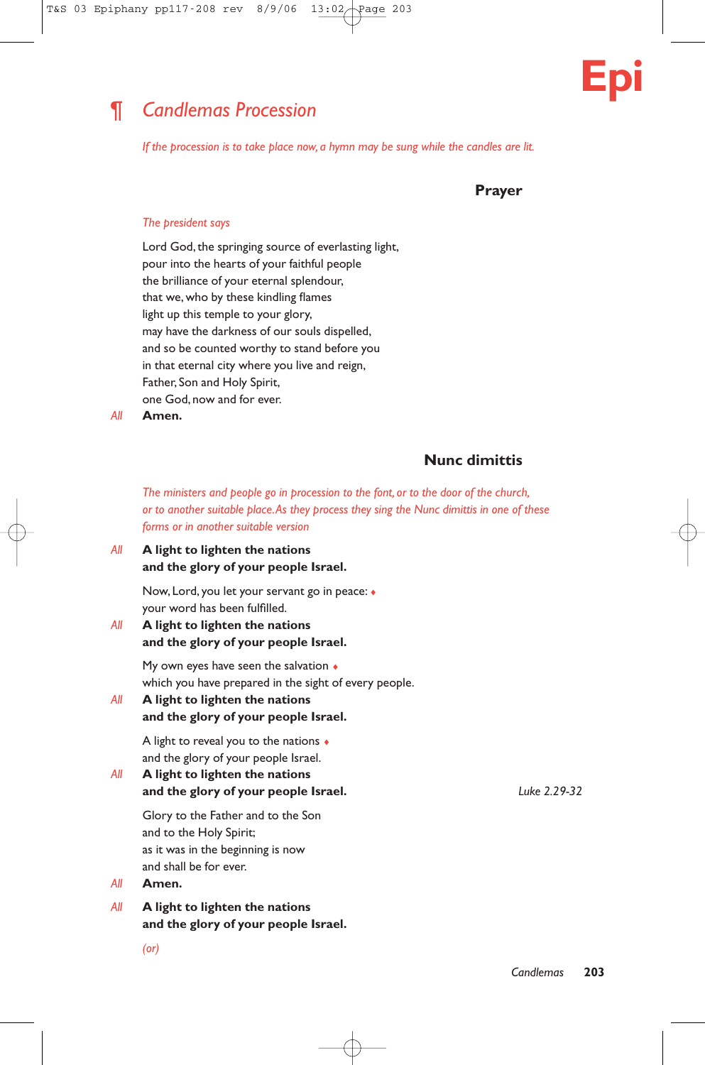

# ¶ *Candlemas Procession*

*If the procession is to take place now, a hymn may be sung while the candles are lit.*

**Prayer**

#### *The president says*

Lord God, the springing source of everlasting light, pour into the hearts of your faithful people the brilliance of your eternal splendour, that we, who by these kindling flames light up this temple to your glory, may have the darkness of our souls dispelled, and so be counted worthy to stand before you in that eternal city where you live and reign, Father, Son and Holy Spirit, one God, now and for ever.

*All* **Amen.**

# **Nunc dimittis**

*The ministers and people go in procession to the font, or to the door of the church, or to another suitable place.As they process they sing the Nunc dimittis in one of these forms or in another suitable version*

#### *All* **A light to lighten the nations and the glory of your people Israel.**

Now, Lord, you let your servant go in peace: ♦ your word has been fulfilled.

#### *All* **A light to lighten the nations and the glory of your people Israel.**

My own eyes have seen the salvation  $\bullet$ which you have prepared in the sight of every people.

## *All* **A light to lighten the nations and the glory of your people Israel.**

A light to reveal you to the nations ♦ and the glory of your people Israel.

*All* **A light to lighten the nations and the glory of your people Israel.** *Luke 2.29-32*

Glory to the Father and to the Son and to the Holy Spirit; as it was in the beginning is now and shall be for ever.

#### *All* **Amen.**

*All* **A light to lighten the nations and the glory of your people Israel.**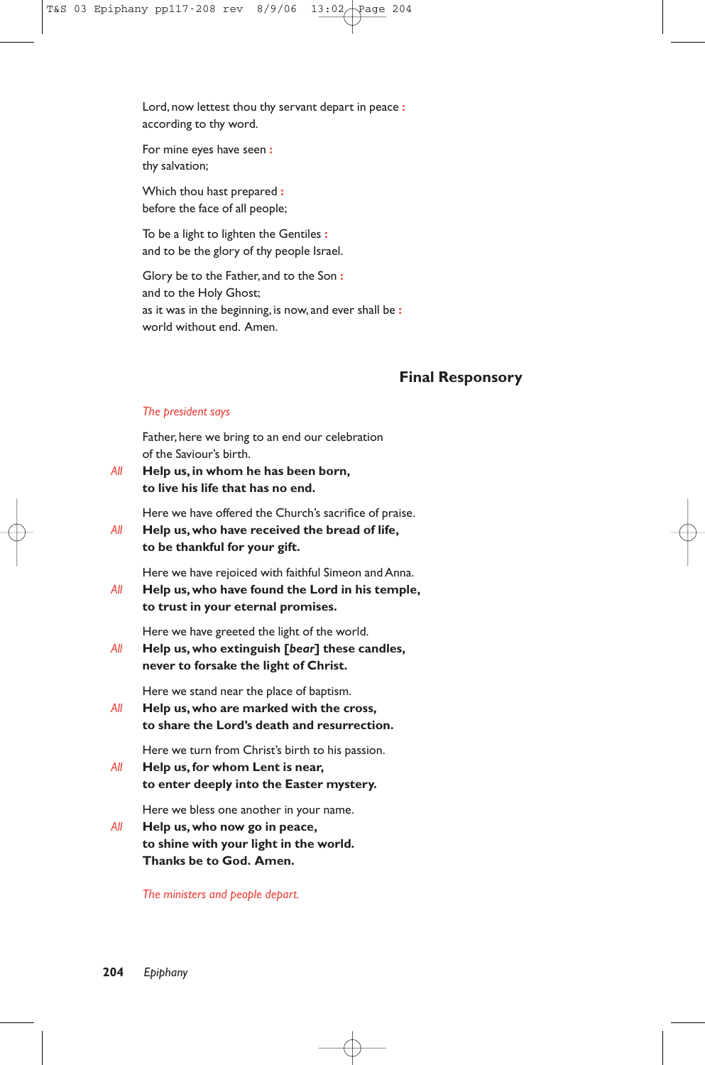Lord, now lettest thou thy servant depart in peace **:** according to thy word.

For mine eyes have seen **:** thy salvation;

Which thou hast prepared **:** before the face of all people;

To be a light to lighten the Gentiles **:** and to be the glory of thy people Israel.

Glory be to the Father, and to the Son **:** and to the Holy Ghost; as it was in the beginning, is now, and ever shall be **:** world without end. Amen.

# **Final Responsory**

#### *The president says*

Father, here we bring to an end our celebration of the Saviour's birth.

*All* **Help us, in whom he has been born, to live his life that has no end.**

Here we have offered the Church's sacrifice of praise.

*All* **Help us,who have received the bread of life, to be thankful for your gift.**

Here we have rejoiced with faithful Simeon and Anna.

*All* **Help us, who have found the Lord in his temple, to trust in your eternal promises.**

Here we have greeted the light of the world.

*All* **Help us, who extinguish [***bear***] these candles, never to forsake the light of Christ.**

Here we stand near the place of baptism.

*All* **Help us, who are marked with the cross, to share the Lord's death and resurrection.**

Here we turn from Christ's birth to his passion.

*All* **Help us, for whom Lent is near, to enter deeply into the Easter mystery.**

Here we bless one another in your name.

*All* **Help us, who now go in peace, to shine with your light in the world. Thanks be to God. Amen.**

*The ministers and people depart.*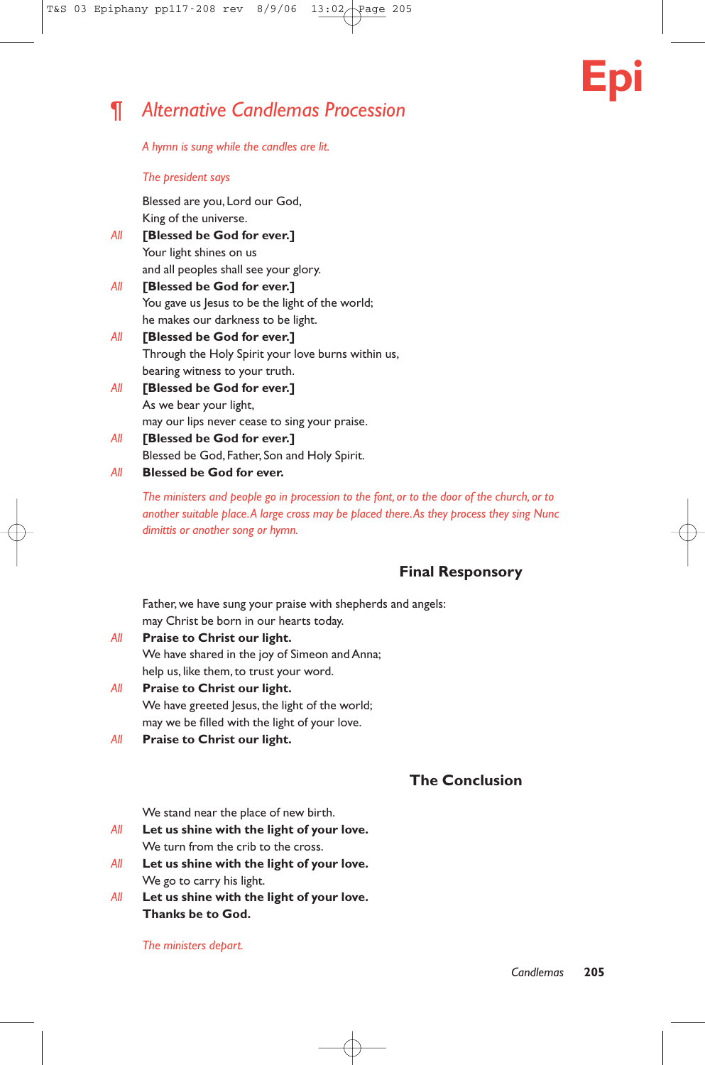

# ¶ *Alternative Candlemas Procession*

*A hymn is sung while the candles are lit.*

#### *The president says*

Blessed are you, Lord our God, King of the universe.

- *All* **[Blessed be God for ever.]** Your light shines on us and all peoples shall see your glory.
- *All* **[Blessed be God for ever.]**  You gave us Jesus to be the light of the world; he makes our darkness to be light.
- *All* **[Blessed be God for ever.]**  Through the Holy Spirit your love burns within us, bearing witness to your truth.
- *All* **[Blessed be God for ever.]**  As we bear your light, may our lips never cease to sing your praise.
- *All* **[Blessed be God for ever.]**  Blessed be God, Father, Son and Holy Spirit.
- *All* **Blessed be God for ever.**

*The ministers and people go in procession to the font, or to the door of the church, or to another suitable place.A large cross may be placed there.As they process they sing Nunc dimittis or another song or hymn.*

# **Final Responsory**

Father, we have sung your praise with shepherds and angels: may Christ be born in our hearts today.

- *All* **Praise to Christ our light.** We have shared in the joy of Simeon and Anna; help us, like them, to trust your word.
- *All* **Praise to Christ our light.** We have greeted Jesus, the light of the world; may we be filled with the light of your love.
- *All* **Praise to Christ our light.**

# **The Conclusion**

We stand near the place of new birth.

- *All* **Let us shine with the light of your love.** We turn from the crib to the cross.
- *All* **Let us shine with the light of your love.** We go to carry his light.
- *All* **Let us shine with the light of your love. Thanks be to God.**

*The ministers depart.*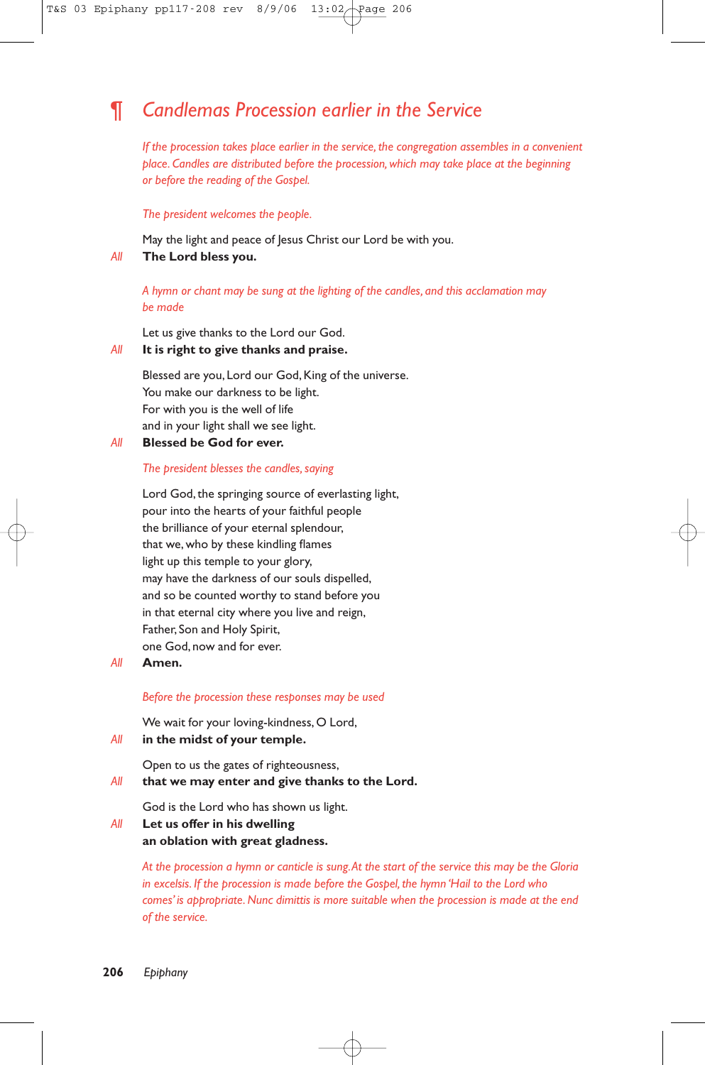# ¶ *Candlemas Procession earlier in the Service*

*If the procession takes place earlier in the service, the congregation assembles in a convenient place. Candles are distributed before the procession, which may take place at the beginning or before the reading of the Gospel.*

*The president welcomes the people.*

May the light and peace of Jesus Christ our Lord be with you. *All* **The Lord bless you.**

*A hymn or chant may be sung at the lighting of the candles, and this acclamation may be made*

Let us give thanks to the Lord our God.

#### *All* **It is right to give thanks and praise.**

Blessed are you, Lord our God, King of the universe. You make our darkness to be light. For with you is the well of life and in your light shall we see light.

*All* **Blessed be God for ever.**

#### *The president blesses the candles, saying*

Lord God, the springing source of everlasting light, pour into the hearts of your faithful people the brilliance of your eternal splendour, that we, who by these kindling flames light up this temple to your glory, may have the darkness of our souls dispelled, and so be counted worthy to stand before you in that eternal city where you live and reign, Father, Son and Holy Spirit, one God, now and for ever.

#### *All* **Amen.**

#### *Before the procession these responses may be used*

We wait for your loving-kindness, O Lord,

*All* **in the midst of your temple.**

Open to us the gates of righteousness,

*All* **that we may enter and give thanks to the Lord.**

God is the Lord who has shown us light.

*All* **Let us offer in his dwelling an oblation with great gladness.**

> *At the procession a hymn or canticle is sung.At the start of the service this may be the Gloria in excelsis. If the procession is made before the Gospel, the hymn 'Hail to the Lord who comes' is appropriate. Nunc dimittis is more suitable when the procession is made at the end of the service.*